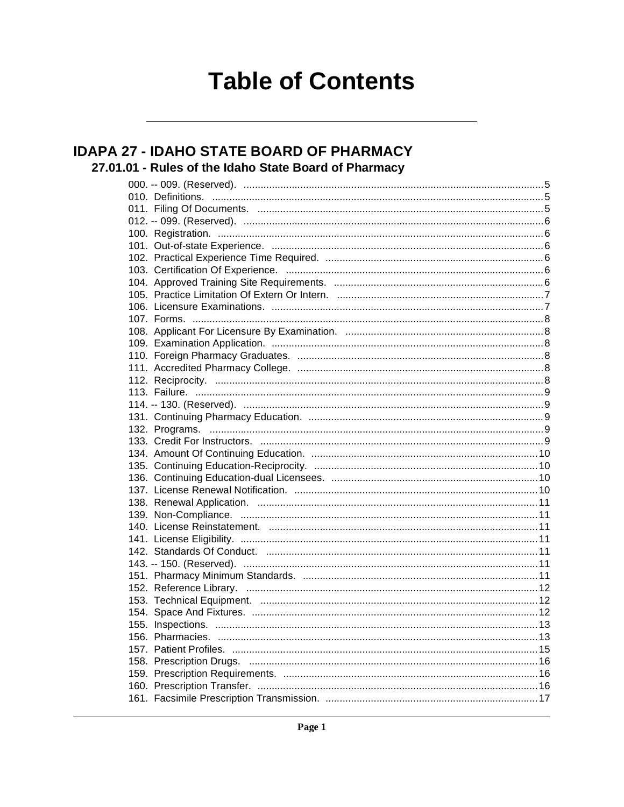# **Table of Contents**

### **IDAPA 27 - IDAHO STATE BOARD OF PHARMACY** 27.01.01 - Rules of the Idaho State Board of Pharmacy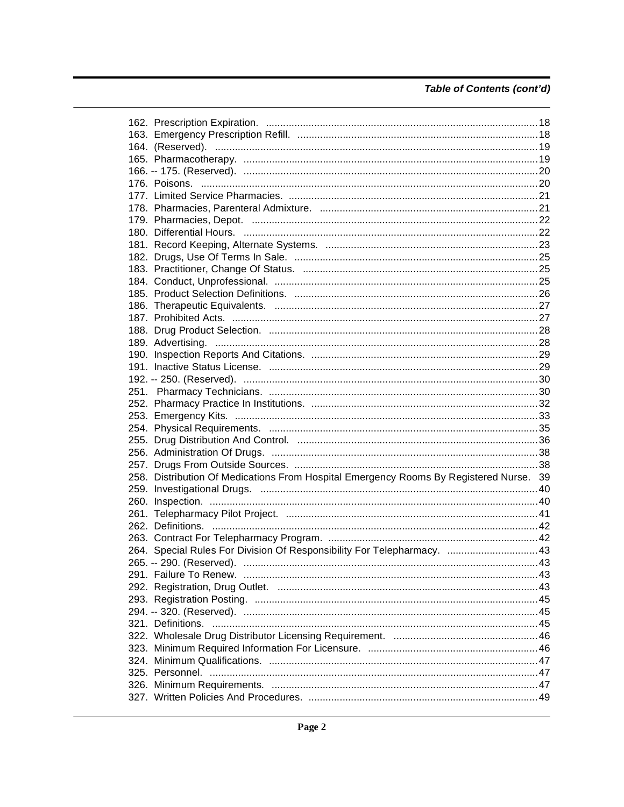### Table of Contents (cont'd)

| 258. Distribution Of Medications From Hospital Emergency Rooms By Registered Nurse. 39 |  |
|----------------------------------------------------------------------------------------|--|
|                                                                                        |  |
|                                                                                        |  |
|                                                                                        |  |
|                                                                                        |  |
|                                                                                        |  |
| 264. Special Rules For Division Of Responsibility For Telepharmacy. 43                 |  |
|                                                                                        |  |
|                                                                                        |  |
|                                                                                        |  |
|                                                                                        |  |
|                                                                                        |  |
|                                                                                        |  |
|                                                                                        |  |
|                                                                                        |  |
|                                                                                        |  |
|                                                                                        |  |
|                                                                                        |  |
|                                                                                        |  |
|                                                                                        |  |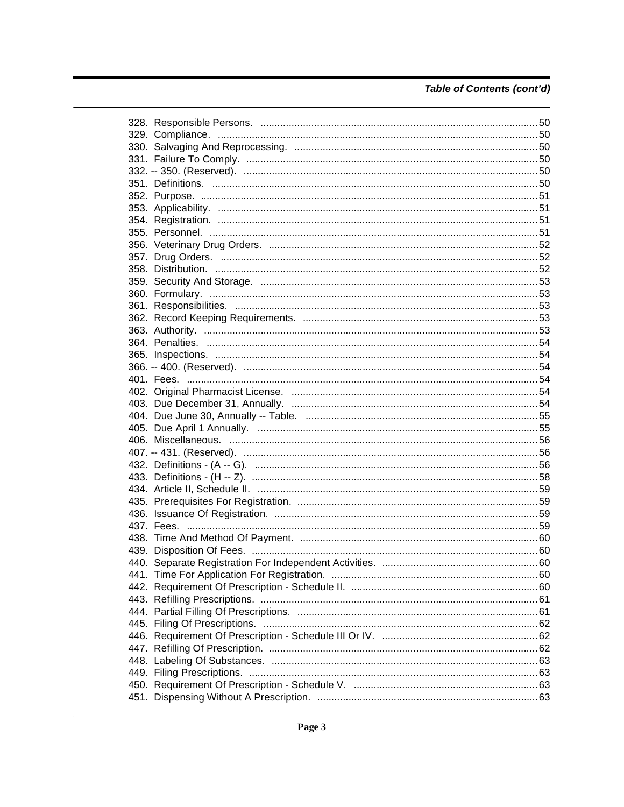### Table of Contents (cont'd)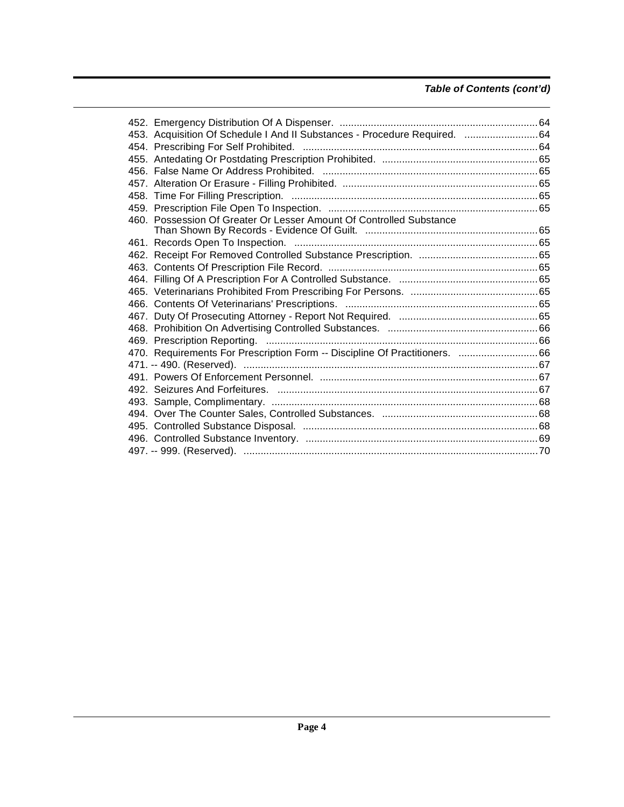### **Table of Contents (cont'd)**

| 453. Acquisition Of Schedule I And II Substances - Procedure Required. 64   |  |
|-----------------------------------------------------------------------------|--|
|                                                                             |  |
|                                                                             |  |
|                                                                             |  |
|                                                                             |  |
|                                                                             |  |
|                                                                             |  |
| 460. Possession Of Greater Or Lesser Amount Of Controlled Substance         |  |
|                                                                             |  |
|                                                                             |  |
|                                                                             |  |
|                                                                             |  |
|                                                                             |  |
|                                                                             |  |
|                                                                             |  |
|                                                                             |  |
|                                                                             |  |
|                                                                             |  |
| 470. Requirements For Prescription Form -- Discipline Of Practitioners.  66 |  |
|                                                                             |  |
|                                                                             |  |
|                                                                             |  |
|                                                                             |  |
|                                                                             |  |
|                                                                             |  |
|                                                                             |  |
|                                                                             |  |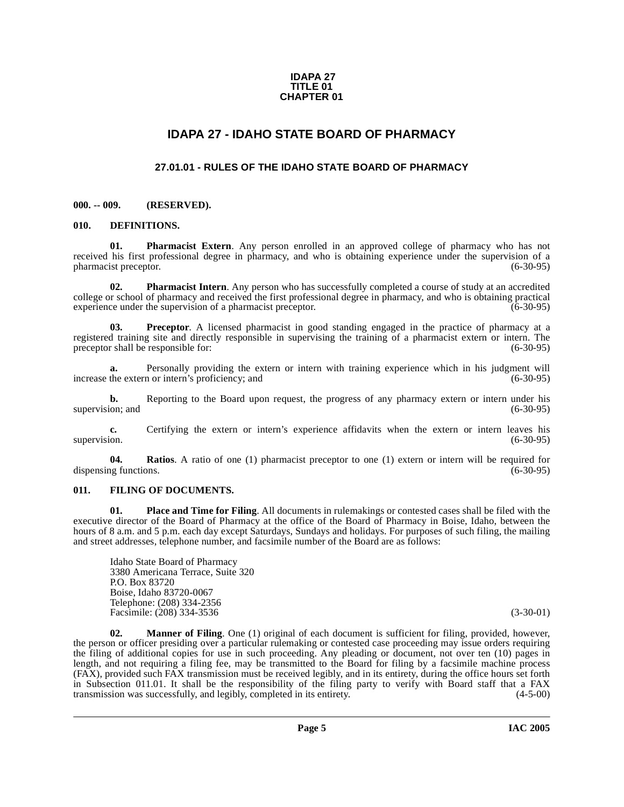#### **IDAPA 27 TITLE 01 CHAPTER 01**

### **IDAPA 27 - IDAHO STATE BOARD OF PHARMACY**

### **27.01.01 - RULES OF THE IDAHO STATE BOARD OF PHARMACY**

#### <span id="page-4-2"></span><span id="page-4-1"></span><span id="page-4-0"></span>**000. -- 009. (RESERVED).**

#### <span id="page-4-3"></span>**010. DEFINITIONS.**

**01. Pharmacist Extern**. Any person enrolled in an approved college of pharmacy who has not received his first professional degree in pharmacy, and who is obtaining experience under the supervision of a pharmacist preceptor. (6-30-95)

**02. Pharmacist Intern**. Any person who has successfully completed a course of study at an accredited college or school of pharmacy and received the first professional degree in pharmacy, and who is obtaining practical experience under the supervision of a pharmacist preceptor. (6-30-95) experience under the supervision of a pharmacist preceptor.

**03. Preceptor**. A licensed pharmacist in good standing engaged in the practice of pharmacy at a registered training site and directly responsible in supervising the training of a pharmacist extern or intern. The preceptor shall be responsible for: (6-30-95)

**a.** Personally providing the extern or intern with training experience which in his judgment will increase the extern or intern's proficiency; and (6-30-95)

**b.** Reporting to the Board upon request, the progress of any pharmacy extern or intern under his (6-30-95) (6-30-95) supervision; and

**c.** Certifying the extern or intern's experience affidavits when the extern or intern leaves his supervision. (6-30-95)

**04. Ratios**. A ratio of one (1) pharmacist preceptor to one (1) extern or intern will be required for dispensing functions. (6-30-95)

#### <span id="page-4-4"></span>**011. FILING OF DOCUMENTS.**

**01. Place and Time for Filing**. All documents in rulemakings or contested cases shall be filed with the executive director of the Board of Pharmacy at the office of the Board of Pharmacy in Boise, Idaho, between the hours of 8 a.m. and 5 p.m. each day except Saturdays, Sundays and holidays. For purposes of such filing, the mailing and street addresses, telephone number, and facsimile number of the Board are as follows:

Idaho State Board of Pharmacy 3380 Americana Terrace, Suite 320 P.O. Box 83720 Boise, Idaho 83720-0067 Telephone: (208) 334-2356 Facsimile: (208) 334-3536 (3-30-01)

**02. Manner of Filing**. One (1) original of each document is sufficient for filing, provided, however, the person or officer presiding over a particular rulemaking or contested case proceeding may issue orders requiring the filing of additional copies for use in such proceeding. Any pleading or document, not over ten (10) pages in length, and not requiring a filing fee, may be transmitted to the Board for filing by a facsimile machine process (FAX), provided such FAX transmission must be received legibly, and in its entirety, during the office hours set forth in Subsection 011.01. It shall be the responsibility of the filing party to verify with Board staff that a FAX<br>transmission was successfully, and legibly, completed in its entirety. (4-5-00) transmission was successfully, and legibly, completed in its entirety.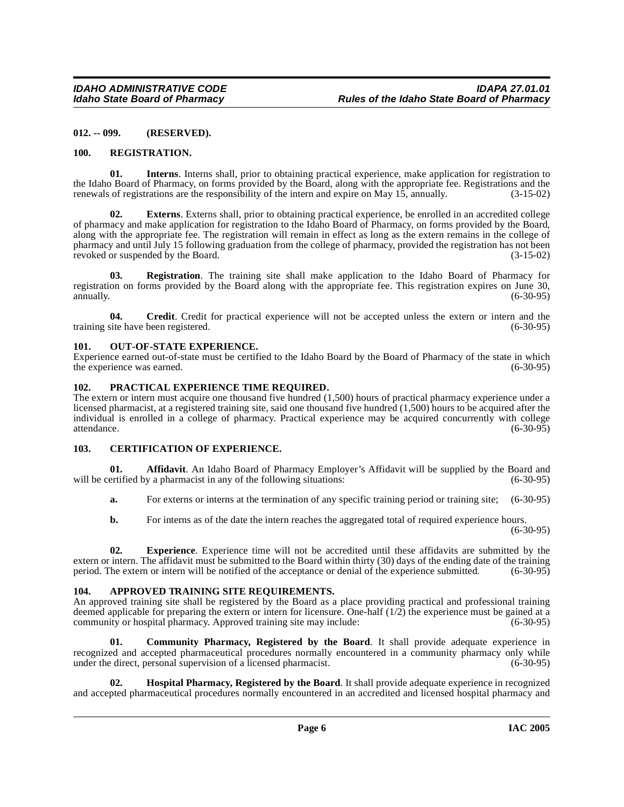#### <span id="page-5-0"></span>**012. -- 099. (RESERVED).**

#### <span id="page-5-1"></span>**100. REGISTRATION.**

**01. Interns**. Interns shall, prior to obtaining practical experience, make application for registration to the Idaho Board of Pharmacy, on forms provided by the Board, along with the appropriate fee. Registrations and the renewals of registrations are the responsibility of the intern and expire on May 15, annually. (3-15-02)

**Externs**. Externs shall, prior to obtaining practical experience, be enrolled in an accredited college of pharmacy and make application for registration to the Idaho Board of Pharmacy, on forms provided by the Board, along with the appropriate fee. The registration will remain in effect as long as the extern remains in the college of pharmacy and until July 15 following graduation from the college of pharmacy, provided the registration has not been revoked or suspended by the Board. (3-15-02)

**03. Registration**. The training site shall make application to the Idaho Board of Pharmacy for registration on forms provided by the Board along with the appropriate fee. This registration expires on June 30, annually. (6-30-95) annually. (6-30-95)

**04. Credit**. Credit for practical experience will not be accepted unless the extern or intern and the training site have been registered. (6-30-95)

#### <span id="page-5-2"></span>**101. OUT-OF-STATE EXPERIENCE.**

Experience earned out-of-state must be certified to the Idaho Board by the Board of Pharmacy of the state in which the experience was earned. (6-30-95) (6-30-95)

#### <span id="page-5-3"></span>**102. PRACTICAL EXPERIENCE TIME REQUIRED.**

The extern or intern must acquire one thousand five hundred (1,500) hours of practical pharmacy experience under a licensed pharmacist, at a registered training site, said one thousand five hundred (1,500) hours to be acquired after the individual is enrolled in a college of pharmacy. Practical experience may be acquired concurrently with college attendance. (6-30-95)

#### <span id="page-5-4"></span>**103. CERTIFICATION OF EXPERIENCE.**

**01. Affidavit**. An Idaho Board of Pharmacy Employer's Affidavit will be supplied by the Board and ertified by a pharmacist in any of the following situations: (6-30-95) will be certified by a pharmacist in any of the following situations:

- **a.** For externs or interns at the termination of any specific training period or training site; (6-30-95)
- **b.** For interns as of the date the intern reaches the aggregated total of required experience hours.  $(6-30-95)$

**02. Experience**. Experience time will not be accredited until these affidavits are submitted by the extern or intern. The affidavit must be submitted to the Board within thirty (30) days of the ending date of the training period. The extern or intern will be notified of the acceptance or denial of the experience submitte period. The extern or intern will be notified of the acceptance or denial of the experience submitted.

#### <span id="page-5-5"></span>**104. APPROVED TRAINING SITE REQUIREMENTS.**

An approved training site shall be registered by the Board as a place providing practical and professional training deemed applicable for preparing the extern or intern for licensure. One-half  $(1/2)$  the experience must be gained at a community or hospital pharmacy. Approved training site may include:  $(6-30-95)$ community or hospital pharmacy. Approved training site may include:

**Community Pharmacy, Registered by the Board.** It shall provide adequate experience in recognized and accepted pharmaceutical procedures normally encountered in a community pharmacy only while under the direct, personal supervision of a licensed pharmacist. (6-30-95)

**02. Hospital Pharmacy, Registered by the Board**. It shall provide adequate experience in recognized and accepted pharmaceutical procedures normally encountered in an accredited and licensed hospital pharmacy and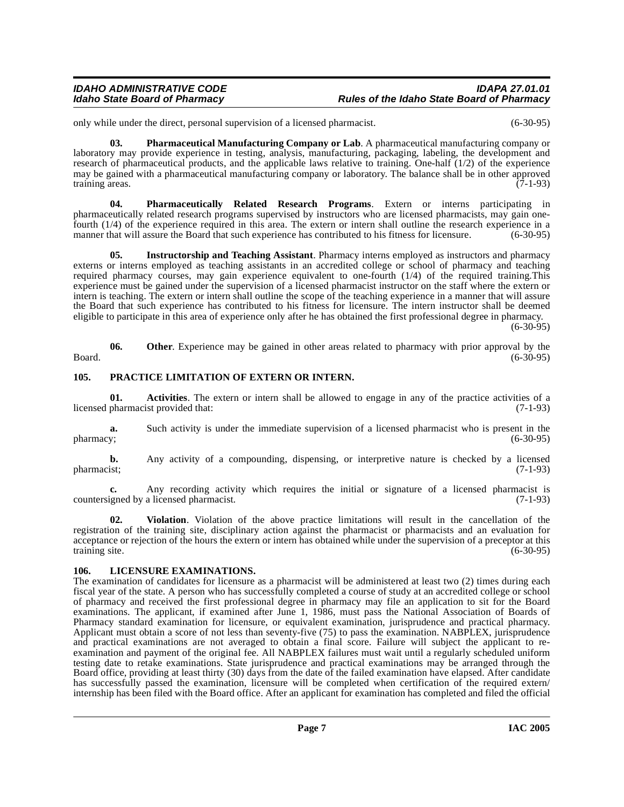#### IDAHO ADMINISTRATIVE CODE<br>Idaho State Board of Pharmacy **Integrative State Board of Pharmacy** Rules of the Idaho State Board of Pharmacy **Idaho State Board of Pharmacy Rules of the Idaho State Board of Pharmacy**

only while under the direct, personal supervision of a licensed pharmacist. (6-30-95)

**03. Pharmaceutical Manufacturing Company or Lab**. A pharmaceutical manufacturing company or laboratory may provide experience in testing, analysis, manufacturing, packaging, labeling, the development and research of pharmaceutical products, and the applicable laws relative to training. One-half (1/2) of the experience may be gained with a pharmaceutical manufacturing company or laboratory. The balance shall be in other approved<br>(7-1-93) training areas.

**04. Pharmaceutically Related Research Programs**. Extern or interns participating in pharmaceutically related research programs supervised by instructors who are licensed pharmacists, may gain onefourth (1/4) of the experience required in this area. The extern or intern shall outline the research experience in a manner that will assure the Board that such experience has contributed to his fitness for licensure.

**05. Instructorship and Teaching Assistant**. Pharmacy interns employed as instructors and pharmacy externs or interns employed as teaching assistants in an accredited college or school of pharmacy and teaching required pharmacy courses, may gain experience equivalent to one-fourth (1/4) of the required training.This experience must be gained under the supervision of a licensed pharmacist instructor on the staff where the extern or intern is teaching. The extern or intern shall outline the scope of the teaching experience in a manner that will assure the Board that such experience has contributed to his fitness for licensure. The intern instructor shall be deemed eligible to participate in this area of experience only after he has obtained the first professional degree in pharmacy.

 $(6-30-95)$ 

**06.** Other. Experience may be gained in other areas related to pharmacy with prior approval by the (6-30-95) Board. (6-30-95)

#### <span id="page-6-0"></span>**105. PRACTICE LIMITATION OF EXTERN OR INTERN.**

**01. Activities**. The extern or intern shall be allowed to engage in any of the practice activities of a licensed pharmacist provided that: (7-1-93)

**a.** Such activity is under the immediate supervision of a licensed pharmacist who is present in the pharmacy; (6-30-95) pharmacy; (6-30-95)

**b.** Any activity of a compounding, dispensing, or interpretive nature is checked by a licensed pharmacist; (7-1-93) pharmacist; (7-1-93)

**c.** Any recording activity which requires the initial or signature of a licensed pharmacist is countersigned by a licensed pharmacist. (7-1-93)

**02. Violation**. Violation of the above practice limitations will result in the cancellation of the registration of the training site, disciplinary action against the pharmacist or pharmacists and an evaluation for acceptance or rejection of the hours the extern or intern has obtained while under the supervision of a preceptor at this training site. (6-30-95)

#### <span id="page-6-1"></span>**106. LICENSURE EXAMINATIONS.**

The examination of candidates for licensure as a pharmacist will be administered at least two (2) times during each fiscal year of the state. A person who has successfully completed a course of study at an accredited college or school of pharmacy and received the first professional degree in pharmacy may file an application to sit for the Board examinations. The applicant, if examined after June 1, 1986, must pass the National Association of Boards of Pharmacy standard examination for licensure, or equivalent examination, jurisprudence and practical pharmacy. Applicant must obtain a score of not less than seventy-five (75) to pass the examination. NABPLEX, jurisprudence and practical examinations are not averaged to obtain a final score. Failure will subject the applicant to reexamination and payment of the original fee. All NABPLEX failures must wait until a regularly scheduled uniform testing date to retake examinations. State jurisprudence and practical examinations may be arranged through the Board office, providing at least thirty (30) days from the date of the failed examination have elapsed. After candidate has successfully passed the examination, licensure will be completed when certification of the required extern/ internship has been filed with the Board office. After an applicant for examination has completed and filed the official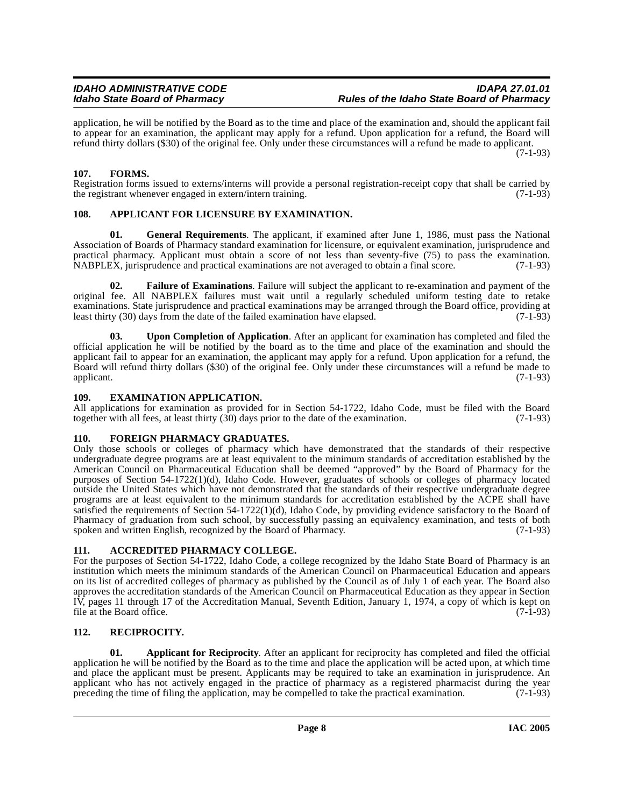application, he will be notified by the Board as to the time and place of the examination and, should the applicant fail to appear for an examination, the applicant may apply for a refund. Upon application for a refund, the Board will refund thirty dollars (\$30) of the original fee. Only under these circumstances will a refund be made to applicant. (7-1-93)

#### <span id="page-7-0"></span>**107. FORMS.**

Registration forms issued to externs/interns will provide a personal registration-receipt copy that shall be carried by the registrant whenever engaged in extern/intern training. (7-1-93)

#### <span id="page-7-1"></span>**108. APPLICANT FOR LICENSURE BY EXAMINATION.**

**01. General Requirements**. The applicant, if examined after June 1, 1986, must pass the National Association of Boards of Pharmacy standard examination for licensure, or equivalent examination, jurisprudence and practical pharmacy. Applicant must obtain a score of not less than seventy-five (75) to pass the examination. NABPLEX, jurisprudence and practical examinations are not averaged to obtain a final score. (7-1-93)

**02. Failure of Examinations**. Failure will subject the applicant to re-examination and payment of the original fee. All NABPLEX failures must wait until a regularly scheduled uniform testing date to retake examinations. State jurisprudence and practical examinations may be arranged through the Board office, providing at least thirty (30) days from the date of the failed examination have elapsed. (7-1-93)

**03. Upon Completion of Application**. After an applicant for examination has completed and filed the official application he will be notified by the board as to the time and place of the examination and should the applicant fail to appear for an examination, the applicant may apply for a refund. Upon application for a refund, the Board will refund thirty dollars (\$30) of the original fee. Only under these circumstances will a refund be made to applicant. (7-1-93)

#### <span id="page-7-2"></span>**109. EXAMINATION APPLICATION.**

All applications for examination as provided for in Section 54-1722, Idaho Code, must be filed with the Board together with all fees, at least thirty (30) days prior to the date of the examination. (7-1-93) together with all fees, at least thirty  $(30)$  days prior to the date of the examination.

#### <span id="page-7-3"></span>**110. FOREIGN PHARMACY GRADUATES.**

Only those schools or colleges of pharmacy which have demonstrated that the standards of their respective undergraduate degree programs are at least equivalent to the minimum standards of accreditation established by the American Council on Pharmaceutical Education shall be deemed "approved" by the Board of Pharmacy for the purposes of Section 54-1722(1)(d), Idaho Code. However, graduates of schools or colleges of pharmacy located outside the United States which have not demonstrated that the standards of their respective undergraduate degree programs are at least equivalent to the minimum standards for accreditation established by the ACPE shall have satisfied the requirements of Section 54-1722(1)(d), Idaho Code, by providing evidence satisfactory to the Board of Pharmacy of graduation from such school, by successfully passing an equivalency examination, and tests of both spoken and written English, recognized by the Board of Pharmacy. (7-1-93)

### <span id="page-7-4"></span>**111. ACCREDITED PHARMACY COLLEGE.**

For the purposes of Section 54-1722, Idaho Code, a college recognized by the Idaho State Board of Pharmacy is an institution which meets the minimum standards of the American Council on Pharmaceutical Education and appears on its list of accredited colleges of pharmacy as published by the Council as of July 1 of each year. The Board also approves the accreditation standards of the American Council on Pharmaceutical Education as they appear in Section IV, pages 11 through 17 of the Accreditation Manual, Seventh Edition, January 1, 1974, a copy of which is kept on file at the Board office. (7-1-93)

### <span id="page-7-5"></span>**112. RECIPROCITY.**

**01. Applicant for Reciprocity**. After an applicant for reciprocity has completed and filed the official application he will be notified by the Board as to the time and place the application will be acted upon, at which time and place the applicant must be present. Applicants may be required to take an examination in jurisprudence. An applicant who has not actively engaged in the practice of pharmacy as a registered pharmacist during the year preceding the time of filing the application, may be compelled to take the practical examination.  $(7-1-93)$ preceding the time of filing the application, may be compelled to take the practical examination.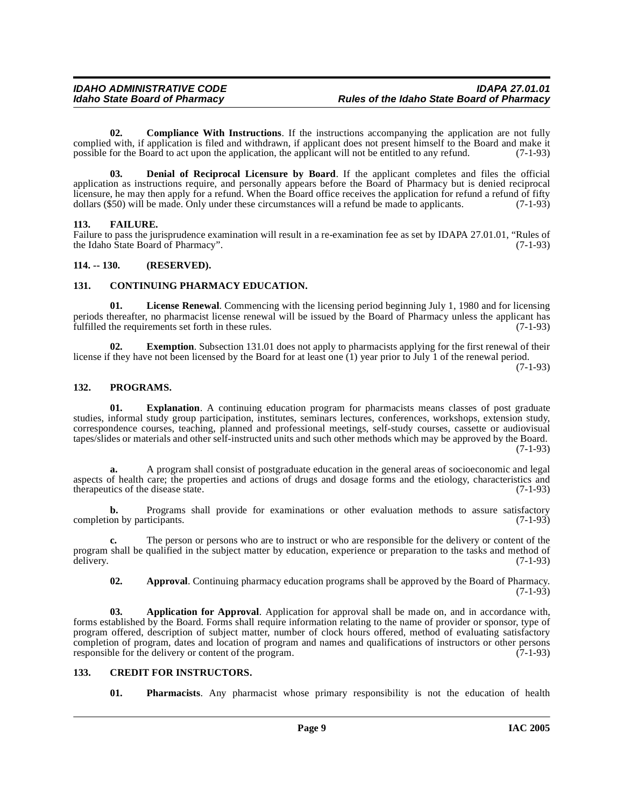**02. Compliance With Instructions**. If the instructions accompanying the application are not fully complied with, if application is filed and withdrawn, if applicant does not present himself to the Board and make it possible for the Board to act upon the application, the applicant will not be entitled to any refund. (7possible for the Board to act upon the application, the applicant will not be entitled to any refund.

**03. Denial of Reciprocal Licensure by Board**. If the applicant completes and files the official application as instructions require, and personally appears before the Board of Pharmacy but is denied reciprocal licensure, he may then apply for a refund. When the Board office receives the application for refund a refund of fifty dollars (\$50) will be made. Only under these circumstances will a refund be made to applicants. (7-1-93)

#### <span id="page-8-0"></span>**113. FAILURE.**

Failure to pass the jurisprudence examination will result in a re-examination fee as set by IDAPA 27.01.01, "Rules of the Idaho State Board of Pharmacy". the Idaho State Board of Pharmacy".

#### <span id="page-8-1"></span>**114. -- 130. (RESERVED).**

#### <span id="page-8-2"></span>**131. CONTINUING PHARMACY EDUCATION.**

**01. License Renewal**. Commencing with the licensing period beginning July 1, 1980 and for licensing periods thereafter, no pharmacist license renewal will be issued by the Board of Pharmacy unless the applicant has fulfilled the requirements set forth in these rules. (7-1-93) fulfilled the requirements set forth in these rules.

**02. Exemption**. Subsection 131.01 does not apply to pharmacists applying for the first renewal of their license if they have not been licensed by the Board for at least one (1) year prior to July 1 of the renewal period.

(7-1-93)

#### <span id="page-8-3"></span>**132. PROGRAMS.**

**01. Explanation**. A continuing education program for pharmacists means classes of post graduate studies, informal study group participation, institutes, seminars lectures, conferences, workshops, extension study, correspondence courses, teaching, planned and professional meetings, self-study courses, cassette or audiovisual tapes/slides or materials and other self-instructed units and such other methods which may be approved by the Board. (7-1-93)

**a.** A program shall consist of postgraduate education in the general areas of socioeconomic and legal aspects of health care; the properties and actions of drugs and dosage forms and the etiology, characteristics and therapeutics of the disease state. (7-1-93)

**b.** Programs shall provide for examinations or other evaluation methods to assure satisfactory on by participants. (7-1-93) completion by participants.

**c.** The person or persons who are to instruct or who are responsible for the delivery or content of the program shall be qualified in the subject matter by education, experience or preparation to the tasks and method of delivery. (7-1-93) delivery. (7-1-93)

**02. Approval**. Continuing pharmacy education programs shall be approved by the Board of Pharmacy.  $(7-1-93)$ 

**03. Application for Approval**. Application for approval shall be made on, and in accordance with, forms established by the Board. Forms shall require information relating to the name of provider or sponsor, type of program offered, description of subject matter, number of clock hours offered, method of evaluating satisfactory completion of program, dates and location of program and names and qualifications of instructors or other persons responsible for the delivery or content of the program. (7-1-93)

#### <span id="page-8-4"></span>**133. CREDIT FOR INSTRUCTORS.**

**01. Pharmacists**. Any pharmacist whose primary responsibility is not the education of health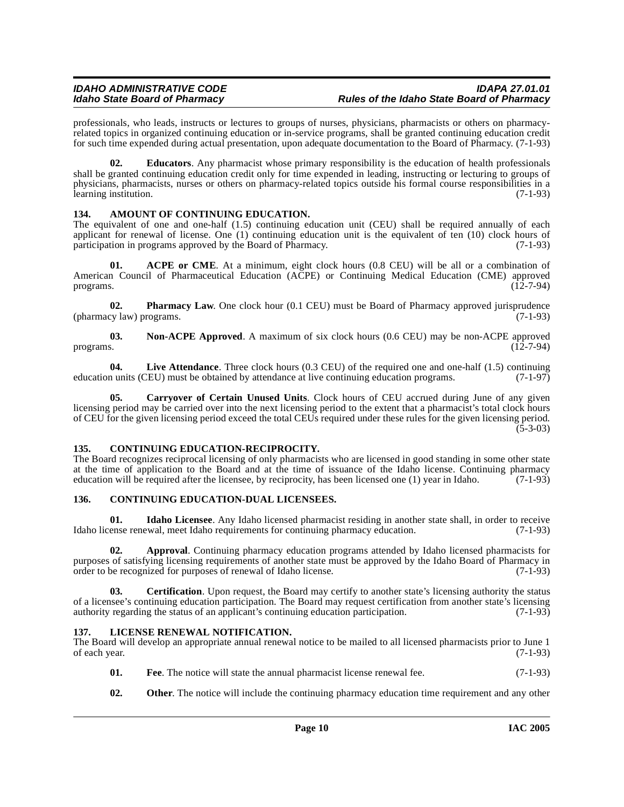professionals, who leads, instructs or lectures to groups of nurses, physicians, pharmacists or others on pharmacyrelated topics in organized continuing education or in-service programs, shall be granted continuing education credit for such time expended during actual presentation, upon adequate documentation to the Board of Pharmacy. (7-1-93)

**02. Educators**. Any pharmacist whose primary responsibility is the education of health professionals shall be granted continuing education credit only for time expended in leading, instructing or lecturing to groups of physicians, pharmacists, nurses or others on pharmacy-related topics outside his formal course responsibilities in a learning institution. (7-1-93)

#### <span id="page-9-0"></span>**134. AMOUNT OF CONTINUING EDUCATION.**

The equivalent of one and one-half (1.5) continuing education unit (CEU) shall be required annually of each applicant for renewal of license. One (1) continuing education unit is the equivalent of ten (10) clock hours of participation in programs approved by the Board of Pharmacy.  $(7-1-93)$ participation in programs approved by the Board of Pharmacy.

**01. ACPE or CME**. At a minimum, eight clock hours (0.8 CEU) will be all or a combination of American Council of Pharmaceutical Education (ACPE) or Continuing Medical Education (CME) approved programs. (12-7-94) programs.  $(12-7-94)$ 

**02. Pharmacy Law**. One clock hour (0.1 CEU) must be Board of Pharmacy approved jurisprudence by law) programs. (7-1-93)  $(\text{pharmacy law})$  programs.

**03.** Non-ACPE Approved. A maximum of six clock hours (0.6 CEU) may be non-ACPE approved programs. (12-7-94) programs.  $(12-7-94)$ 

**04.** Live Attendance. Three clock hours (0.3 CEU) of the required one and one-half (1.5) continuing numits (CEU) must be obtained by attendance at live continuing education programs. (7-1-97) education units (CEU) must be obtained by attendance at live continuing education programs.

**05. Carryover of Certain Unused Units**. Clock hours of CEU accrued during June of any given licensing period may be carried over into the next licensing period to the extent that a pharmacist's total clock hours of CEU for the given licensing period exceed the total CEUs required under these rules for the given licensing period.  $(5-3-03)$ 

#### <span id="page-9-1"></span>**135. CONTINUING EDUCATION-RECIPROCITY.**

The Board recognizes reciprocal licensing of only pharmacists who are licensed in good standing in some other state at the time of application to the Board and at the time of issuance of the Idaho license. Continuing pharmacy education will be required after the licensee, by reciprocity, has been licensed one (1) year in Idaho. (7-1-93)

### <span id="page-9-2"></span>**136. CONTINUING EDUCATION-DUAL LICENSEES.**

**01. Idaho Licensee**. Any Idaho licensed pharmacist residing in another state shall, in order to receive Idaho license renewal, meet Idaho requirements for continuing pharmacy education. (7-1-93)

**02. Approval**. Continuing pharmacy education programs attended by Idaho licensed pharmacists for purposes of satisfying licensing requirements of another state must be approved by the Idaho Board of Pharmacy in order to be recognized for purposes of renewal of Idaho license. (7-1-93) order to be recognized for purposes of renewal of Idaho license.

**03. Certification**. Upon request, the Board may certify to another state's licensing authority the status of a licensee's continuing education participation. The Board may request certification from another state's licensing authority regarding the status of an applicant's continuing education participation. (7-1-93) authority regarding the status of an applicant's continuing education participation.

### <span id="page-9-3"></span>**137. LICENSE RENEWAL NOTIFICATION.**

The Board will develop an appropriate annual renewal notice to be mailed to all licensed pharmacists prior to June 1 of each year. (7-1-93)

- **01.** Fee. The notice will state the annual pharmacist license renewal fee.  $(7-1-93)$
- **02. Other**. The notice will include the continuing pharmacy education time requirement and any other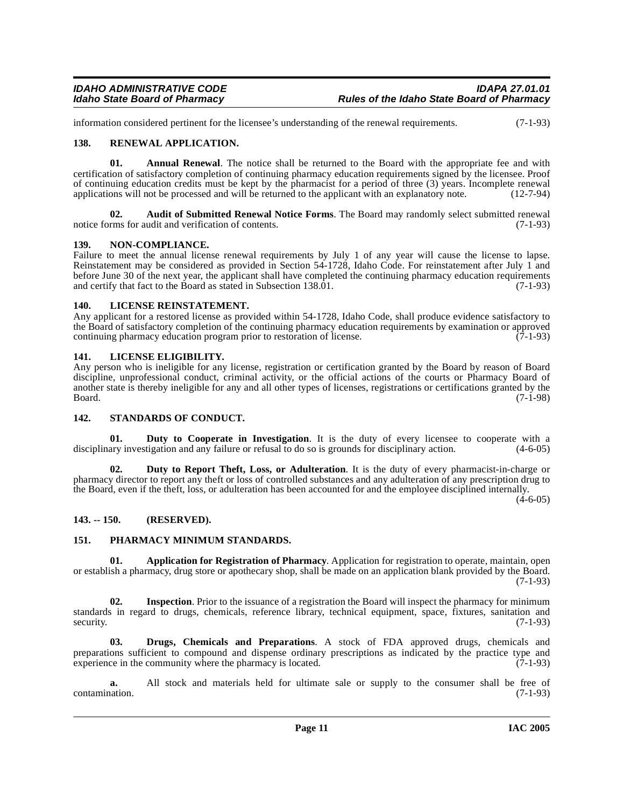information considered pertinent for the licensee's understanding of the renewal requirements. (7-1-93)

#### <span id="page-10-0"></span>**138. RENEWAL APPLICATION.**

**01. Annual Renewal**. The notice shall be returned to the Board with the appropriate fee and with certification of satisfactory completion of continuing pharmacy education requirements signed by the licensee. Proof of continuing education credits must be kept by the pharmacist for a period of three (3) years. Incomplete renewal applications will not be processed and will be returned to the applicant with an explanatory note. (12-7-94)

**02. Audit of Submitted Renewal Notice Forms**. The Board may randomly select submitted renewal notice forms for audit and verification of contents. (7-1-93)

#### <span id="page-10-1"></span>**139. NON-COMPLIANCE.**

Failure to meet the annual license renewal requirements by July 1 of any year will cause the license to lapse. Reinstatement may be considered as provided in Section 54-1728, Idaho Code. For reinstatement after July 1 and before June 30 of the next year, the applicant shall have completed the continuing pharmacy education requirements and certify that fact to the Board as stated in Subsection 138.01. (7-1-93) and certify that fact to the Board as stated in Subsection 138.01.

#### <span id="page-10-2"></span>**140. LICENSE REINSTATEMENT.**

Any applicant for a restored license as provided within 54-1728, Idaho Code, shall produce evidence satisfactory to the Board of satisfactory completion of the continuing pharmacy education requirements by examination or approved<br>continuing pharmacy education program prior to restoration of license. continuing pharmacy education program prior to restoration of license.

#### <span id="page-10-3"></span>**141. LICENSE ELIGIBILITY.**

Any person who is ineligible for any license, registration or certification granted by the Board by reason of Board discipline, unprofessional conduct, criminal activity, or the official actions of the courts or Pharmacy Board of another state is thereby ineligible for any and all other types of licenses, registrations or certifications granted by the Board. (7-1-98) Board. (7-1-98)

#### <span id="page-10-4"></span>**142. STANDARDS OF CONDUCT.**

**01. Duty to Cooperate in Investigation**. It is the duty of every licensee to cooperate with a ary investigation and any failure or refusal to do so is grounds for disciplinary action. (4-6-05) disciplinary investigation and any failure or refusal to do so is grounds for disciplinary action.

**02. Duty to Report Theft, Loss, or Adulteration**. It is the duty of every pharmacist-in-charge or pharmacy director to report any theft or loss of controlled substances and any adulteration of any prescription drug to the Board, even if the theft, loss, or adulteration has been accounted for and the employee disciplined internally.

 $(4-6-05)$ 

#### <span id="page-10-5"></span>**143. -- 150. (RESERVED).**

#### <span id="page-10-6"></span>**151. PHARMACY MINIMUM STANDARDS.**

**01. Application for Registration of Pharmacy**. Application for registration to operate, maintain, open or establish a pharmacy, drug store or apothecary shop, shall be made on an application blank provided by the Board. (7-1-93)

**02.** Inspection. Prior to the issuance of a registration the Board will inspect the pharmacy for minimum standards in regard to drugs, chemicals, reference library, technical equipment, space, fixtures, sanitation and security. (7-1-93) security.  $(7-1-93)$ 

**Drugs, Chemicals and Preparations.** A stock of FDA approved drugs, chemicals and preparations sufficient to compound and dispense ordinary prescriptions as indicated by the practice type and experience in the community where the pharmacy is located. (7-1-93)

**a.** All stock and materials held for ultimate sale or supply to the consumer shall be free of nation. (7-1-93) contamination.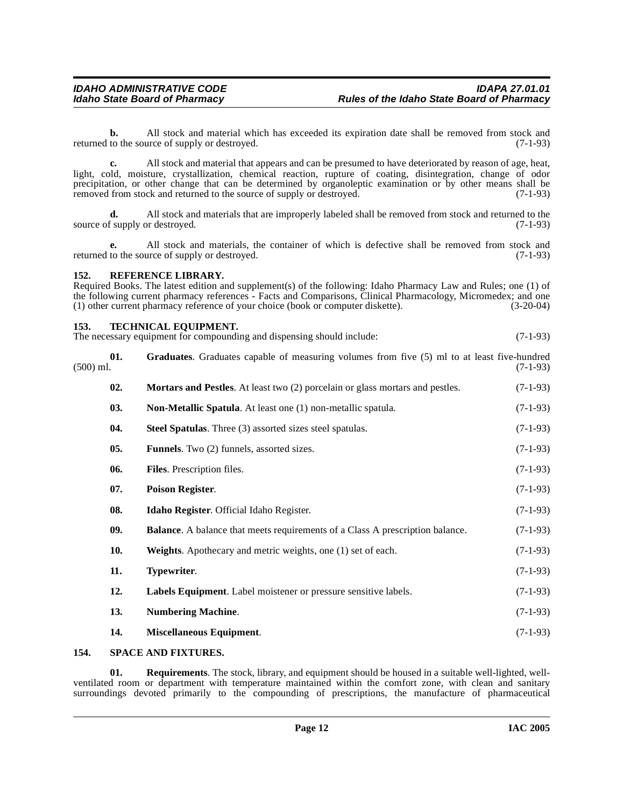**b.** All stock and material which has exceeded its expiration date shall be removed from stock and to the source of supply or destroyed. (7-1-93) returned to the source of supply or destroyed.

**c.** All stock and material that appears and can be presumed to have deteriorated by reason of age, heat, light, cold, moisture, crystallization, chemical reaction, rupture of coating, disintegration, change of odor precipitation, or other change that can be determined by organoleptic examination or by other means shall be removed from stock and returned to the source of supply or destroyed. (7-1-93)

**d.** All stock and materials that are improperly labeled shall be removed from stock and returned to the f supply or destroyed. (7-1-93) source of supply or destroyed.

**e.** All stock and materials, the container of which is defective shall be removed from stock and returned to the source of supply or destroyed. (7-1-93)

#### <span id="page-11-0"></span>**152. REFERENCE LIBRARY.**

Required Books. The latest edition and supplement(s) of the following: Idaho Pharmacy Law and Rules; one (1) of the following current pharmacy references - Facts and Comparisons, Clinical Pharmacology, Micromedex; and one (1) other current pharmacy reference of your choice (book or computer diskette). (3-20-04)

#### <span id="page-11-1"></span>**153. TECHNICAL EQUIPMENT.**

The necessary equipment for compounding and dispensing should include: (7-1-93)

| $(500)$ ml. | 01. | <b>Graduates.</b> Graduates capable of measuring volumes from five (5) ml to at least five-hundred | $(7-1-93)$ |
|-------------|-----|----------------------------------------------------------------------------------------------------|------------|
|             | 02. | Mortars and Pestles. At least two (2) porcelain or glass mortars and pestles.                      | $(7-1-93)$ |
|             | 03. | Non-Metallic Spatula. At least one (1) non-metallic spatula.                                       | $(7-1-93)$ |
|             | 04. | Steel Spatulas. Three (3) assorted sizes steel spatulas.                                           | $(7-1-93)$ |
|             | 05. | <b>Funnels</b> . Two (2) funnels, assorted sizes.                                                  | $(7-1-93)$ |
|             | 06. | Files. Prescription files.                                                                         | $(7-1-93)$ |
|             | 07. | <b>Poison Register.</b>                                                                            | $(7-1-93)$ |
|             | 08. | Idaho Register. Official Idaho Register.                                                           | $(7-1-93)$ |
|             | 09. | <b>Balance</b> . A balance that meets requirements of a Class A prescription balance.              | $(7-1-93)$ |
|             | 10. | Weights. Apothecary and metric weights, one (1) set of each.                                       | $(7-1-93)$ |
|             | 11. | Typewriter.                                                                                        | $(7-1-93)$ |
|             | 12. | Labels Equipment. Label moistener or pressure sensitive labels.                                    | $(7-1-93)$ |
|             | 13. | <b>Numbering Machine.</b>                                                                          | $(7-1-93)$ |
|             | 14. | Miscellaneous Equipment.                                                                           | $(7-1-93)$ |
|             |     |                                                                                                    |            |

#### <span id="page-11-2"></span>**154. SPACE AND FIXTURES.**

**01. Requirements**. The stock, library, and equipment should be housed in a suitable well-lighted, wellventilated room or department with temperature maintained within the comfort zone, with clean and sanitary surroundings devoted primarily to the compounding of prescriptions, the manufacture of pharmaceutical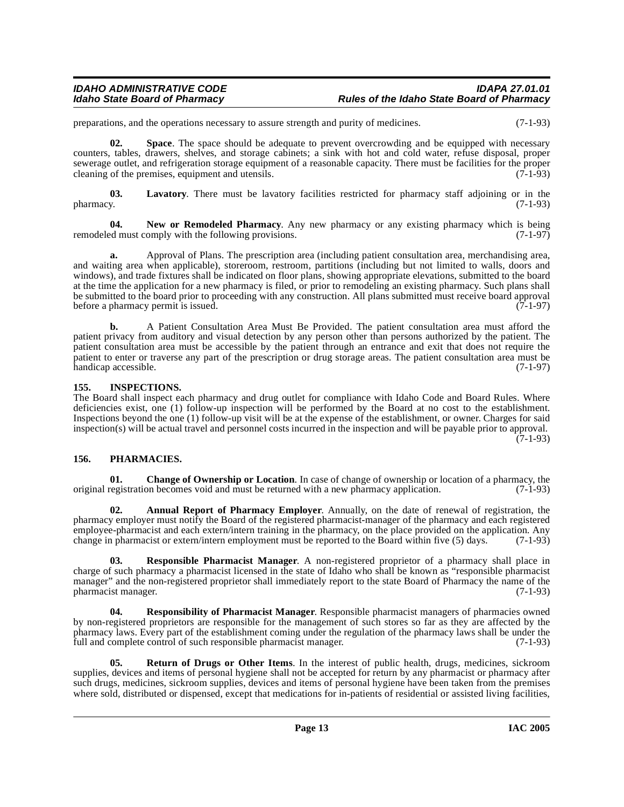## IDAHO ADMINISTRATIVE CODE<br>Idaho State Board of Pharmacy **Integrative State Board of Pharmacy** Rules of the Idaho State Board of Pharmacy

preparations, and the operations necessary to assure strength and purity of medicines. (7-1-93)

**02. Space**. The space should be adequate to prevent overcrowding and be equipped with necessary counters, tables, drawers, shelves, and storage cabinets; a sink with hot and cold water, refuse disposal, proper sewerage outlet, and refrigeration storage equipment of a reasonable capacity. There must be facilities for the proper cleaning of the premises, equipment and utensils. (7-1-93) cleaning of the premises, equipment and utensils.

**03.** Lavatory. There must be lavatory facilities restricted for pharmacy staff adjoining or in the pharmacy. (7-1-93) pharmacy. (7-1-93)

**04.** New or Remodeled Pharmacy. Any new pharmacy or any existing pharmacy which is being ed must comply with the following provisions. (7-1-97) remodeled must comply with the following provisions.

**a.** Approval of Plans. The prescription area (including patient consultation area, merchandising area, and waiting area when applicable), storeroom, restroom, partitions (including but not limited to walls, doors and windows), and trade fixtures shall be indicated on floor plans, showing appropriate elevations, submitted to the board at the time the application for a new pharmacy is filed, or prior to remodeling an existing pharmacy. Such plans shall be submitted to the board prior to proceeding with any construction. All plans submitted must receive board approval before a pharmacy permit is issued. (7-1-97)

**b.** A Patient Consultation Area Must Be Provided. The patient consultation area must afford the patient privacy from auditory and visual detection by any person other than persons authorized by the patient. The patient consultation area must be accessible by the patient through an entrance and exit that does not require the patient to enter or traverse any part of the prescription or drug storage areas. The patient consultation area must be handicap accessible. (7-1-97)

#### <span id="page-12-0"></span>**155. INSPECTIONS.**

The Board shall inspect each pharmacy and drug outlet for compliance with Idaho Code and Board Rules. Where deficiencies exist, one (1) follow-up inspection will be performed by the Board at no cost to the establishment. Inspections beyond the one (1) follow-up visit will be at the expense of the establishment, or owner. Charges for said inspection(s) will be actual travel and personnel costs incurred in the inspection and will be payable prior to approval.  $(7-1-93)$ 

### <span id="page-12-1"></span>**156. PHARMACIES.**

**01.** Change of Ownership or Location. In case of change of ownership or location of a pharmacy, the registration becomes void and must be returned with a new pharmacy application. (7-1-93) original registration becomes void and must be returned with a new pharmacy application.

**02. Annual Report of Pharmacy Employer**. Annually, on the date of renewal of registration, the pharmacy employer must notify the Board of the registered pharmacist-manager of the pharmacy and each registered employee-pharmacist and each extern/intern training in the pharmacy, on the place provided on the application. Any change in pharmacist or extern/intern employment must be reported to the Board within five (5) days. (7-1-93)

**03. Responsible Pharmacist Manager**. A non-registered proprietor of a pharmacy shall place in charge of such pharmacy a pharmacist licensed in the state of Idaho who shall be known as "responsible pharmacist manager" and the non-registered proprietor shall immediately report to the state Board of Pharmacy the name of the pharmacist manager. (7-1-93)

**04. Responsibility of Pharmacist Manager**. Responsible pharmacist managers of pharmacies owned by non-registered proprietors are responsible for the management of such stores so far as they are affected by the pharmacy laws. Every part of the establishment coming under the regulation of the pharmacy laws shall be under the full and complete control of such responsible pharmacist manager. (7-1-93)

**05. Return of Drugs or Other Items**. In the interest of public health, drugs, medicines, sickroom supplies, devices and items of personal hygiene shall not be accepted for return by any pharmacist or pharmacy after such drugs, medicines, sickroom supplies, devices and items of personal hygiene have been taken from the premises where sold, distributed or dispensed, except that medications for in-patients of residential or assisted living facilities,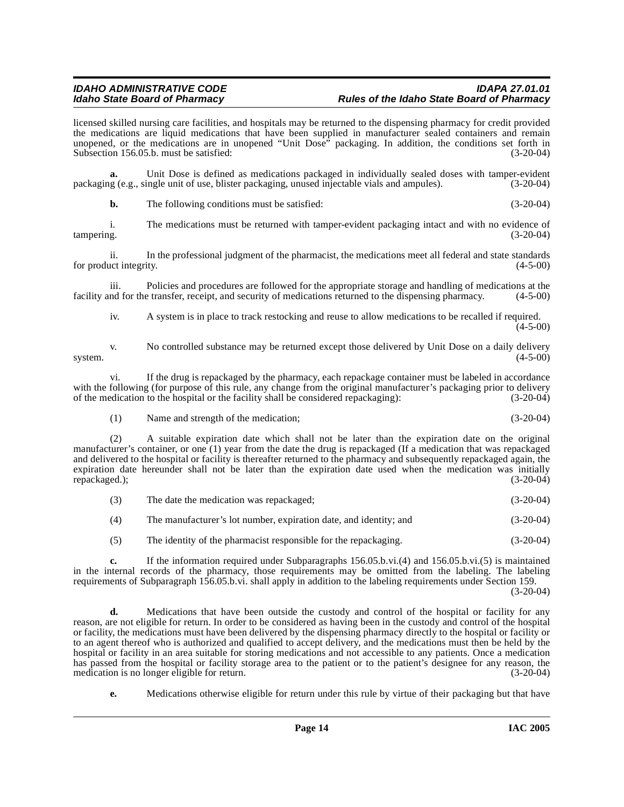licensed skilled nursing care facilities, and hospitals may be returned to the dispensing pharmacy for credit provided the medications are liquid medications that have been supplied in manufacturer sealed containers and remain unopened, or the medications are in unopened "Unit Dose" packaging. In addition, the conditions set forth in Subsection 156.05.b. must be satisfied: (3-20-04)

**a.** Unit Dose is defined as medications packaged in individually sealed doses with tamper-evident in eq. blister packaging, unused injectable vials and ampules). (3-20-04) packaging (e.g., single unit of use, blister packaging, unused injectable vials and ampules).

**b.** The following conditions must be satisfied: (3-20-04)

i. The medications must be returned with tamper-evident packaging intact and with no evidence of  $(3-20-04)$ tampering. (3-20-04)

ii. In the professional judgment of the pharmacist, the medications meet all federal and state standards for product integrity. (4-5-00)

iii. Policies and procedures are followed for the appropriate storage and handling of medications at the nd for the transfer, receipt, and security of medications returned to the dispensing pharmacy. (4-5-00) facility and for the transfer, receipt, and security of medications returned to the dispensing pharmacy.

iv. A system is in place to track restocking and reuse to allow medications to be recalled if required.  $(4-5-00)$ 

v. No controlled substance may be returned except those delivered by Unit Dose on a daily delivery system.  $(4-5-00)$ 

vi. If the drug is repackaged by the pharmacy, each repackage container must be labeled in accordance with the following (for purpose of this rule, any change from the original manufacturer's packaging prior to delivery<br>of the medication to the hospital or the facility shall be considered repackaging): (3-20-04) of the medication to the hospital or the facility shall be considered repackaging):

(1) Name and strength of the medication; (3-20-04)

(2) A suitable expiration date which shall not be later than the expiration date on the original manufacturer's container, or one (1) year from the date the drug is repackaged (If a medication that was repackaged and delivered to the hospital or facility is thereafter returned to the pharmacy and subsequently repackaged again, the expiration date hereunder shall not be later than the expiration date used when the medication was initially repackaged.); (3-20-04) repackaged.);

- (3) The date the medication was repackaged; (3-20-04)
- (4) The manufacturer's lot number, expiration date, and identity; and (3-20-04)
- (5) The identity of the pharmacist responsible for the repackaging. (3-20-04)

**c.** If the information required under Subparagraphs 156.05.b.vi.(4) and 156.05.b.vi.(5) is maintained in the internal records of the pharmacy, those requirements may be omitted from the labeling. The labeling requirements of Subparagraph 156.05.b.vi. shall apply in addition to the labeling requirements under Section 159.

 $(3-20-04)$ 

**d.** Medications that have been outside the custody and control of the hospital or facility for any reason, are not eligible for return. In order to be considered as having been in the custody and control of the hospital or facility, the medications must have been delivered by the dispensing pharmacy directly to the hospital or facility or to an agent thereof who is authorized and qualified to accept delivery, and the medications must then be held by the hospital or facility in an area suitable for storing medications and not accessible to any patients. Once a medication has passed from the hospital or facility storage area to the patient or to the patient's designee for any reason, the medication is no longer eligible for return. (3-20-04) medication is no longer eligible for return.

**e.** Medications otherwise eligible for return under this rule by virtue of their packaging but that have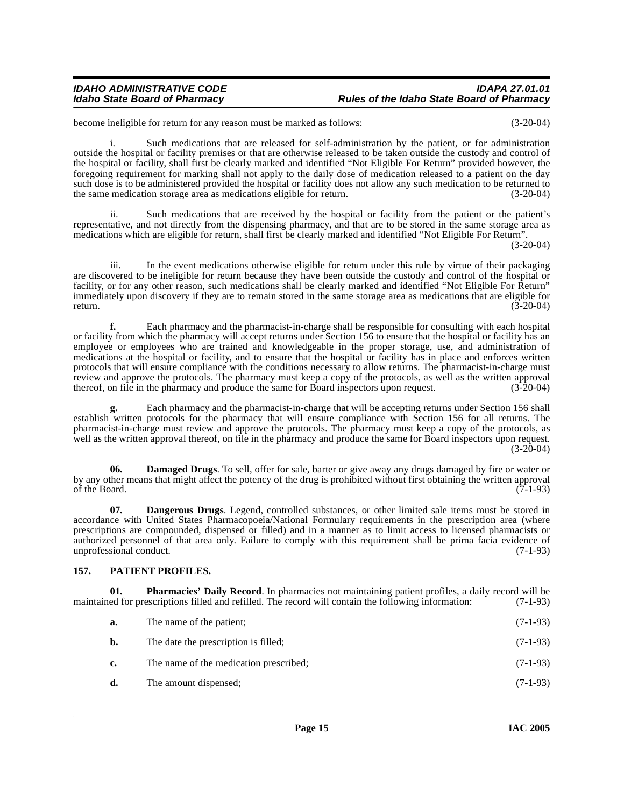#### IDAHO ADMINISTRATIVE CODE<br>Idaho State Board of Pharmacy **Integrative State Board of Pharmacy** Rules of the Idaho State Board of Pharmacy **Idaho State Board of Pharmacy Rules of the Idaho State Board of Pharmacy**

become ineligible for return for any reason must be marked as follows: (3-20-04)

i. Such medications that are released for self-administration by the patient, or for administration outside the hospital or facility premises or that are otherwise released to be taken outside the custody and control of the hospital or facility, shall first be clearly marked and identified "Not Eligible For Return" provided however, the foregoing requirement for marking shall not apply to the daily dose of medication released to a patient on the day such dose is to be administered provided the hospital or facility does not allow any such medication to be returned to the same medication storage area as medications eligible for return. (3-20-04)

ii. Such medications that are received by the hospital or facility from the patient or the patient's representative, and not directly from the dispensing pharmacy, and that are to be stored in the same storage area as medications which are eligible for return, shall first be clearly marked and identified "Not Eligible For Return".

(3-20-04)

iii. In the event medications otherwise eligible for return under this rule by virtue of their packaging are discovered to be ineligible for return because they have been outside the custody and control of the hospital or facility, or for any other reason, such medications shall be clearly marked and identified "Not Eligible For Return" immediately upon discovery if they are to remain stored in the same storage area as medications that are eligible for return. (3-20-04)

**f.** Each pharmacy and the pharmacist-in-charge shall be responsible for consulting with each hospital or facility from which the pharmacy will accept returns under Section 156 to ensure that the hospital or facility has an employee or employees who are trained and knowledgeable in the proper storage, use, and administration of medications at the hospital or facility, and to ensure that the hospital or facility has in place and enforces written protocols that will ensure compliance with the conditions necessary to allow returns. The pharmacist-in-charge must review and approve the protocols. The pharmacy must keep a copy of the protocols, as well as the written approval<br>thereof, on file in the pharmacy and produce the same for Board inspectors upon request. (3-20-04) thereof, on file in the pharmacy and produce the same for Board inspectors upon request.

**g.** Each pharmacy and the pharmacist-in-charge that will be accepting returns under Section 156 shall establish written protocols for the pharmacy that will ensure compliance with Section 156 for all returns. The pharmacist-in-charge must review and approve the protocols. The pharmacy must keep a copy of the protocols, as well as the written approval thereof, on file in the pharmacy and produce the same for Board inspectors upon request. (3-20-04)

**06. Damaged Drugs**. To sell, offer for sale, barter or give away any drugs damaged by fire or water or by any other means that might affect the potency of the drug is prohibited without first obtaining the written approval of the Board. (7-1-93) of the Board.  $(7-1-93)$ 

**07. Dangerous Drugs**. Legend, controlled substances, or other limited sale items must be stored in accordance with United States Pharmacopoeia/National Formulary requirements in the prescription area (where prescriptions are compounded, dispensed or filled) and in a manner as to limit access to licensed pharmacists or authorized personnel of that area only. Failure to comply with this requirement shall be prima facia evidence of unprofessional conduct. (7-1-93)

#### <span id="page-14-0"></span>**157. PATIENT PROFILES.**

**01. Pharmacies' Daily Record**. In pharmacies not maintaining patient profiles, a daily record will be maintained for prescriptions filled and refilled. The record will contain the following information: (7-1-93)

- **a.** The name of the patient; (7-1-93)
- **b.** The date the prescription is filled; (7-1-93)
- **c.** The name of the medication prescribed; (7-1-93)
- **d.** The amount dispensed; (7-1-93)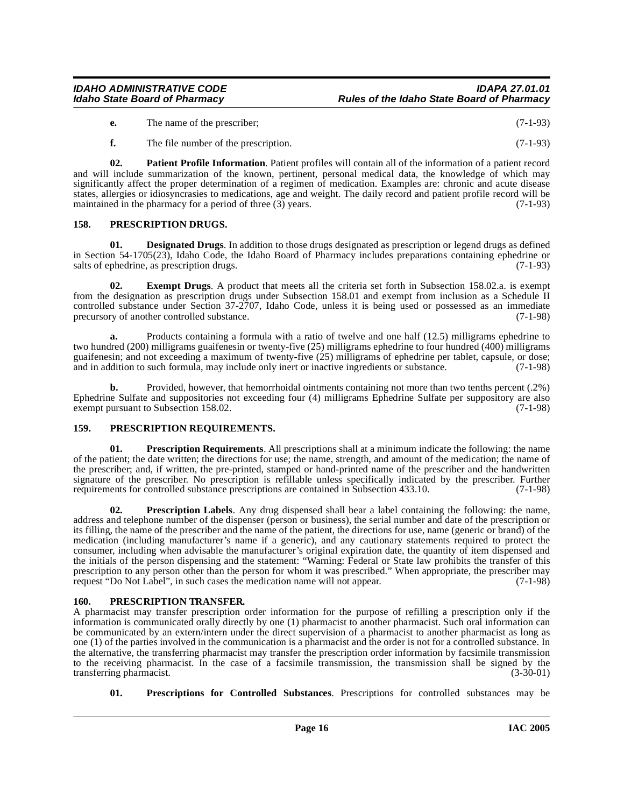#### IDAHO ADMINISTRATIVE CODE<br>Idaho State Board of Pharmacy **Integrative State Board of Pharmacy** Rules of the Idaho State Board of Pharmacy **Idaho State Board of Pharmacy Rules of the Idaho State Board of Pharmacy**

- **e.** The name of the prescriber; (7-1-93)
- **f.** The file number of the prescription. (7-1-93)

**02. Patient Profile Information**. Patient profiles will contain all of the information of a patient record and will include summarization of the known, pertinent, personal medical data, the knowledge of which may significantly affect the proper determination of a regimen of medication. Examples are: chronic and acute disease states, allergies or idiosyncrasies to medications, age and weight. The daily record and patient profile record will be maintained in the pharmacy for a period of three (3) years. (7-1-93)

#### <span id="page-15-0"></span>**158. PRESCRIPTION DRUGS.**

**01. Designated Drugs**. In addition to those drugs designated as prescription or legend drugs as defined in Section 54-1705(23), Idaho Code, the Idaho Board of Pharmacy includes preparations containing ephedrine or salts of ephedrine, as prescription drugs. (7-1-93)

**02. Exempt Drugs**. A product that meets all the criteria set forth in Subsection 158.02.a. is exempt from the designation as prescription drugs under Subsection 158.01 and exempt from inclusion as a Schedule II controlled substance under Section 37-2707, Idaho Code, unless it is being used or possessed as an immediate precursory of another controlled substance. (7-1-98)

**a.** Products containing a formula with a ratio of twelve and one half (12.5) milligrams ephedrine to two hundred (200) milligrams guaifenesin or twenty-five (25) milligrams ephedrine to four hundred (400) milligrams guaifenesin; and not exceeding a maximum of twenty-five (25) milligrams of ephedrine per tablet, capsule, or dose; and in addition to such formula, may include only inert or inactive ingredients or substance. (7-1-98)

**b.** Provided, however, that hemorrhoidal ointments containing not more than two tenths percent (.2%) Ephedrine Sulfate and suppositories not exceeding four (4) milligrams Ephedrine Sulfate per suppository are also exempt pursuant to Subsection 158.02.

#### <span id="page-15-1"></span>**159. PRESCRIPTION REQUIREMENTS.**

**Prescription Requirements**. All prescriptions shall at a minimum indicate the following: the name of the patient; the date written; the directions for use; the name, strength, and amount of the medication; the name of the prescriber; and, if written, the pre-printed, stamped or hand-printed name of the prescriber and the handwritten signature of the prescriber. No prescription is refillable unless specifically indicated by the prescriber. Further requirements for controlled substance prescriptions are contained in Subsection 433.10. (7-1-98)

**Prescription Labels**. Any drug dispensed shall bear a label containing the following: the name, address and telephone number of the dispenser (person or business), the serial number and date of the prescription or its filling, the name of the prescriber and the name of the patient, the directions for use, name (generic or brand) of the medication (including manufacturer's name if a generic), and any cautionary statements required to protect the consumer, including when advisable the manufacturer's original expiration date, the quantity of item dispensed and the initials of the person dispensing and the statement: "Warning: Federal or State law prohibits the transfer of this prescription to any person other than the person for whom it was prescribed." When appropriate, the prescriber may request "Do Not Label", in such cases the medication name will not appear. (7-1-98) request "Do Not Label", in such cases the medication name will not appear.

#### <span id="page-15-2"></span>**160. PRESCRIPTION TRANSFER.**

A pharmacist may transfer prescription order information for the purpose of refilling a prescription only if the information is communicated orally directly by one (1) pharmacist to another pharmacist. Such oral information can be communicated by an extern/intern under the direct supervision of a pharmacist to another pharmacist as long as one (1) of the parties involved in the communication is a pharmacist and the order is not for a controlled substance. In the alternative, the transferring pharmacist may transfer the prescription order information by facsimile transmission to the receiving pharmacist. In the case of a facsimile transmission, the transmission shall be signed by the transferring pharmacist. (3-30-01) transferring pharmacist.

**01. Prescriptions for Controlled Substances**. Prescriptions for controlled substances may be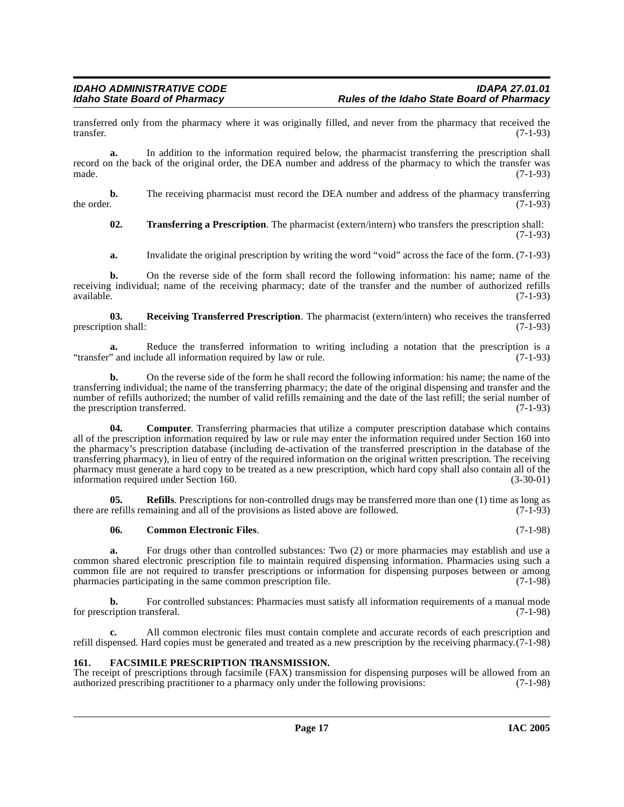transferred only from the pharmacy where it was originally filled, and never from the pharmacy that received the transfer. (7-1-93) transfer. (7-1-93)

**a.** In addition to the information required below, the pharmacist transferring the prescription shall record on the back of the original order, the DEA number and address of the pharmacy to which the transfer was made.  $(7-1-93)$ 

**b.** The receiving pharmacist must record the DEA number and address of the pharmacy transferring the order. (7-1-93) the order.  $(7-1-93)$ 

**02. Transferring a Prescription**. The pharmacist (extern/intern) who transfers the prescription shall: (7-1-93)

**a.** Invalidate the original prescription by writing the word "void" across the face of the form. (7-1-93)

**b.** On the reverse side of the form shall record the following information: his name; name of the receiving individual; name of the receiving pharmacy; date of the transfer and the number of authorized refills available. (7-1-93)  $a$ vailable.  $(7-1-93)$ 

**03. Receiving Transferred Prescription**. The pharmacist (extern/intern) who receives the transferred ion shall: (7-1-93) prescription shall:

**a.** Reduce the transferred information to writing including a notation that the prescription is a "transfer" and include all information required by law or rule. (7-1-93)

**b.** On the reverse side of the form he shall record the following information: his name; the name of the transferring individual; the name of the transferring pharmacy; the date of the original dispensing and transfer and the number of refills authorized; the number of valid refills remaining and the date of the last refill; the serial number of the prescription transferred. (7-1-93) the prescription transferred.

**04. Computer**. Transferring pharmacies that utilize a computer prescription database which contains all of the prescription information required by law or rule may enter the information required under Section 160 into the pharmacy's prescription database (including de-activation of the transferred prescription in the database of the transferring pharmacy), in lieu of entry of the required information on the original written prescription. The receiving pharmacy must generate a hard copy to be treated as a new prescription, which hard copy shall also contain all of the information required under Section 160. (3-30-01)

**05.** Refills. Prescriptions for non-controlled drugs may be transferred more than one (1) time as long as there are refills remaining and all of the provisions as listed above are followed. (7-1-93)

#### **06. Common Electronic Files**. (7-1-98)

**a.** For drugs other than controlled substances: Two (2) or more pharmacies may establish and use a common shared electronic prescription file to maintain required dispensing information. Pharmacies using such a common file are not required to transfer prescriptions or information for dispensing purposes between or among<br>pharmacies participating in the same common prescription file. (7-1-98) pharmacies participating in the same common prescription file.

**b.** For controlled substances: Pharmacies must satisfy all information requirements of a manual mode for prescription transferal. (7-1-98)

**c.** All common electronic files must contain complete and accurate records of each prescription and refill dispensed. Hard copies must be generated and treated as a new prescription by the receiving pharmacy.(7-1-98)

#### <span id="page-16-0"></span>**161. FACSIMILE PRESCRIPTION TRANSMISSION.**

The receipt of prescriptions through facsimile (FAX) transmission for dispensing purposes will be allowed from an authorized prescribing practitioner to a pharmacy only under the following provisions: (7-1-98) authorized prescribing practitioner to a pharmacy only under the following provisions: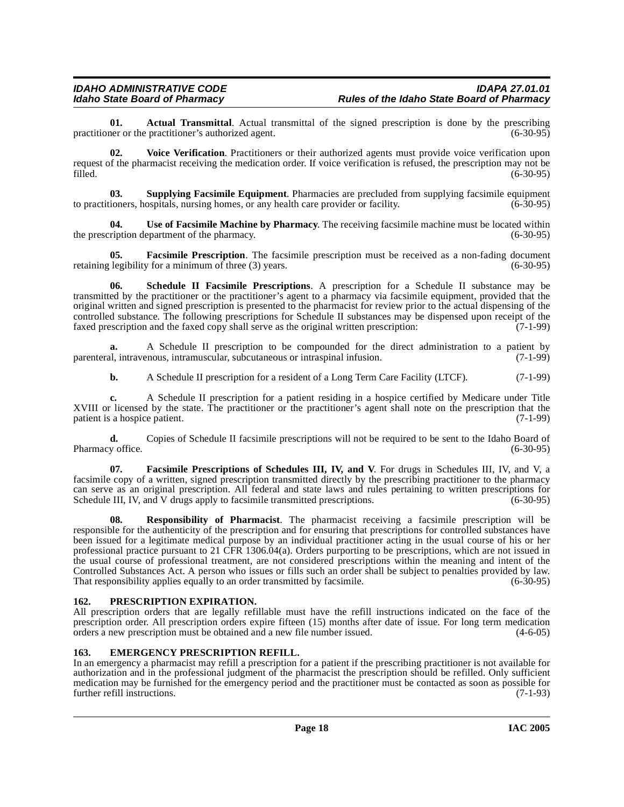**01. Actual Transmittal**. Actual transmittal of the signed prescription is done by the prescribing her or the practitioner's authorized agent. practitioner or the practitioner's authorized agent.

**02. Voice Verification**. Practitioners or their authorized agents must provide voice verification upon request of the pharmacist receiving the medication order. If voice verification is refused, the prescription may not be filled. (6-30-95) filled. (6-30-95)

**03. Supplying Facsimile Equipment**. Pharmacies are precluded from supplying facsimile equipment ioners, hospitals, nursing homes, or any health care provider or facility. (6-30-95) to practitioners, hospitals, nursing homes, or any health care provider or facility.

**04.** Use of Facsimile Machine by Pharmacy. The receiving facsimile machine must be located within ription department of the pharmacy. (6-30-95) the prescription department of the pharmacy.

**05. Facsimile Prescription**. The facsimile prescription must be received as a non-fading document retaining legibility for a minimum of three (3) years. (6-30-95)

**06. Schedule II Facsimile Prescriptions**. A prescription for a Schedule II substance may be transmitted by the practitioner or the practitioner's agent to a pharmacy via facsimile equipment, provided that the original written and signed prescription is presented to the pharmacist for review prior to the actual dispensing of the controlled substance. The following prescriptions for Schedule II substances may be dispensed upon receipt of the faxed prescription and the faxed copy shall serve as the original written prescription: (7-1-99)

A Schedule II prescription to be compounded for the direct administration to a patient by nous, intramuscular, subcutaneous or intraspinal infusion. (7-1-99) parenteral, intravenous, intramuscular, subcutaneous or intraspinal infusion.

**b.** A Schedule II prescription for a resident of a Long Term Care Facility (LTCF). (7-1-99)

**c.** A Schedule II prescription for a patient residing in a hospice certified by Medicare under Title XVIII or licensed by the state. The practitioner or the practitioner's agent shall note on the prescription that the patient is a hospice patient. (7-1-99) patient is a hospice patient.

**d.** Copies of Schedule II facsimile prescriptions will not be required to be sent to the Idaho Board of y office. (6-30-95) Pharmacy office.

**07. Facsimile Prescriptions of Schedules III, IV, and V**. For drugs in Schedules III, IV, and V, a facsimile copy of a written, signed prescription transmitted directly by the prescribing practitioner to the pharmacy can serve as an original prescription. All federal and state laws and rules pertaining to written prescriptions for Schedule III, IV, and V drugs apply to facsimile transmitted prescriptions. (6-30-95)

**08. Responsibility of Pharmacist**. The pharmacist receiving a facsimile prescription will be responsible for the authenticity of the prescription and for ensuring that prescriptions for controlled substances have been issued for a legitimate medical purpose by an individual practitioner acting in the usual course of his or her professional practice pursuant to 21 CFR 1306.04(a). Orders purporting to be prescriptions, which are not issued in the usual course of professional treatment, are not considered prescriptions within the meaning and intent of the Controlled Substances Act. A person who issues or fills such an order shall be subject to penalties provided by law.<br>That responsibility applies equally to an order transmitted by facsimile. (6-30-95) That responsibility applies equally to an order transmitted by facsimile.

#### <span id="page-17-0"></span>**162. PRESCRIPTION EXPIRATION.**

All prescription orders that are legally refillable must have the refill instructions indicated on the face of the prescription order. All prescription orders expire fifteen (15) months after date of issue. For long term medication orders a new prescription must be obtained and a new file number issued. (4-6-05) orders a new prescription must be obtained and a new file number issued.

#### <span id="page-17-1"></span>**163. EMERGENCY PRESCRIPTION REFILL.**

In an emergency a pharmacist may refill a prescription for a patient if the prescribing practitioner is not available for authorization and in the professional judgment of the pharmacist the prescription should be refilled. Only sufficient medication may be furnished for the emergency period and the practitioner must be contacted as soon as possible for further refill instructions. (7-1-93) further refill instructions.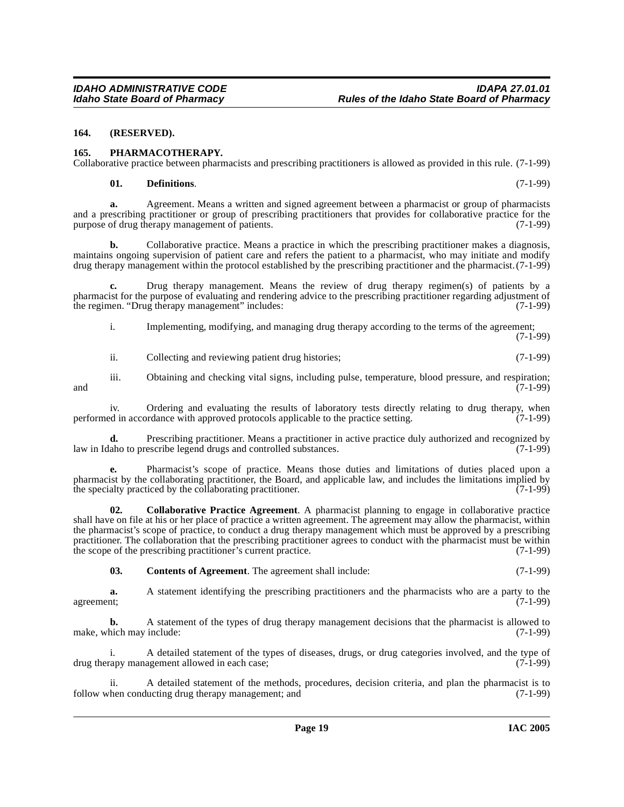#### <span id="page-18-0"></span>**164. (RESERVED).**

#### <span id="page-18-1"></span>**165. PHARMACOTHERAPY.**

Collaborative practice between pharmacists and prescribing practitioners is allowed as provided in this rule. (7-1-99)

#### **01. Definitions**. (7-1-99)

**a.** Agreement. Means a written and signed agreement between a pharmacist or group of pharmacists and a prescribing practitioner or group of prescribing practitioners that provides for collaborative practice for the purpose of drug therapy management of patients. (7-1-99)

**b.** Collaborative practice. Means a practice in which the prescribing practitioner makes a diagnosis, maintains ongoing supervision of patient care and refers the patient to a pharmacist, who may initiate and modify drug therapy management within the protocol established by the prescribing practitioner and the pharmacist.(7-1-99)

**c.** Drug therapy management. Means the review of drug therapy regimen(s) of patients by a pharmacist for the purpose of evaluating and rendering advice to the prescribing practitioner regarding adjustment of the regimen. "Drug therapy management" includes: (7-1-99)

i. Implementing, modifying, and managing drug therapy according to the terms of the agreement; (7-1-99)

ii. Collecting and reviewing patient drug histories; (7-1-99)

iii. Obtaining and checking vital signs, including pulse, temperature, blood pressure, and respiration;  $(7-1-99)$ 

iv. Ordering and evaluating the results of laboratory tests directly relating to drug therapy, when ed in accordance with approved protocols applicable to the practice setting. (7-1-99) performed in accordance with approved protocols applicable to the practice setting.

**d.** Prescribing practitioner. Means a practitioner in active practice duly authorized and recognized by a about to prescribe legend drugs and controlled substances. (7-1-99) law in Idaho to prescribe legend drugs and controlled substances.

**e.** Pharmacist's scope of practice. Means those duties and limitations of duties placed upon a pharmacist by the collaborating practitioner, the Board, and applicable law, and includes the limitations implied by the specialty practiced by the collaborating practitioner.  $(7-1-99)$ 

**02. Collaborative Practice Agreement**. A pharmacist planning to engage in collaborative practice shall have on file at his or her place of practice a written agreement. The agreement may allow the pharmacist, within the pharmacist's scope of practice, to conduct a drug therapy management which must be approved by a prescribing practitioner. The collaboration that the prescribing practitioner agrees to conduct with the pharmacist must be within the scope of the prescribing practitioner's current practice. (7-1-99)

**03. Contents of Agreement**. The agreement shall include: (7-1-99)

**a.** A statement identifying the prescribing practitioners and the pharmacists who are a party to the agreement; (7-1-99)

**b.** A statement of the types of drug therapy management decisions that the pharmacist is allowed to hich may include: (7-1-99) make, which may include:

i. A detailed statement of the types of diseases, drugs, or drug categories involved, and the type of apy management allowed in each case; drug therapy management allowed in each case;

ii. A detailed statement of the methods, procedures, decision criteria, and plan the pharmacist is to then conducting drug therapy management; and (7-1-99) follow when conducting drug therapy management; and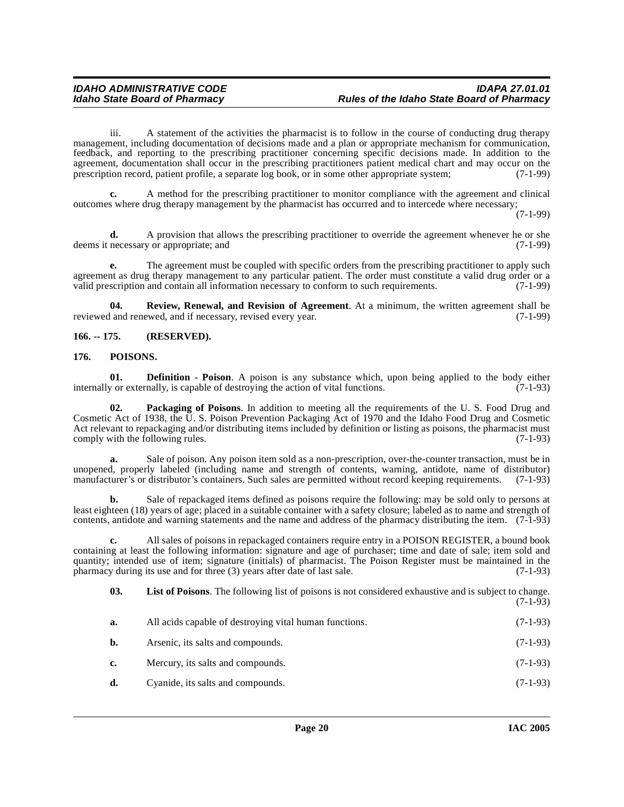iii. A statement of the activities the pharmacist is to follow in the course of conducting drug therapy management, including documentation of decisions made and a plan or appropriate mechanism for communication, feedback, and reporting to the prescribing practitioner concerning specific decisions made. In addition to the agreement, documentation shall occur in the prescribing practitioners patient medical chart and may occur on the prescription record, patient profile, a separate log book, or in some other appropriate system; (7-1-99)

**c.** A method for the prescribing practitioner to monitor compliance with the agreement and clinical outcomes where drug therapy management by the pharmacist has occurred and to intercede where necessary;

(7-1-99)

**d.** A provision that allows the prescribing practitioner to override the agreement whenever he or she necessary or appropriate; and (7-1-99) deems it necessary or appropriate; and

**e.** The agreement must be coupled with specific orders from the prescribing practitioner to apply such agreement as drug therapy management to any particular patient. The order must constitute a valid drug order or a valid prescription and contain all information necessary to conform to such requirements. (7-1-99) valid prescription and contain all information necessary to conform to such requirements.

**04. Review, Renewal, and Revision of Agreement**. At a minimum, the written agreement shall be reviewed and renewed, and if necessary, revised every year. (7-1-99)

<span id="page-19-0"></span>**166. -- 175. (RESERVED).**

#### <span id="page-19-1"></span>**176. POISONS.**

**01. Definition - Poison**. A poison is any substance which, upon being applied to the body either y or externally, is capable of destroying the action of vital functions. (7-1-93) internally or externally, is capable of destroying the action of vital functions.

**Packaging of Poisons**. In addition to meeting all the requirements of the U. S. Food Drug and Cosmetic Act of 1938, the U. S. Poison Prevention Packaging Act of 1970 and the Idaho Food Drug and Cosmetic Act relevant to repackaging and/or distributing items included by definition or listing as poisons, the pharmacist must comply with the following rules. (7-1-93)

**a.** Sale of poison. Any poison item sold as a non-prescription, over-the-counter transaction, must be in unopened, properly labeled (including name and strength of contents, warning, antidote, name of distributor) manufacturer's or distributor's containers. Such sales are permitted without record keeping requirements. (7-1-93)

**b.** Sale of repackaged items defined as poisons require the following: may be sold only to persons at least eighteen (18) years of age; placed in a suitable container with a safety closure; labeled as to name and strength of contents, antidote and warning statements and the name and address of the pharmacy distributing the item. (7-1-93)

**c.** All sales of poisons in repackaged containers require entry in a POISON REGISTER, a bound book containing at least the following information: signature and age of purchaser; time and date of sale; item sold and quantity; intended use of item; signature (initials) of pharmacist. The Poison Register must be maintained in the pharmacy during its use and for three (3) years after date of last sale. (7-1-93) pharmacy during its use and for three  $(3)$  years after date of last sale.

**03. List of Poisons**. The following list of poisons is not considered exhaustive and is subject to change. (7-1-93)

| а.             | All acids capable of destroying vital human functions. | $(7-1-93)$ |
|----------------|--------------------------------------------------------|------------|
| b.             | Arsenic, its salts and compounds.                      | $(7-1-93)$ |
| $\mathbf{c}$ . | Mercury, its salts and compounds.                      | $(7-1-93)$ |
| d.             | Cyanide, its salts and compounds.                      | $(7-1-93)$ |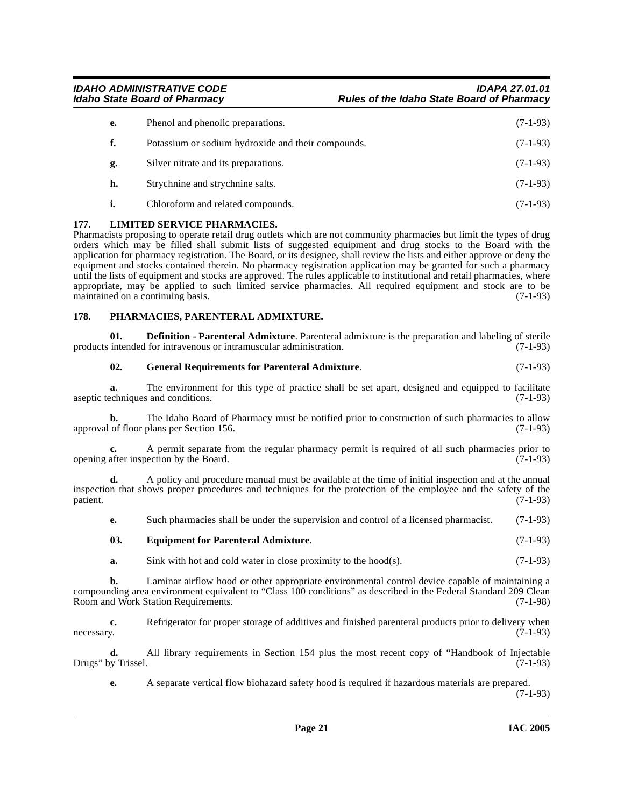| e. | Phenol and phenolic preparations.                  | $(7-1-93)$ |
|----|----------------------------------------------------|------------|
| f. | Potassium or sodium hydroxide and their compounds. | $(7-1-93)$ |
| g. | Silver nitrate and its preparations.               | $(7-1-93)$ |
| h. | Strychnine and strychnine salts.                   | $(7-1-93)$ |
| i. | Chloroform and related compounds.                  | $(7-1-93)$ |

#### <span id="page-20-0"></span>**177. LIMITED SERVICE PHARMACIES.**

Pharmacists proposing to operate retail drug outlets which are not community pharmacies but limit the types of drug orders which may be filled shall submit lists of suggested equipment and drug stocks to the Board with the application for pharmacy registration. The Board, or its designee, shall review the lists and either approve or deny the equipment and stocks contained therein. No pharmacy registration application may be granted for such a pharmacy until the lists of equipment and stocks are approved. The rules applicable to institutional and retail pharmacies, where appropriate, may be applied to such limited service pharmacies. All required equipment and stock are to be maintained on a continuing basis.  $(7-1-93)$ maintained on a continuing basis.

#### <span id="page-20-1"></span>**178. PHARMACIES, PARENTERAL ADMIXTURE.**

**01. Definition - Parenteral Admixture**. Parenteral admixture is the preparation and labeling of sterile intended for intravenous or intramuscular administration. (7-1-93) products intended for intravenous or intramuscular administration.

#### **02. General Requirements for Parenteral Admixture**. (7-1-93)

**a.** The environment for this type of practice shall be set apart, designed and equipped to facilitate echniques and conditions. (7-1-93) aseptic techniques and conditions.

**b.** The Idaho Board of Pharmacy must be notified prior to construction of such pharmacies to allow of floor plans per Section 156. (7-1-93) approval of floor plans per Section 156.

**c.** A permit separate from the regular pharmacy permit is required of all such pharmacies prior to opening after inspection by the Board. (7-1-93)

**d.** A policy and procedure manual must be available at the time of initial inspection and at the annual inspection that shows proper procedures and techniques for the protection of the employee and the safety of the patient. (7-1-93)

**e.** Such pharmacies shall be under the supervision and control of a licensed pharmacist. (7-1-93)

#### **03. Equipment for Parenteral Admixture**. (7-1-93)

**a.** Sink with hot and cold water in close proximity to the hood(s). (7-1-93)

**b.** Laminar airflow hood or other appropriate environmental control device capable of maintaining a compounding area environment equivalent to "Class 100 conditions" as described in the Federal Standard 209 Clean Room and Work Station Requirements. (7-1-98)

**c.** Refrigerator for proper storage of additives and finished parenteral products prior to delivery when necessary. (7-1-93) necessary. (7-1-93)

**d.** All library requirements in Section 154 plus the most recent copy of "Handbook of Injectable Drugs" by Trissel.

**e.** A separate vertical flow biohazard safety hood is required if hazardous materials are prepared.

(7-1-93)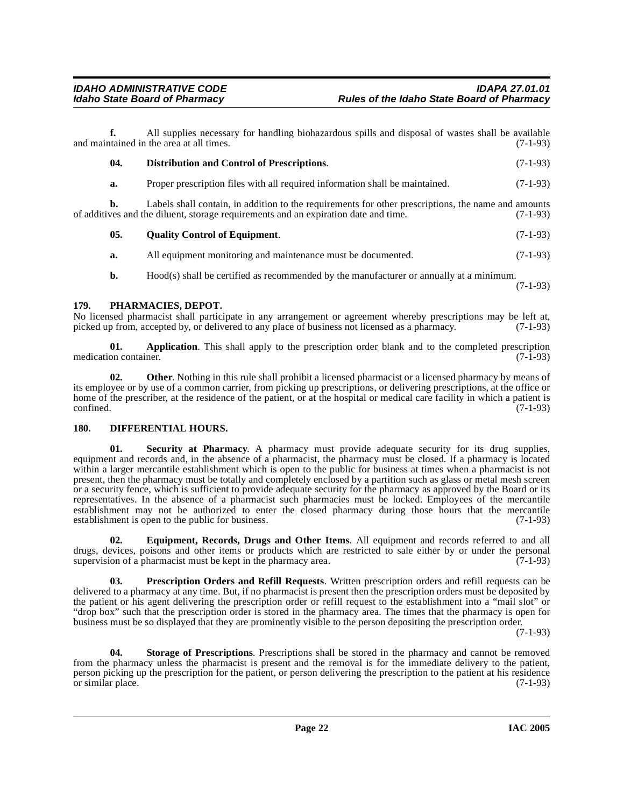**f.** All supplies necessary for handling biohazardous spills and disposal of wastes shall be available and maintained in the area at all times. (7-1-93)

| 04. | Distribution and Control of Prescriptions.                                                                                                                                                 | $(7-1-93)$ |
|-----|--------------------------------------------------------------------------------------------------------------------------------------------------------------------------------------------|------------|
| a.  | Proper prescription files with all required information shall be maintained.                                                                                                               | $(7-1-93)$ |
| b.  | Labels shall contain, in addition to the requirements for other prescriptions, the name and amounts<br>of additives and the diluent, storage requirements and an expiration date and time. | $(7-1-93)$ |
| 05. | <b>Ouality Control of Equipment.</b>                                                                                                                                                       | $(7-1-93)$ |
|     |                                                                                                                                                                                            |            |

**a.** All equipment monitoring and maintenance must be documented. (7-1-93)

**b.** Hood(s) shall be certified as recommended by the manufacturer or annually at a minimum. (7-1-93)

#### <span id="page-21-0"></span>**179. PHARMACIES, DEPOT.**

No licensed pharmacist shall participate in any arrangement or agreement whereby prescriptions may be left at, picked up from, accepted by, or delivered to any place of business not licensed as a pharmacy. (7-1-93) picked up from, accepted by, or delivered to any place of business not licensed as a pharmacy.

**01. Application**. This shall apply to the prescription order blank and to the completed prescription on container. (7-1-93) medication container.

**02.** Other. Nothing in this rule shall prohibit a licensed pharmacist or a licensed pharmacy by means of its employee or by use of a common carrier, from picking up prescriptions, or delivering prescriptions, at the office or home of the prescriber, at the residence of the patient, or at the hospital or medical care facility in which a patient is  $\epsilon$  confined.  $(7-1-93)$ 

### <span id="page-21-1"></span>**180. DIFFERENTIAL HOURS.**

**01. Security at Pharmacy**. A pharmacy must provide adequate security for its drug supplies, equipment and records and, in the absence of a pharmacist, the pharmacy must be closed. If a pharmacy is located within a larger mercantile establishment which is open to the public for business at times when a pharmacist is not present, then the pharmacy must be totally and completely enclosed by a partition such as glass or metal mesh screen or a security fence, which is sufficient to provide adequate security for the pharmacy as approved by the Board or its representatives. In the absence of a pharmacist such pharmacies must be locked. Employees of the mercantile establishment may not be authorized to enter the closed pharmacy during those hours that the mercantile establishment is open to the public for business. (7-1-93) establishment is open to the public for business.

**02. Equipment, Records, Drugs and Other Items**. All equipment and records referred to and all drugs, devices, poisons and other items or products which are restricted to sale either by or under the personal supervision of a pharmacist must be kept in the pharmacy area. (7-1-93) supervision of a pharmacist must be kept in the pharmacy area.

**03. Prescription Orders and Refill Requests**. Written prescription orders and refill requests can be delivered to a pharmacy at any time. But, if no pharmacist is present then the prescription orders must be deposited by the patient or his agent delivering the prescription order or refill request to the establishment into a "mail slot" or "drop box" such that the prescription order is stored in the pharmacy area. The times that the pharmacy is open for business must be so displayed that they are prominently visible to the person depositing the prescription order.

(7-1-93)

**04. Storage of Prescriptions**. Prescriptions shall be stored in the pharmacy and cannot be removed from the pharmacy unless the pharmacist is present and the removal is for the immediate delivery to the patient, person picking up the prescription for the patient, or person delivering the prescription to the patient at his residence or similar place. (7-1-93)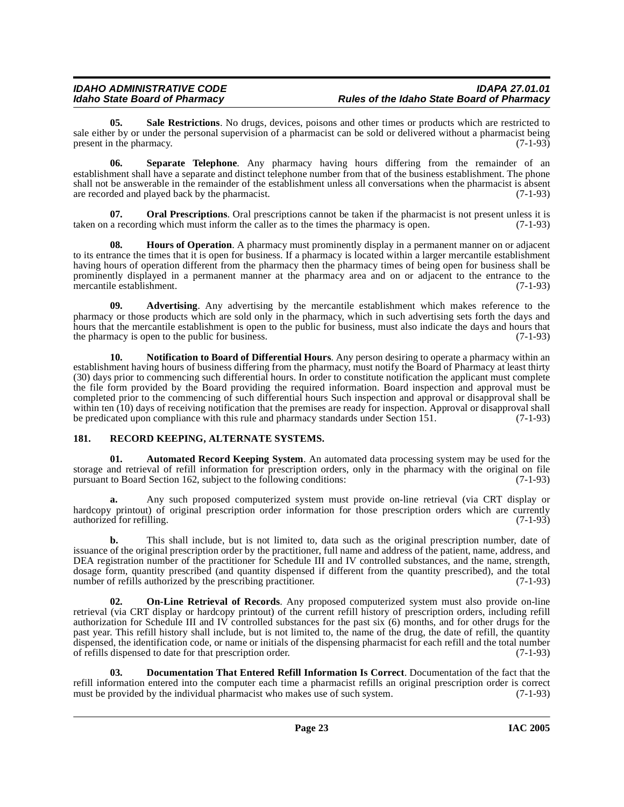**05. Sale Restrictions**. No drugs, devices, poisons and other times or products which are restricted to sale either by or under the personal supervision of a pharmacist can be sold or delivered without a pharmacist being<br>(7-1-93) present in the pharmacy.

**06. Separate Telephone**. Any pharmacy having hours differing from the remainder of an establishment shall have a separate and distinct telephone number from that of the business establishment. The phone shall not be answerable in the remainder of the establishment unless all conversations when the pharmacist is absent are recorded and played back by the pharmacist. (7-1-93)

**07.** Oral Prescriptions. Oral prescriptions cannot be taken if the pharmacist is not present unless it is taken on a recording which must inform the caller as to the times the pharmacy is open. (7-1-93)

**08. Hours of Operation**. A pharmacy must prominently display in a permanent manner on or adjacent to its entrance the times that it is open for business. If a pharmacy is located within a larger mercantile establishment having hours of operation different from the pharmacy then the pharmacy times of being open for business shall be prominently displayed in a permanent manner at the pharmacy area and on or adjacent to the entrance to the mercantile establishment. (7-1-93) mercantile establishment.

**09. Advertising**. Any advertising by the mercantile establishment which makes reference to the pharmacy or those products which are sold only in the pharmacy, which in such advertising sets forth the days and hours that the mercantile establishment is open to the public for business, must also indicate the days and hours that the pharmacy is open to the public for business. (7-1-93) the pharmacy is open to the public for business.

**10. Notification to Board of Differential Hours**. Any person desiring to operate a pharmacy within an establishment having hours of business differing from the pharmacy, must notify the Board of Pharmacy at least thirty (30) days prior to commencing such differential hours. In order to constitute notification the applicant must complete the file form provided by the Board providing the required information. Board inspection and approval must be completed prior to the commencing of such differential hours Such inspection and approval or disapproval shall be within ten  $(10)$  days of receiving notification that the premises are ready for inspection. Approval or disapproval shall<br>be predicated upon compliance with this rule and pharmacy standards under Section 151. (7-1-93) be predicated upon compliance with this rule and pharmacy standards under Section  $151$ .

### <span id="page-22-0"></span>**181. RECORD KEEPING, ALTERNATE SYSTEMS.**

**01. Automated Record Keeping System**. An automated data processing system may be used for the storage and retrieval of refill information for prescription orders, only in the pharmacy with the original on file<br>pursuant to Board Section 162, subject to the following conditions: (7-1-93) pursuant to Board Section 162, subject to the following conditions:

**a.** Any such proposed computerized system must provide on-line retrieval (via CRT display or hardcopy printout) of original prescription order information for those prescription orders which are currently authorized for refilling. (7-1-93) authorized for refilling.

**b.** This shall include, but is not limited to, data such as the original prescription number, date of issuance of the original prescription order by the practitioner, full name and address of the patient, name, address, and DEA registration number of the practitioner for Schedule III and IV controlled substances, and the name, strength, dosage form, quantity prescribed (and quantity dispensed if different from the quantity prescribed), and the total number of refills authorized by the prescribing practitioner. (7-1-93) number of refills authorized by the prescribing practitioner.

**On-Line Retrieval of Records**. Any proposed computerized system must also provide on-line retrieval (via CRT display or hardcopy printout) of the current refill history of prescription orders, including refill authorization for Schedule III and IV controlled substances for the past six (6) months, and for other drugs for the past year. This refill history shall include, but is not limited to, the name of the drug, the date of refill, the quantity dispensed, the identification code, or name or initials of the dispensing pharmacist for each refill and the total number of refills dispensed to date for that prescription order. (7-1-93)

**03. Documentation That Entered Refill Information Is Correct**. Documentation of the fact that the refill information entered into the computer each time a pharmacist refills an original prescription order is correct must be provided by the individual pharmacist who makes use of such system. (7-1-93) must be provided by the individual pharmacist who makes use of such system.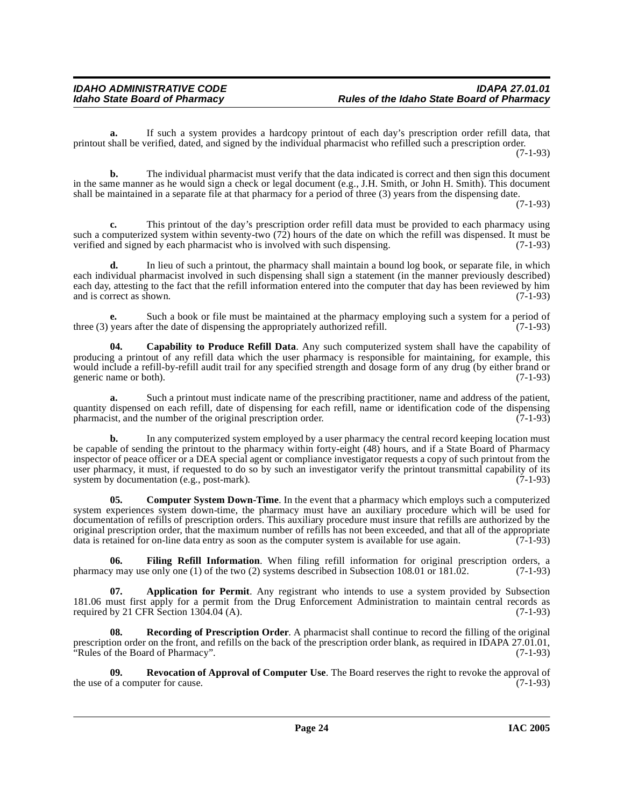**a.** If such a system provides a hardcopy printout of each day's prescription order refill data, that printout shall be verified, dated, and signed by the individual pharmacist who refilled such a prescription order. (7-1-93)

**b.** The individual pharmacist must verify that the data indicated is correct and then sign this document in the same manner as he would sign a check or legal document (e.g., J.H. Smith, or John H. Smith). This document shall be maintained in a separate file at that pharmacy for a period of three (3) years from the dispensing date.

(7-1-93)

**c.** This printout of the day's prescription order refill data must be provided to each pharmacy using such a computerized system within seventy-two  $(72)$  hours of the date on which the refill was dispensed. It must be verified and signed by each pharmacist who is involved with such dispensing.  $(7-1-93)$ verified and signed by each pharmacist who is involved with such dispensing.

**d.** In lieu of such a printout, the pharmacy shall maintain a bound log book, or separate file, in which each individual pharmacist involved in such dispensing shall sign a statement (in the manner previously described) each day, attesting to the fact that the refill information entered into the computer that day has been reviewed by him and is correct as shown. and is correct as shown.

**e.** Such a book or file must be maintained at the pharmacy employing such a system for a period of years after the date of dispensing the appropriately authorized refill. (7-1-93) three  $(3)$  years after the date of dispensing the appropriately authorized refill.

**04. Capability to Produce Refill Data**. Any such computerized system shall have the capability of producing a printout of any refill data which the user pharmacy is responsible for maintaining, for example, this would include a refill-by-refill audit trail for any specified strength and dosage form of any drug (by either brand or generic name or both). generic name or both).

**a.** Such a printout must indicate name of the prescribing practitioner, name and address of the patient, quantity dispensed on each refill, date of dispensing for each refill, name or identification code of the dispensing pharmacist. and the number of the original prescription order. (7-1-93) pharmacist, and the number of the original prescription order.

**b.** In any computerized system employed by a user pharmacy the central record keeping location must be capable of sending the printout to the pharmacy within forty-eight (48) hours, and if a State Board of Pharmacy inspector of peace officer or a DEA special agent or compliance investigator requests a copy of such printout from the user pharmacy, it must, if requested to do so by such an investigator verify the printout transmittal capability of its system by documentation (e.g., post-mark).  $(7-1-93)$ system by documentation (e.g., post-mark).

**05.** Computer System Down-Time. In the event that a pharmacy which employs such a computerized system experiences system down-time, the pharmacy must have an auxiliary procedure which will be used for documentation of refills of prescription orders. This auxiliary procedure must insure that refills are authorized by the original prescription order, that the maximum number of refills has not been exceeded, and that all of the appropriate data is retained for on-line data entry as soon as the computer system is available for use again. (7-1-93)

**06. Filing Refill Information**. When filing refill information for original prescription orders, a w may use only one (1) of the two (2) systems described in Subsection 108.01 or 181.02. (7-1-93) pharmacy may use only one (1) of the two (2) systems described in Subsection 108.01 or 181.02.

**Application for Permit.** Any registrant who intends to use a system provided by Subsection 181.06 must first apply for a permit from the Drug Enforcement Administration to maintain central records as required by 21 CFR Section 1304.04 (A). required by 21 CFR Section  $1304.04$  (A).

**08. Recording of Prescription Order**. A pharmacist shall continue to record the filling of the original prescription order on the front, and refills on the back of the prescription order blank, as required in IDAPA 27.01.01, "Rules of the Board of Pharmacy". (7-1-93)

**09.** Revocation of Approval of Computer Use. The Board reserves the right to revoke the approval of f a computer for cause. (7-1-93) the use of a computer for cause.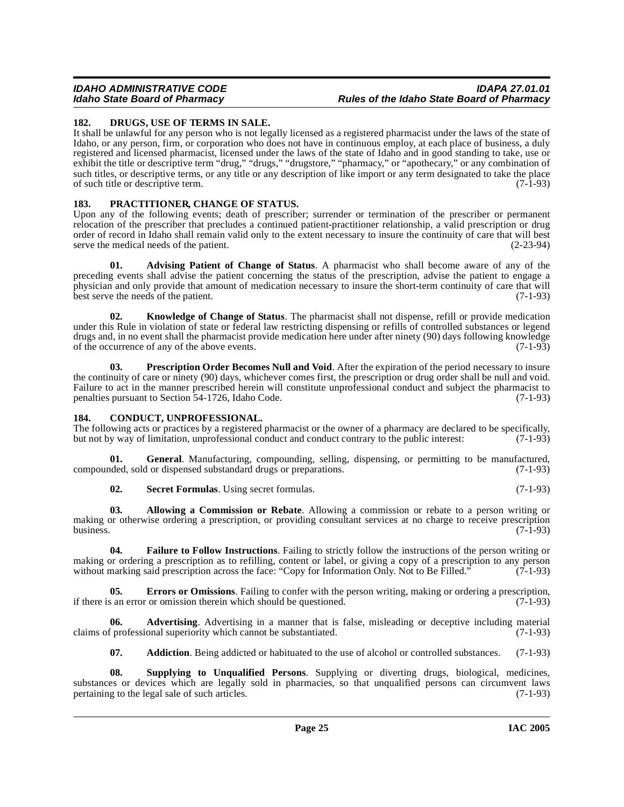#### **IDAHO ADMINISTRATIVE CODE IDAPA 27.01.01 Idaho State Board of Pharmacy Rules of the Idaho State Board of Pharmacy**

#### <span id="page-24-0"></span>**182. DRUGS, USE OF TERMS IN SALE.**

It shall be unlawful for any person who is not legally licensed as a registered pharmacist under the laws of the state of Idaho, or any person, firm, or corporation who does not have in continuous employ, at each place of business, a duly registered and licensed pharmacist, licensed under the laws of the state of Idaho and in good standing to take, use or exhibit the title or descriptive term "drug," "drugs," "drugstore," "pharmacy," or "apothecary," or any combination of such titles, or descriptive terms, or any title or any description of like import or any term designated to take the place of such title or descriptive term.

#### <span id="page-24-1"></span>**183. PRACTITIONER, CHANGE OF STATUS.**

Upon any of the following events; death of prescriber; surrender or termination of the prescriber or permanent relocation of the prescriber that precludes a continued patient-practitioner relationship, a valid prescription or drug order of record in Idaho shall remain valid only to the extent necessary to insure the continuity of care that will best serve the medical needs of the patient.

**01. Advising Patient of Change of Status**. A pharmacist who shall become aware of any of the preceding events shall advise the patient concerning the status of the prescription, advise the patient to engage a physician and only provide that amount of medication necessary to insure the short-term continuity of care that will best serve the needs of the patient.

**02. Knowledge of Change of Status**. The pharmacist shall not dispense, refill or provide medication under this Rule in violation of state or federal law restricting dispensing or refills of controlled substances or legend drugs and, in no event shall the pharmacist provide medication here under after ninety (90) days following knowledge of the occurrence of any of the above events. (7-1-93) of the occurrence of any of the above events.

**03. Prescription Order Becomes Null and Void**. After the expiration of the period necessary to insure the continuity of care or ninety (90) days, whichever comes first, the prescription or drug order shall be null and void. Failure to act in the manner prescribed herein will constitute unprofessional conduct and subject the pharmacist to penalties pursuant to Section 54-1726. Idaho Code. (7-1-93) penalties pursuant to Section 54-1726, Idaho Code.

#### <span id="page-24-2"></span>**184. CONDUCT, UNPROFESSIONAL.**

The following acts or practices by a registered pharmacist or the owner of a pharmacy are declared to be specifically, but not by way of limitation, unprofessional conduct and conduct contrary to the public interest: (7-1-93)

**01.** General. Manufacturing, compounding, selling, dispensing, or permitting to be manufactured, deed, sold or dispensed substandard drugs or preparations. (7-1-93) compounded, sold or dispensed substandard drugs or preparations.

**02. Secret Formulas**. Using secret formulas. (7-1-93)

**03. Allowing a Commission or Rebate**. Allowing a commission or rebate to a person writing or making or otherwise ordering a prescription, or providing consultant services at no charge to receive prescription business.  $(7-1-93)$ 

**04. Failure to Follow Instructions**. Failing to strictly follow the instructions of the person writing or making or ordering a prescription as to refilling, content or label, or giving a copy of a prescription to any person without marking said prescription across the face: "Copy for Information Only. Not to Be Filled." (7-1-9 without marking said prescription across the face: "Copy for Information Only. Not to Be Filled."

**05. Errors or Omissions**. Failing to confer with the person writing, making or ordering a prescription, if there is an error or omission therein which should be questioned. (7-1-93)

**06.** Advertising. Advertising in a manner that is false, misleading or deceptive including material f professional superiority which cannot be substantiated. (7-1-93) claims of professional superiority which cannot be substantiated.

**07.** Addiction. Being addicted or habituated to the use of alcohol or controlled substances. (7-1-93)

**08. Supplying to Unqualified Persons**. Supplying or diverting drugs, biological, medicines, substances or devices which are legally sold in pharmacies, so that unqualified persons can circumvent laws pertaining to the legal sale of such articles. (7-1-93) pertaining to the legal sale of such articles.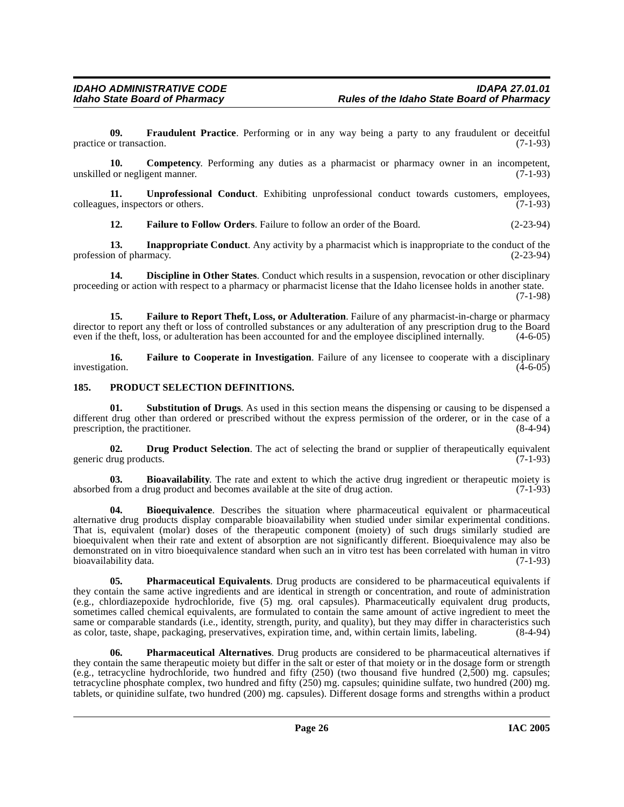**09.** Fraudulent Practice. Performing or in any way being a party to any fraudulent or deceitful or transaction. (7-1-93) practice or transaction.

**10. Competency**. Performing any duties as a pharmacist or pharmacy owner in an incompetent, unskilled or negligent manner. (7-1-93)

**11. Unprofessional Conduct**. Exhibiting unprofessional conduct towards customers, employees, es, inspectors or others. (7-1-93) colleagues, inspectors or others.

**12. Failure to Follow Orders**. Failure to follow an order of the Board. (2-23-94)

**13. Inappropriate Conduct**. Any activity by a pharmacist which is inappropriate to the conduct of the profession of pharmacy. (2-23-94)

**14. Discipline in Other States**. Conduct which results in a suspension, revocation or other disciplinary proceeding or action with respect to a pharmacy or pharmacist license that the Idaho licensee holds in another state. (7-1-98)

**15. Failure to Report Theft, Loss, or Adulteration**. Failure of any pharmacist-in-charge or pharmacy director to report any theft or loss of controlled substances or any adulteration of any prescription drug to the Board even if the theft, loss, or adulteration has been accounted for and the employee disciplined internall even if the theft, loss, or adulteration has been accounted for and the employee disciplined internally.

**16. Failure to Cooperate in Investigation**. Failure of any licensee to cooperate with a disciplinary investigation. (4-6-05)

#### <span id="page-25-0"></span>**185. PRODUCT SELECTION DEFINITIONS.**

**01. Substitution of Drugs**. As used in this section means the dispensing or causing to be dispensed a different drug other than ordered or prescribed without the express permission of the orderer, or in the case of a prescription, the practitioner. (8-4-94) prescription, the practitioner.

**02. Drug Product Selection**. The act of selecting the brand or supplier of therapeutically equivalent generic drug products. (7-1-93)

**03. Bioavailability**. The rate and extent to which the active drug ingredient or therapeutic moiety is from a drug product and becomes available at the site of drug action. (7-1-93) absorbed from a drug product and becomes available at the site of drug action.

**04. Bioequivalence**. Describes the situation where pharmaceutical equivalent or pharmaceutical alternative drug products display comparable bioavailability when studied under similar experimental conditions. That is, equivalent (molar) doses of the therapeutic component (moiety) of such drugs similarly studied are bioequivalent when their rate and extent of absorption are not significantly different. Bioequivalence may also be demonstrated on in vitro bioequivalence standard when such an in vitro test has been correlated with human in vitro bioavailability data.

**05. Pharmaceutical Equivalents**. Drug products are considered to be pharmaceutical equivalents if they contain the same active ingredients and are identical in strength or concentration, and route of administration (e.g., chlordiazepoxide hydrochloride, five (5) mg. oral capsules). Pharmaceutically equivalent drug products, sometimes called chemical equivalents, are formulated to contain the same amount of active ingredient to meet the same or comparable standards (i.e., identity, strength, purity, and quality), but they may differ in characteristics such as color, taste, shape, packaging, preservatives, expiration time, and, within certain limits, label as color, taste, shape, packaging, preservatives, expiration time, and, within certain limits, labeling.

**06. Pharmaceutical Alternatives**. Drug products are considered to be pharmaceutical alternatives if they contain the same therapeutic moiety but differ in the salt or ester of that moiety or in the dosage form or strength (e.g., tetracycline hydrochloride, two hundred and fifty (250) (two thousand five hundred (2,500) mg. capsules; tetracycline phosphate complex, two hundred and fifty (250) mg. capsules; quinidine sulfate, two hundred (200) mg. tablets, or quinidine sulfate, two hundred (200) mg. capsules). Different dosage forms and strengths within a product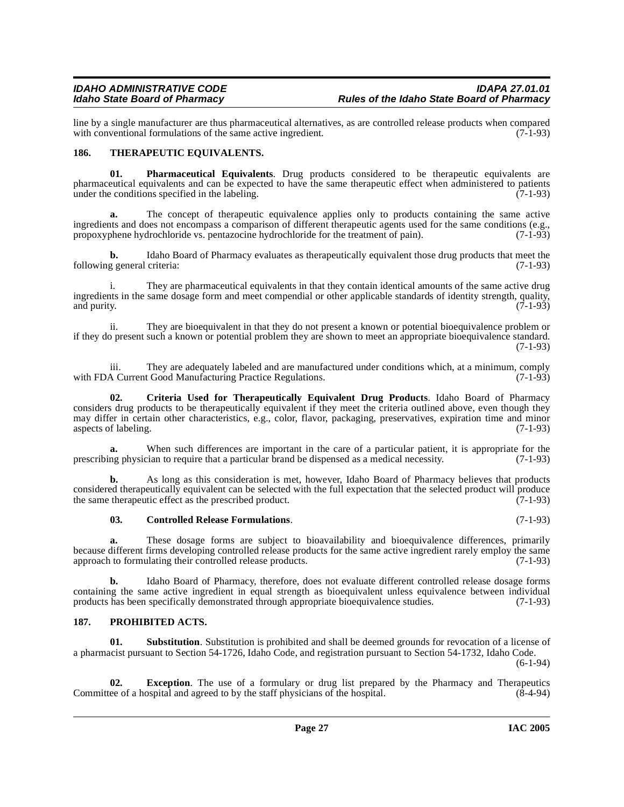line by a single manufacturer are thus pharmaceutical alternatives, as are controlled release products when compared with conventional formulations of the same active ingredient. (7-1-93) with conventional formulations of the same active ingredient.

#### <span id="page-26-0"></span>**186. THERAPEUTIC EQUIVALENTS.**

**01. Pharmaceutical Equivalents**. Drug products considered to be therapeutic equivalents are pharmaceutical equivalents and can be expected to have the same therapeutic effect when administered to patients under the conditions specified in the labeling.  $(7-1-93)$ 

**a.** The concept of therapeutic equivalence applies only to products containing the same active ingredients and does not encompass a comparison of different therapeutic agents used for the same conditions (e.g., propoxyphene hydrochloride vs. pentazocine hydrochloride for the treatment of pain). (7-1-93) propoxyphene hydrochloride vs. pentazocine hydrochloride for the treatment of pain).

**b.** Idaho Board of Pharmacy evaluates as therapeutically equivalent those drug products that meet the following general criteria: (7-1-93)

i. They are pharmaceutical equivalents in that they contain identical amounts of the same active drug ingredients in the same dosage form and meet compendial or other applicable standards of identity strength, quality, and purity. (7-1-93)

ii. They are bioequivalent in that they do not present a known or potential bioequivalence problem or if they do present such a known or potential problem they are shown to meet an appropriate bioequivalence standard. (7-1-93)

iii. They are adequately labeled and are manufactured under conditions which, at a minimum, comply A Current Good Manufacturing Practice Regulations. (7-1-93) with FDA Current Good Manufacturing Practice Regulations.

**02. Criteria Used for Therapeutically Equivalent Drug Products**. Idaho Board of Pharmacy considers drug products to be therapeutically equivalent if they meet the criteria outlined above, even though they may differ in certain other characteristics, e.g., color, flavor, packaging, preservatives, expiration time and minor aspects of labeling. (7-1-93) aspects of labeling.

When such differences are important in the care of a particular patient, it is appropriate for the prescribing physician to require that a particular brand be dispensed as a medical necessity. (7-1-93)

**b.** As long as this consideration is met, however, Idaho Board of Pharmacy believes that products considered therapeutically equivalent can be selected with the full expectation that the selected product will produce the same therapeutic effect as the prescribed product. (7-1-93)

#### **03. Controlled Release Formulations**. (7-1-93)

**a.** These dosage forms are subject to bioavailability and bioequivalence differences, primarily because different firms developing controlled release products for the same active ingredient rarely employ the same<br>approach to formulating their controlled release products. (7-1-93) approach to formulating their controlled release products.

**b.** Idaho Board of Pharmacy, therefore, does not evaluate different controlled release dosage forms containing the same active ingredient in equal strength as bioequivalent unless equivalence between individual products has been specifically demonstrated through appropriate bioequivalence studies. (7-1-93)

#### <span id="page-26-1"></span>**187. PROHIBITED ACTS.**

**Substitution**. Substitution is prohibited and shall be deemed grounds for revocation of a license of a pharmacist pursuant to Section 54-1726, Idaho Code, and registration pursuant to Section 54-1732, Idaho Code.

 $(6-1-94)$ 

**02. Exception**. The use of a formulary or drug list prepared by the Pharmacy and Therapeutics ee of a hospital and agreed to by the staff physicians of the hospital. (8-4-94) Committee of a hospital and agreed to by the staff physicians of the hospital.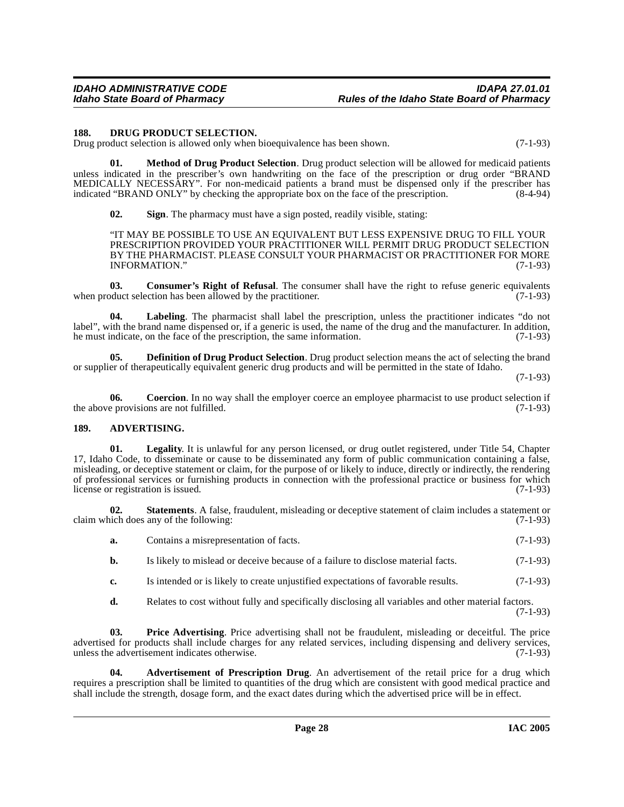#### <span id="page-27-0"></span>**188. DRUG PRODUCT SELECTION.**

Drug product selection is allowed only when bioequivalence has been shown. (7-1-93)

**01. Method of Drug Product Selection**. Drug product selection will be allowed for medicaid patients unless indicated in the prescriber's own handwriting on the face of the prescription or drug order "BRAND MEDICALLY NECESSARY". For non-medicaid patients a brand must be dispensed only if the prescriber has indicated "BRAND ONLY" by checking the appropriate box on the face of the prescription. (8-4-94) indicated "BRAND ONLY" by checking the appropriate box on the face of the prescription.

**02. Sign**. The pharmacy must have a sign posted, readily visible, stating:

"IT MAY BE POSSIBLE TO USE AN EQUIVALENT BUT LESS EXPENSIVE DRUG TO FILL YOUR PRESCRIPTION PROVIDED YOUR PRACTITIONER WILL PERMIT DRUG PRODUCT SELECTION BY THE PHARMACIST. PLEASE CONSULT YOUR PHARMACIST OR PRACTITIONER FOR MORE INFORMATION." (7-1-93)

**03.** Consumer's Right of Refusal. The consumer shall have the right to refuse generic equivalents oduct selection has been allowed by the practitioner. (7-1-93) when product selection has been allowed by the practitioner.

Labeling. The pharmacist shall label the prescription, unless the practitioner indicates "do not label", with the brand name dispensed or, if a generic is used, the name of the drug and the manufacturer. In addition, he must indicate, on the face of the prescription, the same information. he must indicate, on the face of the prescription, the same information.

**05. Definition of Drug Product Selection**. Drug product selection means the act of selecting the brand or supplier of therapeutically equivalent generic drug products and will be permitted in the state of Idaho.

(7-1-93)

**06.** Coercion. In no way shall the employer coerce an employee pharmacist to use product selection if e provisions are not fulfilled. (7-1-93) the above provisions are not fulfilled.

#### <span id="page-27-1"></span>**189. ADVERTISING.**

**01. Legality**. It is unlawful for any person licensed, or drug outlet registered, under Title 54, Chapter 17, Idaho Code, to disseminate or cause to be disseminated any form of public communication containing a false, misleading, or deceptive statement or claim, for the purpose of or likely to induce, directly or indirectly, the rendering of professional services or furnishing products in connection with the professional practice or business for which license or registration is issued. (7-1-93)

**02. Statements**. A false, fraudulent, misleading or deceptive statement of claim includes a statement or inch does any of the following: (7-1-93) claim which does any of the following:

| a. | Contains a misrepresentation of facts. | $(7-1-93)$ |
|----|----------------------------------------|------------|
|----|----------------------------------------|------------|

- **b.** Is likely to mislead or deceive because of a failure to disclose material facts.  $(7-1-93)$
- **c.** Is intended or is likely to create unjustified expectations of favorable results. (7-1-93)
- **d.** Relates to cost without fully and specifically disclosing all variables and other material factors.

(7-1-93)

**03. Price Advertising**. Price advertising shall not be fraudulent, misleading or deceitful. The price advertised for products shall include charges for any related services, including dispensing and delivery services, unless the advertisement indicates otherwise. (7-1-93)

**04. Advertisement of Prescription Drug**. An advertisement of the retail price for a drug which requires a prescription shall be limited to quantities of the drug which are consistent with good medical practice and shall include the strength, dosage form, and the exact dates during which the advertised price will be in effect.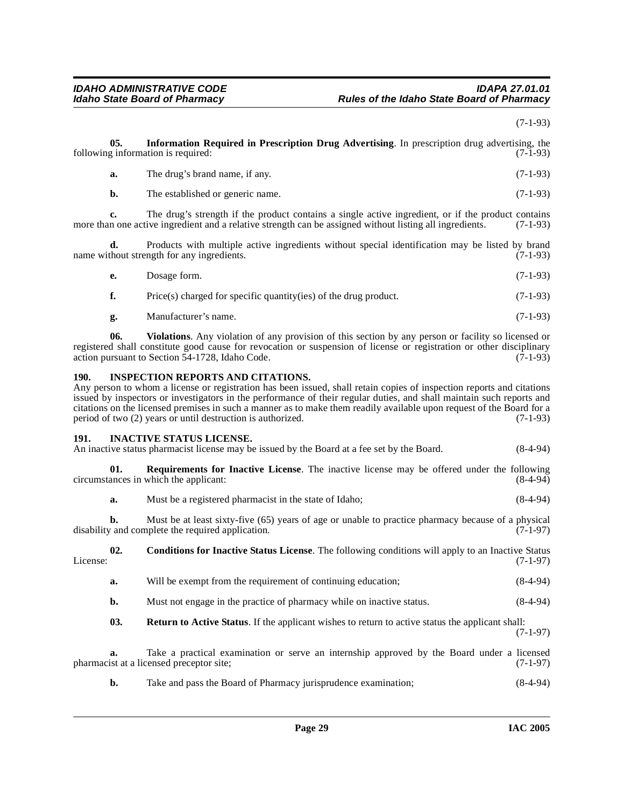(7-1-93)

<span id="page-28-1"></span><span id="page-28-0"></span>

| 05.<br>Information Required in Prescription Drug Advertising. In prescription drug advertising, the<br>following information is required:<br>$(7-1-93)$ |                                                                                                                                                                                                                                                                                                                                                                                                                                                                                                  |                                                                                                                                                                                                                                                                                       |            |  |
|---------------------------------------------------------------------------------------------------------------------------------------------------------|--------------------------------------------------------------------------------------------------------------------------------------------------------------------------------------------------------------------------------------------------------------------------------------------------------------------------------------------------------------------------------------------------------------------------------------------------------------------------------------------------|---------------------------------------------------------------------------------------------------------------------------------------------------------------------------------------------------------------------------------------------------------------------------------------|------------|--|
|                                                                                                                                                         | a.                                                                                                                                                                                                                                                                                                                                                                                                                                                                                               | The drug's brand name, if any.                                                                                                                                                                                                                                                        | $(7-1-93)$ |  |
|                                                                                                                                                         | b.                                                                                                                                                                                                                                                                                                                                                                                                                                                                                               | The established or generic name.                                                                                                                                                                                                                                                      | $(7-1-93)$ |  |
|                                                                                                                                                         | c.                                                                                                                                                                                                                                                                                                                                                                                                                                                                                               | The drug's strength if the product contains a single active ingredient, or if the product contains<br>more than one active ingredient and a relative strength can be assigned without listing all ingredients.                                                                        | $(7-1-93)$ |  |
|                                                                                                                                                         | d.                                                                                                                                                                                                                                                                                                                                                                                                                                                                                               | Products with multiple active ingredients without special identification may be listed by brand<br>name without strength for any ingredients.                                                                                                                                         | $(7-1-93)$ |  |
|                                                                                                                                                         | е.                                                                                                                                                                                                                                                                                                                                                                                                                                                                                               | Dosage form.                                                                                                                                                                                                                                                                          | $(7-1-93)$ |  |
|                                                                                                                                                         | f.                                                                                                                                                                                                                                                                                                                                                                                                                                                                                               | $Price(s) charged for specific quantity (ies) of the drug product.$                                                                                                                                                                                                                   | $(7-1-93)$ |  |
|                                                                                                                                                         | g.                                                                                                                                                                                                                                                                                                                                                                                                                                                                                               | Manufacturer's name.                                                                                                                                                                                                                                                                  | $(7-1-93)$ |  |
|                                                                                                                                                         | 06.                                                                                                                                                                                                                                                                                                                                                                                                                                                                                              | <b>Violations.</b> Any violation of any provision of this section by any person or facility so licensed or<br>registered shall constitute good cause for revocation or suspension of license or registration or other disciplinary<br>action pursuant to Section 54-1728, Idaho Code. | $(7-1-93)$ |  |
| <b>190.</b>                                                                                                                                             | <b>INSPECTION REPORTS AND CITATIONS.</b><br>Any person to whom a license or registration has been issued, shall retain copies of inspection reports and citations<br>issued by inspectors or investigators in the performance of their regular duties, and shall maintain such reports and<br>citations on the licensed premises in such a manner as to make them readily available upon request of the Board for a<br>period of two (2) years or until destruction is authorized.<br>$(7-1-93)$ |                                                                                                                                                                                                                                                                                       |            |  |
| 191.                                                                                                                                                    |                                                                                                                                                                                                                                                                                                                                                                                                                                                                                                  | <b>INACTIVE STATUS LICENSE.</b><br>An inactive status pharmacist license may be issued by the Board at a fee set by the Board.                                                                                                                                                        | $(8-4-94)$ |  |
|                                                                                                                                                         | 01.                                                                                                                                                                                                                                                                                                                                                                                                                                                                                              | <b>Requirements for Inactive License</b> . The inactive license may be offered under the following<br>circumstances in which the applicant:                                                                                                                                           | $(8-4-94)$ |  |
|                                                                                                                                                         | a.                                                                                                                                                                                                                                                                                                                                                                                                                                                                                               | Must be a registered pharmacist in the state of Idaho;                                                                                                                                                                                                                                | $(8-4-94)$ |  |
|                                                                                                                                                         | b.                                                                                                                                                                                                                                                                                                                                                                                                                                                                                               | Must be at least sixty-five (65) years of age or unable to practice pharmacy because of a physical<br>disability and complete the required application.                                                                                                                               | $(7-1-97)$ |  |
| License:                                                                                                                                                | 02.                                                                                                                                                                                                                                                                                                                                                                                                                                                                                              | <b>Conditions for Inactive Status License.</b> The following conditions will apply to an Inactive Status                                                                                                                                                                              | $(7-1-97)$ |  |
|                                                                                                                                                         | a.                                                                                                                                                                                                                                                                                                                                                                                                                                                                                               | Will be exempt from the requirement of continuing education;                                                                                                                                                                                                                          | $(8-4-94)$ |  |
|                                                                                                                                                         | b.                                                                                                                                                                                                                                                                                                                                                                                                                                                                                               | Must not engage in the practice of pharmacy while on inactive status.                                                                                                                                                                                                                 | $(8-4-94)$ |  |
|                                                                                                                                                         | 03.                                                                                                                                                                                                                                                                                                                                                                                                                                                                                              | <b>Return to Active Status.</b> If the applicant wishes to return to active status the applicant shall:                                                                                                                                                                               | $(7-1-97)$ |  |
|                                                                                                                                                         | a.                                                                                                                                                                                                                                                                                                                                                                                                                                                                                               | Take a practical examination or serve an internship approved by the Board under a licensed<br>pharmacist at a licensed preceptor site;                                                                                                                                                | $(7-1-97)$ |  |
|                                                                                                                                                         | b.                                                                                                                                                                                                                                                                                                                                                                                                                                                                                               | Take and pass the Board of Pharmacy jurisprudence examination;                                                                                                                                                                                                                        | $(8-4-94)$ |  |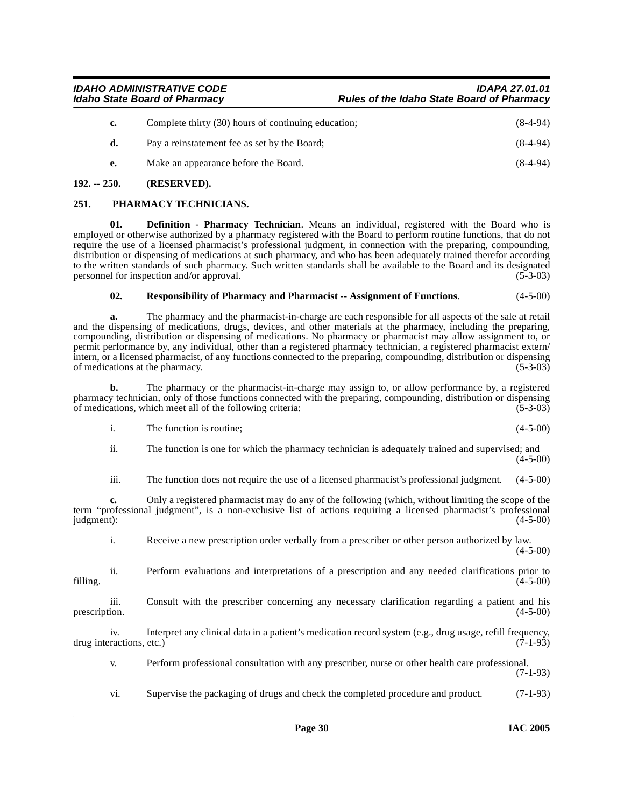| Complete thirty (30) hours of continuing education; | $(8-4-94)$ |
|-----------------------------------------------------|------------|
| Pay a reinstatement fee as set by the Board;        | $(8-4-94)$ |
| Make an appearance before the Board.                | $(8-4-94)$ |
|                                                     |            |

#### <span id="page-29-0"></span>**192. -- 250. (RESERVED).**

#### <span id="page-29-1"></span>**251. PHARMACY TECHNICIANS.**

**01. Definition - Pharmacy Technician**. Means an individual, registered with the Board who is employed or otherwise authorized by a pharmacy registered with the Board to perform routine functions, that do not require the use of a licensed pharmacist's professional judgment, in connection with the preparing, compounding, distribution or dispensing of medications at such pharmacy, and who has been adequately trained therefor according to the written standards of such pharmacy. Such written standards shall be available to the Board and its designated personnel for inspection and/or approval. (5-3-03)

#### **02. Responsibility of Pharmacy and Pharmacist -- Assignment of Functions**. (4-5-00)

**a.** The pharmacy and the pharmacist-in-charge are each responsible for all aspects of the sale at retail and the dispensing of medications, drugs, devices, and other materials at the pharmacy, including the preparing, compounding, distribution or dispensing of medications. No pharmacy or pharmacist may allow assignment to, or permit performance by, any individual, other than a registered pharmacy technician, a registered pharmacist extern/ intern, or a licensed pharmacist, of any functions connected to the preparing, compounding, distribution or dispensing of medications at the pharmacy. (5-3-03)

**b.** The pharmacy or the pharmacist-in-charge may assign to, or allow performance by, a registered pharmacy technician, only of those functions connected with the preparing, compounding, distribution or dispensing of medications, which meet all of the following criteria: (5-3-03)

| The function is routine: | $(4-5-00)$ |
|--------------------------|------------|

ii. The function is one for which the pharmacy technician is adequately trained and supervised; and  $(4-5-00)$ 

iii. The function does not require the use of a licensed pharmacist's professional judgment. (4-5-00)

**c.** Only a registered pharmacist may do any of the following (which, without limiting the scope of the term "professional judgment", is a non-exclusive list of actions requiring a licensed pharmacist's professional judgment): (4-5-00)  $j$ udgment):  $(4-5-00)$ 

i. Receive a new prescription order verbally from a prescriber or other person authorized by law.  $(4-5-00)$ 

ii. Perform evaluations and interpretations of a prescription and any needed clarifications prior to filling. (4-5-00)

iii. Consult with the prescriber concerning any necessary clarification regarding a patient and his prescription.  $(4-5-00)$ 

iv. Interpret any clinical data in a patient's medication record system (e.g., drug usage, refill frequency, drug interactions, etc.) (7-1-93)

v. Perform professional consultation with any prescriber, nurse or other health care professional. (7-1-93)

vi. Supervise the packaging of drugs and check the completed procedure and product. (7-1-93)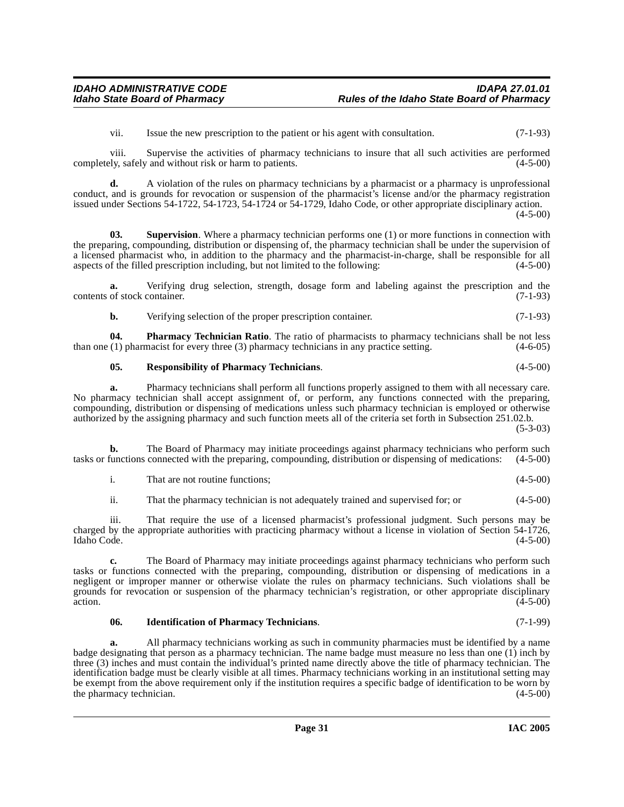vii. Issue the new prescription to the patient or his agent with consultation. (7-1-93)

viii. Supervise the activities of pharmacy technicians to insure that all such activities are performed completely, safely and without risk or harm to patients.

**d.** A violation of the rules on pharmacy technicians by a pharmacist or a pharmacy is unprofessional conduct, and is grounds for revocation or suspension of the pharmacist's license and/or the pharmacy registration issued under Sections 54-1722, 54-1723, 54-1724 or 54-1729, Idaho Code, or other appropriate disciplinary action.  $(4-5-00)$ 

**03. Supervision**. Where a pharmacy technician performs one (1) or more functions in connection with the preparing, compounding, distribution or dispensing of, the pharmacy technician shall be under the supervision of a licensed pharmacist who, in addition to the pharmacy and the pharmacist-in-charge, shall be responsible for all aspects of the filled prescription including, but not limited to the following: (4-5-00)

**a.** Verifying drug selection, strength, dosage form and labeling against the prescription and the of stock container. (7-1-93) contents of stock container.

**b.** Verifying selection of the proper prescription container. (7-1-93)

**04. Pharmacy Technician Ratio**. The ratio of pharmacists to pharmacy technicians shall be not less (1) pharmacist for every three (3) pharmacy technicians in any practice setting. (4-6-05) than one  $(1)$  pharmacist for every three  $(3)$  pharmacy technicians in any practice setting.

#### **05. Responsibility of Pharmacy Technicians**. (4-5-00)

**a.** Pharmacy technicians shall perform all functions properly assigned to them with all necessary care. No pharmacy technician shall accept assignment of, or perform, any functions connected with the preparing, compounding, distribution or dispensing of medications unless such pharmacy technician is employed or otherwise authorized by the assigning pharmacy and such function meets all of the criteria set forth in Subsection 251.02.b.

(5-3-03)

**b.** The Board of Pharmacy may initiate proceedings against pharmacy technicians who perform such tasks or functions connected with the preparing, compounding, distribution or dispensing of medications: (4-5-00)

ii. That the pharmacy technician is not adequately trained and supervised for; or (4-5-00)

iii. That require the use of a licensed pharmacist's professional judgment. Such persons may be charged by the appropriate authorities with practicing pharmacy without a license in violation of Section 54-1726, Idaho Code. (4-5-00)

**c.** The Board of Pharmacy may initiate proceedings against pharmacy technicians who perform such tasks or functions connected with the preparing, compounding, distribution or dispensing of medications in a negligent or improper manner or otherwise violate the rules on pharmacy technicians. Such violations shall be grounds for revocation or suspension of the pharmacy technician's registration, or other appropriate disciplinary  $(4-5-00)$ 

#### **06. Identification of Pharmacy Technicians**. (7-1-99)

**a.** All pharmacy technicians working as such in community pharmacies must be identified by a name badge designating that person as a pharmacy technician. The name badge must measure no less than one (1) inch by three (3) inches and must contain the individual's printed name directly above the title of pharmacy technician. The identification badge must be clearly visible at all times. Pharmacy technicians working in an institutional setting may be exempt from the above requirement only if the institution requires a specific badge of identification to be worn by the pharmacy technician. (4-5-00) the pharmacy technician.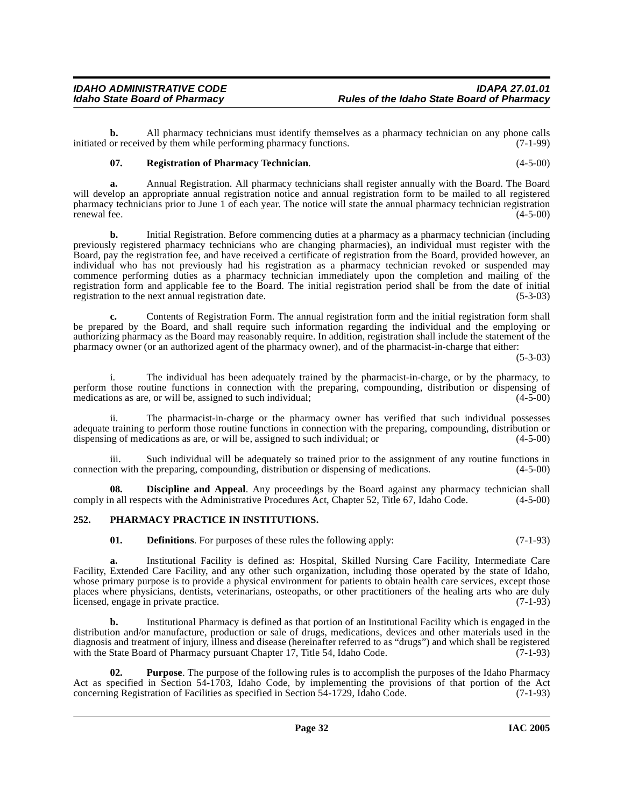**b.** All pharmacy technicians must identify themselves as a pharmacy technician on any phone calls or received by them while performing pharmacy functions. (7-1-99) initiated or received by them while performing pharmacy functions.

#### **07. Registration of Pharmacy Technician**. (4-5-00)

**a.** Annual Registration. All pharmacy technicians shall register annually with the Board. The Board will develop an appropriate annual registration notice and annual registration form to be mailed to all registered pharmacy technicians prior to June 1 of each year. The notice will state the annual pharmacy technician registration renewal fee.  $(4-5-00)$ 

**b.** Initial Registration. Before commencing duties at a pharmacy as a pharmacy technician (including previously registered pharmacy technicians who are changing pharmacies), an individual must register with the Board, pay the registration fee, and have received a certificate of registration from the Board, provided however, an individual who has not previously had his registration as a pharmacy technician revoked or suspended may commence performing duties as a pharmacy technician immediately upon the completion and mailing of the registration form and applicable fee to the Board. The initial registration period shall be from the date of initial registration to the next annual registration date. registration to the next annual registration date.

**c.** Contents of Registration Form. The annual registration form and the initial registration form shall be prepared by the Board, and shall require such information regarding the individual and the employing or authorizing pharmacy as the Board may reasonably require. In addition, registration shall include the statement of the pharmacy owner (or an authorized agent of the pharmacy owner), and of the pharmacist-in-charge that either:

(5-3-03)

i. The individual has been adequately trained by the pharmacist-in-charge, or by the pharmacy, to perform those routine functions in connection with the preparing, compounding, distribution or dispensing of medications as are, or will be, assigned to such individual: (4-5-00) medications as are, or will be, assigned to such individual;

ii. The pharmacist-in-charge or the pharmacy owner has verified that such individual possesses adequate training to perform those routine functions in connection with the preparing, compounding, distribution or dispensing of medications as are, or will be, assigned to such individual; or  $(4-5-00)$ 

iii. Such individual will be adequately so trained prior to the assignment of any routine functions in<br>on with the preparing, compounding, distribution or dispensing of medications. (4-5-00) connection with the preparing, compounding, distribution or dispensing of medications.

**Discipline and Appeal.** Any proceedings by the Board against any pharmacy technician shall comply in all respects with the Administrative Procedures Act, Chapter 52, Title 67, Idaho Code. (4-5-00)

#### <span id="page-31-0"></span>**252. PHARMACY PRACTICE IN INSTITUTIONS.**

**01. Definitions**. For purposes of these rules the following apply: (7-1-93)

**a.** Institutional Facility is defined as: Hospital, Skilled Nursing Care Facility, Intermediate Care Facility, Extended Care Facility, and any other such organization, including those operated by the state of Idaho, whose primary purpose is to provide a physical environment for patients to obtain health care services, except those places where physicians, dentists, veterinarians, osteopaths, or other practitioners of the healing arts who are duly licensed, engage in private practice. (7-1-93)

**b.** Institutional Pharmacy is defined as that portion of an Institutional Facility which is engaged in the distribution and/or manufacture, production or sale of drugs, medications, devices and other materials used in the diagnosis and treatment of injury, illness and disease (hereinafter referred to as "drugs") and which shall be registered with the State Board of Pharmacy pursuant Chapter 17, Title 54, Idaho Code. (7-1-93)

**02. Purpose**. The purpose of the following rules is to accomplish the purposes of the Idaho Pharmacy Act as specified in Section 54-1703, Idaho Code, by implementing the provisions of that portion of the Act concerning Registration of Facilities as specified in Section 54-1729, Idaho Code. (7-1-93) concerning Registration of Facilities as specified in Section 54-1729, Idaho Code.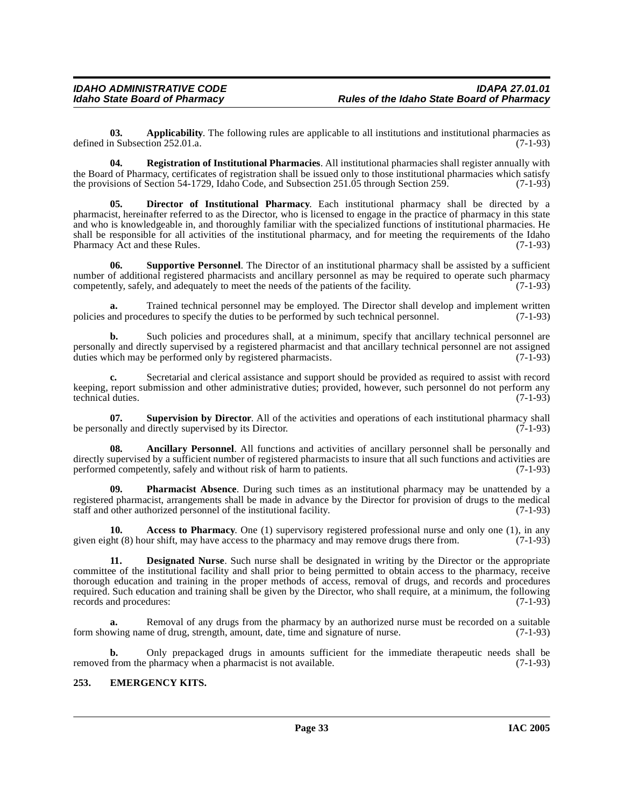**03. Applicability**. The following rules are applicable to all institutions and institutional pharmacies as defined in Subsection 252.01.a. (7-1-93)

**04. Registration of Institutional Pharmacies**. All institutional pharmacies shall register annually with the Board of Pharmacy, certificates of registration shall be issued only to those institutional pharmacies which satisfy<br>the provisions of Section 54-1729. Idaho Code, and Subsection 251.05 through Section 259. (7-1-93) the provisions of Section 54-1729, Idaho Code, and Subsection 251.05 through Section 259.

**05. Director of Institutional Pharmacy**. Each institutional pharmacy shall be directed by a pharmacist, hereinafter referred to as the Director, who is licensed to engage in the practice of pharmacy in this state and who is knowledgeable in, and thoroughly familiar with the specialized functions of institutional pharmacies. He shall be responsible for all activities of the institutional pharmacy, and for meeting the requirements of the Idaho<br>Pharmacy Act and these Rules. (7-1-93) Pharmacy Act and these Rules.

**06. Supportive Personnel**. The Director of an institutional pharmacy shall be assisted by a sufficient number of additional registered pharmacists and ancillary personnel as may be required to operate such pharmacy<br>competently, safely, and adequately to meet the needs of the patients of the facility. (7-1-93) competently, safely, and adequately to meet the needs of the patients of the facility.

**a.** Trained technical personnel may be employed. The Director shall develop and implement written policies and procedures to specify the duties to be performed by such technical personnel. (7-1-93)

**b.** Such policies and procedures shall, at a minimum, specify that ancillary technical personnel are personally and directly supervised by a registered pharmacist and that ancillary technical personnel are not assigned duties which may be performed only by registered pharmacists. (7-1-93)

**c.** Secretarial and clerical assistance and support should be provided as required to assist with record keeping, report submission and other administrative duties; provided, however, such personnel do not perform any technical duties. (7-1-93) technical duties.

**07. Supervision by Director**. All of the activities and operations of each institutional pharmacy shall pharmacy shall pharmacy shall pharmacy shall conductions (7-1-93) be personally and directly supervised by its Director.

**08. Ancillary Personnel**. All functions and activities of ancillary personnel shall be personally and directly supervised by a sufficient number of registered pharmacists to insure that all such functions and activities are performed competently, safely and without risk of harm to patients. (7-1-93) performed competently, safely and without risk of harm to patients.

**Pharmacist Absence**. During such times as an institutional pharmacy may be unattended by a registered pharmacist, arrangements shall be made in advance by the Director for provision of drugs to the medical staff and other authorized personnel of the institutional facility. (7-1-93)

**10. Access to Pharmacy**. One (1) supervisory registered professional nurse and only one (1), in any given eight (8) hour shift, may have access to the pharmacy and may remove drugs there from. (7-1-93)

**11. Designated Nurse**. Such nurse shall be designated in writing by the Director or the appropriate committee of the institutional facility and shall prior to being permitted to obtain access to the pharmacy, receive thorough education and training in the proper methods of access, removal of drugs, and records and procedures required. Such education and training shall be given by the Director, who shall require, at a minimum, the following records and procedures: (7-1-93)

**a.** Removal of any drugs from the pharmacy by an authorized nurse must be recorded on a suitable wing name of drug, strength, amount, date, time and signature of nurse. (7-1-93) form showing name of drug, strength, amount, date, time and signature of nurse.

**b.** Only prepackaged drugs in amounts sufficient for the immediate therapeutic needs shall be from the pharmacy when a pharmacist is not available. (7-1-93) removed from the pharmacy when a pharmacist is not available.

#### <span id="page-32-0"></span>**253. EMERGENCY KITS.**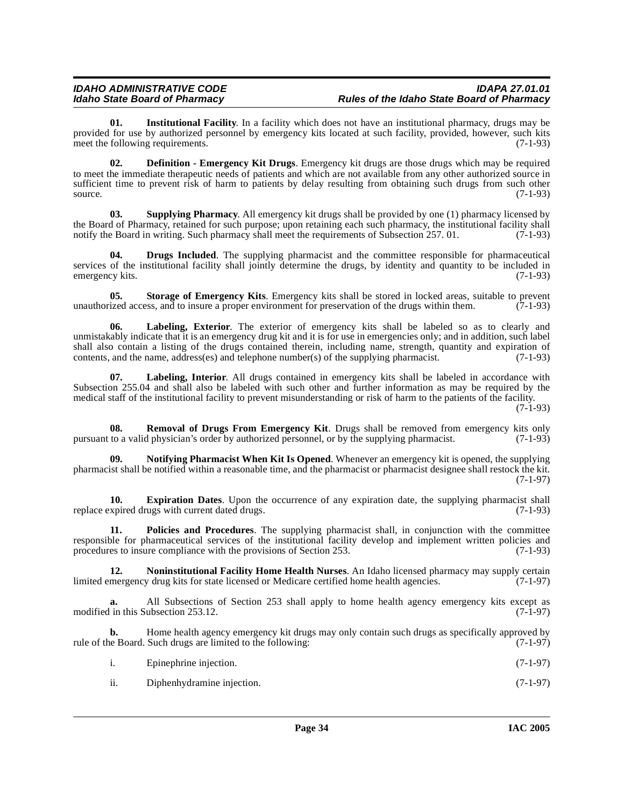**01. Institutional Facility**. In a facility which does not have an institutional pharmacy, drugs may be provided for use by authorized personnel by emergency kits located at such facility, provided, however, such kits meet the following requirements. (7-1-93)

**02. Definition - Emergency Kit Drugs**. Emergency kit drugs are those drugs which may be required to meet the immediate therapeutic needs of patients and which are not available from any other authorized source in sufficient time to prevent risk of harm to patients by delay resulting from obtaining such drugs from such other source.  $(7-1-93)$ 

**Supplying Pharmacy.** All emergency kit drugs shall be provided by one (1) pharmacy licensed by the Board of Pharmacy, retained for such purpose; upon retaining each such pharmacy, the institutional facility shall<br>notify the Board in writing. Such pharmacy shall meet the requirements of Subsection 257. 01. (7-1-93) notify the Board in writing. Such pharmacy shall meet the requirements of Subsection 257. 01.

**04. Drugs Included**. The supplying pharmacist and the committee responsible for pharmaceutical services of the institutional facility shall jointly determine the drugs, by identity and quantity to be included in emergency kits. (7-1-93)

**05. Storage of Emergency Kits**. Emergency kits shall be stored in locked areas, suitable to prevent unauthorized access, and to insure a proper environment for preservation of the drugs within them. (7-1-93)

**06. Labeling, Exterior**. The exterior of emergency kits shall be labeled so as to clearly and unmistakably indicate that it is an emergency drug kit and it is for use in emergencies only; and in addition, such label shall also contain a listing of the drugs contained therein, including name, strength, quantity and expiration of contents, and the name, address(es) and telephone number(s) of the supplying pharmacist. (7-1-93)

**07. Labeling, Interior**. All drugs contained in emergency kits shall be labeled in accordance with Subsection 255.04 and shall also be labeled with such other and further information as may be required by the medical staff of the institutional facility to prevent misunderstanding or risk of harm to the patients of the facility.

(7-1-93)

**08. Removal of Drugs From Emergency Kit**. Drugs shall be removed from emergency kits only pursuant to a valid physician's order by authorized personnel, or by the supplying pharmacist. (7-1-93)

**09. Notifying Pharmacist When Kit Is Opened**. Whenever an emergency kit is opened, the supplying pharmacist shall be notified within a reasonable time, and the pharmacist or pharmacist designee shall restock the kit. (7-1-97)

**10. Expiration Dates**. Upon the occurrence of any expiration date, the supplying pharmacist shall replace expired drugs with current dated drugs. (7-1-93)

**11. Policies and Procedures**. The supplying pharmacist shall, in conjunction with the committee responsible for pharmaceutical services of the institutional facility develop and implement written policies and procedures to insure compliance with the provisions of Section 253. (7-1-93)

**12. Noninstitutional Facility Home Health Nurses**. An Idaho licensed pharmacy may supply certain mergency drug kits for state licensed or Medicare certified home health agencies. (7-1-97) limited emergency drug kits for state licensed or Medicare certified home health agencies.

**a.** All Subsections of Section 253 shall apply to home health agency emergency kits except as modified in this Subsection 253.12. (7-1-97)

**b.** Home health agency emergency kit drugs may only contain such drugs as specifically approved by rule of the Board. Such drugs are limited to the following: (7-1-97)

| 1. | Epinephrine injection. | $(7-1-97)$ |
|----|------------------------|------------|
|    |                        |            |

ii. Diphenhydramine injection. (7-1-97)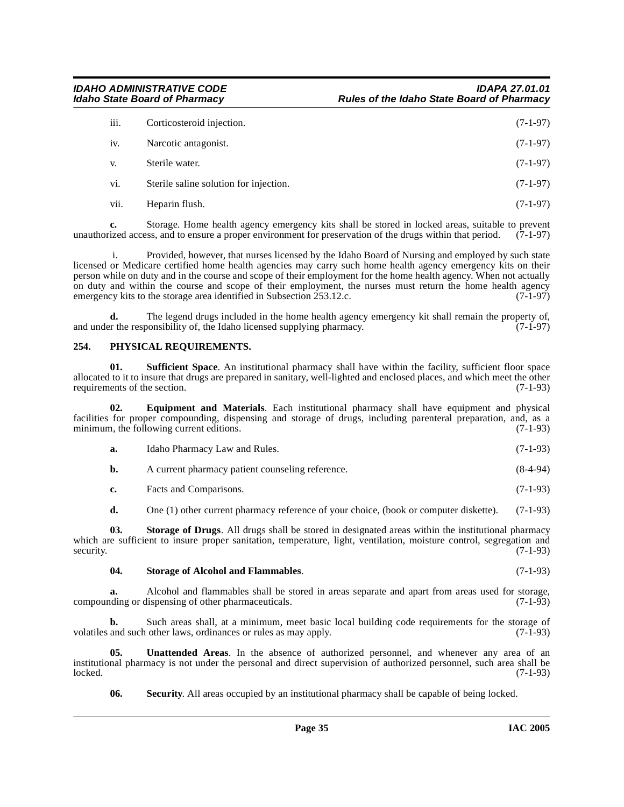| iii. | Corticosteroid injection.              | $(7-1-97)$ |
|------|----------------------------------------|------------|
| iv.  | Narcotic antagonist.                   | $(7-1-97)$ |
| V.   | Sterile water.                         | $(7-1-97)$ |
| vi.  | Sterile saline solution for injection. | $(7-1-97)$ |
| vii. | Heparin flush.                         | $(7-1-97)$ |

**c.** Storage. Home health agency emergency kits shall be stored in locked areas, suitable to prevent ized access, and to ensure a proper environment for preservation of the drugs within that period. (7-1-97) unauthorized access, and to ensure a proper environment for preservation of the drugs within that period.

 i. Provided, however, that nurses licensed by the Idaho Board of Nursing and employed by such state licensed or Medicare certified home health agencies may carry such home health agency emergency kits on their person while on duty and in the course and scope of their employment for the home health agency. When not actually on duty and within the course and scope of their employment, the nurses must return the home health agency emergency kits to the storage area identified in Subsection 253.12.c.  $(7-1-97)$ emergency kits to the storage area identified in Subsection 253.12.c.

**d.** The legend drugs included in the home health agency emergency kit shall remain the property of, r the responsibility of, the Idaho licensed supplying pharmacy. (7-1-97) and under the responsibility of, the Idaho licensed supplying pharmacy.

#### <span id="page-34-0"></span>**254. PHYSICAL REQUIREMENTS.**

**01. Sufficient Space**. An institutional pharmacy shall have within the facility, sufficient floor space allocated to it to insure that drugs are prepared in sanitary, well-lighted and enclosed places, and which meet the other requirements of the section. (7-1-93) requirements of the section.

**02. Equipment and Materials**. Each institutional pharmacy shall have equipment and physical facilities for proper compounding, dispensing and storage of drugs, including parenteral preparation, and, as a minimum, the following current editions.

| <b>a.</b> | Idaho Pharmacy Law and Rules. | $(7-1-93)$ |
|-----------|-------------------------------|------------|
|-----------|-------------------------------|------------|

| b. | A current pharmacy patient counseling reference. | $(8-4-94)$ |
|----|--------------------------------------------------|------------|
|----|--------------------------------------------------|------------|

**c.** Facts and Comparisons. (7-1-93)

**d.** One (1) other current pharmacy reference of your choice, (book or computer diskette). (7-1-93)

**03. Storage of Drugs**. All drugs shall be stored in designated areas within the institutional pharmacy which are sufficient to insure proper sanitation, temperature, light, ventilation, moisture control, segregation and security.  $(7-1-93)$ 

#### **04. Storage of Alcohol and Flammables**. (7-1-93)

**a.** Alcohol and flammables shall be stored in areas separate and apart from areas used for storage, compounding or dispensing of other pharmaceuticals. (7-1-93)

**b.** Such areas shall, at a minimum, meet basic local building code requirements for the storage of and such other laws, ordinances or rules as may apply. (7-1-93) volatiles and such other laws, ordinances or rules as may apply.

**05. Unattended Areas**. In the absence of authorized personnel, and whenever any area of an institutional pharmacy is not under the personal and direct supervision of authorized personnel, such area shall be locked. (7-1-93) locked. (7-1-93)

**06.** Security. All areas occupied by an institutional pharmacy shall be capable of being locked.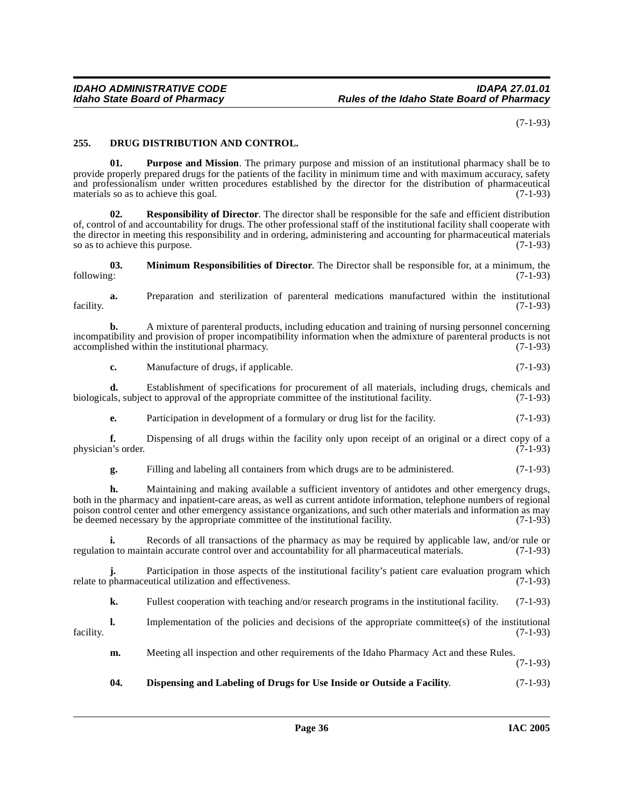(7-1-93)

#### <span id="page-35-0"></span>**255. DRUG DISTRIBUTION AND CONTROL.**

**01. Purpose and Mission**. The primary purpose and mission of an institutional pharmacy shall be to provide properly prepared drugs for the patients of the facility in minimum time and with maximum accuracy, safety and professionalism under written procedures established by the director for the distribution of pharmaceutical materials so as to achieve this goal. (7-1-93)

**Responsibility of Director.** The director shall be responsible for the safe and efficient distribution of, control of and accountability for drugs. The other professional staff of the institutional facility shall cooperate with the director in meeting this responsibility and in ordering, administering and accounting for pharmaceutical materials<br>so as to achieve this purpose. (7-1-93) so as to achieve this purpose.

**03.** Minimum Responsibilities of Director. The Director shall be responsible for, at a minimum, the following: (7-1-93) following: (7-1-93)

**a.** Preparation and sterilization of parenteral medications manufactured within the institutional facility. (7-1-93)

**b.** A mixture of parenteral products, including education and training of nursing personnel concerning incompatibility and provision of proper incompatibility information when the admixture of parenteral products is not accomplished within the institutional pharmacy. (7-1-93) accomplished within the institutional pharmacy.

**c.** Manufacture of drugs, if applicable. (7-1-93)

**d.** Establishment of specifications for procurement of all materials, including drugs, chemicals and als, subject to approval of the appropriate committee of the institutional facility. (7-1-93) biologicals, subject to approval of the appropriate committee of the institutional facility.

**e.** Participation in development of a formulary or drug list for the facility. (7-1-93)

**f.** Dispensing of all drugs within the facility only upon receipt of an original or a direct copy of a n's order. (7-1-93) physician's order.

**g.** Filling and labeling all containers from which drugs are to be administered. (7-1-93)

**h.** Maintaining and making available a sufficient inventory of antidotes and other emergency drugs, both in the pharmacy and inpatient-care areas, as well as current antidote information, telephone numbers of regional poison control center and other emergency assistance organizations, and such other materials and information as may<br>be deemed necessary by the appropriate committee of the institutional facility. (7-1-93) be deemed necessary by the appropriate committee of the institutional facility.

**i.** Records of all transactions of the pharmacy as may be required by applicable law, and/or rule or regulation to maintain accurate control over and accountability for all pharmaceutical materials. (7-1-93)

**j.** Participation in those aspects of the institutional facility's patient care evaluation program which pharmaceutical utilization and effectiveness. (7-1-93) relate to pharmaceutical utilization and effectiveness.

**k.** Fullest cooperation with teaching and/or research programs in the institutional facility. (7-1-93)

**l.** Implementation of the policies and decisions of the appropriate committee(s) of the institutional (7-1-93) facility. (7-1-93)

**m.** Meeting all inspection and other requirements of the Idaho Pharmacy Act and these Rules.

(7-1-93)

#### **04. Dispensing and Labeling of Drugs for Use Inside or Outside a Facility**. (7-1-93)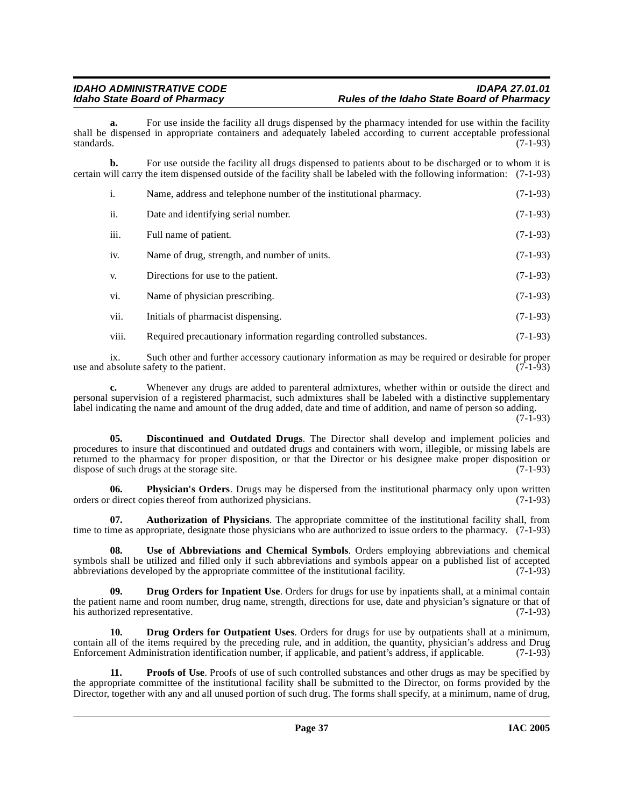For use inside the facility all drugs dispensed by the pharmacy intended for use within the facility shall be dispensed in appropriate containers and adequately labeled according to current acceptable professional standards. (7-1-93) standards.  $(7-1-93)$ 

**b.** For use outside the facility all drugs dispensed to patients about to be discharged or to whom it is certain will carry the item dispensed outside of the facility shall be labeled with the following information: (7-1-93)

| i.    | Name, address and telephone number of the institutional pharmacy.   | $(7-1-93)$ |
|-------|---------------------------------------------------------------------|------------|
| ii.   | Date and identifying serial number.                                 | $(7-1-93)$ |
| iii.  | Full name of patient.                                               | $(7-1-93)$ |
| iv.   | Name of drug, strength, and number of units.                        | $(7-1-93)$ |
| V.    | Directions for use to the patient.                                  | $(7-1-93)$ |
| vi.   | Name of physician prescribing.                                      | $(7-1-93)$ |
| vii.  | Initials of pharmacist dispensing.                                  | $(7-1-93)$ |
| viii. | Required precautionary information regarding controlled substances. | $(7-1-93)$ |

ix. Such other and further accessory cautionary information as may be required or desirable for proper<br>absolute safety to the patient. (7-1-93) use and absolute safety to the patient.

**c.** Whenever any drugs are added to parenteral admixtures, whether within or outside the direct and personal supervision of a registered pharmacist, such admixtures shall be labeled with a distinctive supplementary label indicating the name and amount of the drug added, date and time of addition, and name of person so adding.

(7-1-93)

<span id="page-36-1"></span>**05. Discontinued and Outdated Drugs**. The Director shall develop and implement policies and procedures to insure that discontinued and outdated drugs and containers with worn, illegible, or missing labels are returned to the pharmacy for proper disposition, or that the Director or his designee make proper disposition or dispose of such drugs at the storage site. (7-1-93) dispose of such drugs at the storage site.

**06. Physician's Orders**. Drugs may be dispersed from the institutional pharmacy only upon written orders or direct copies thereof from authorized physicians. (7-1-93)

<span id="page-36-0"></span>**07. Authorization of Physicians**. The appropriate committee of the institutional facility shall, from time to time as appropriate, designate those physicians who are authorized to issue orders to the pharmacy. (7-1-93)

**08. Use of Abbreviations and Chemical Symbols**. Orders employing abbreviations and chemical symbols shall be utilized and filled only if such abbreviations and symbols appear on a published list of accepted abbreviations developed by the appropriate committee of the institutional facility. (7-1-93) abbreviations developed by the appropriate committee of the institutional facility.

<span id="page-36-2"></span>**09. Drug Orders for Inpatient Use**. Orders for drugs for use by inpatients shall, at a minimal contain the patient name and room number, drug name, strength, directions for use, date and physician's signature or that of his authorized representative. (7-1-93) his authorized representative.

<span id="page-36-3"></span>**10. Drug Orders for Outpatient Uses**. Orders for drugs for use by outpatients shall at a minimum, contain all of the items required by the preceding rule, and in addition, the quantity, physician's address and Drug Enforcement Administration identification number, if applicable, and patient's address, if applicable. (7-1-93)

**11. Proofs of Use**. Proofs of use of such controlled substances and other drugs as may be specified by the appropriate committee of the institutional facility shall be submitted to the Director, on forms provided by the Director, together with any and all unused portion of such drug. The forms shall specify, at a minimum, name of drug,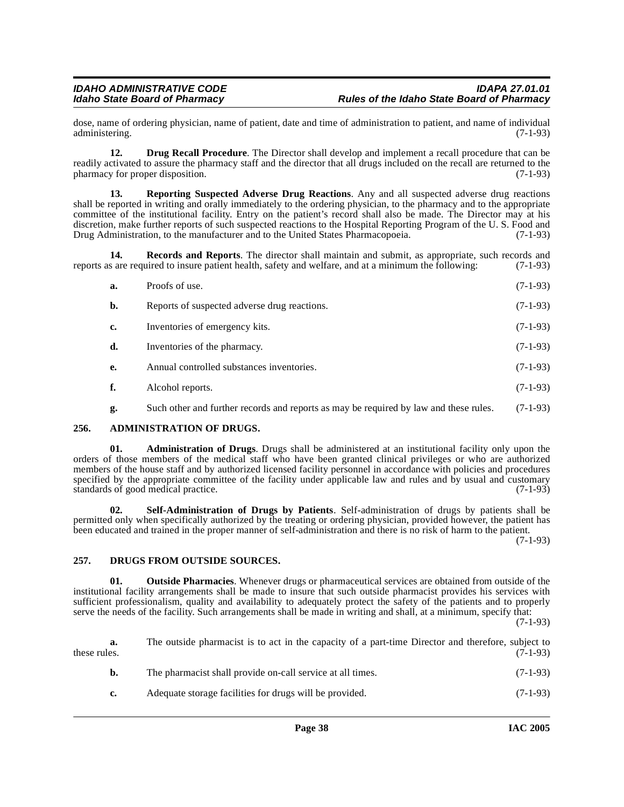dose, name of ordering physician, name of patient, date and time of administration to patient, and name of individual administering.

<span id="page-37-1"></span>**12. Drug Recall Procedure**. The Director shall develop and implement a recall procedure that can be readily activated to assure the pharmacy staff and the director that all drugs included on the recall are returned to the pharmacy for proper disposition. (7-1-93)

**13. Reporting Suspected Adverse Drug Reactions**. Any and all suspected adverse drug reactions shall be reported in writing and orally immediately to the ordering physician, to the pharmacy and to the appropriate committee of the institutional facility. Entry on the patient's record shall also be made. The Director may at his discretion, make further reports of such suspected reactions to the Hospital Reporting Program of the U. S. Food and Drug Administration, to the manufacturer and to the United States Pharmacopoeia. (7-1-93) Drug Administration, to the manufacturer and to the United States Pharmacopoeia.

**14. Records and Reports**. The director shall maintain and submit, as appropriate, such records and reports as are required to insure patient health, safety and welfare, and at a minimum the following: (7-1-93)

| a.        | Proofs of use.                               | $(7-1-93)$ |
|-----------|----------------------------------------------|------------|
| b.        | Reports of suspected adverse drug reactions. | $(7-1-93)$ |
| c.        | Inventories of emergency kits.               | $(7-1-93)$ |
| d.        | Inventories of the pharmacy.                 | $(7-1-93)$ |
| <b>e.</b> | Annual controlled substances inventories.    | $(7-1-93)$ |
| f.        | Alcohol reports.                             | $(7-1-93)$ |
|           |                                              |            |

<span id="page-37-0"></span>**g.** Such other and further records and reports as may be required by law and these rules. (7-1-93)

#### **256. ADMINISTRATION OF DRUGS.**

**01. Administration of Drugs**. Drugs shall be administered at an institutional facility only upon the orders of those members of the medical staff who have been granted clinical privileges or who are authorized members of the house staff and by authorized licensed facility personnel in accordance with policies and procedures specified by the appropriate committee of the facility under applicable law and rules and by usual and customary standards of good medical practice. (7-1-93)

**02. Self-Administration of Drugs by Patients**. Self-administration of drugs by patients shall be permitted only when specifically authorized by the treating or ordering physician, provided however, the patient has been educated and trained in the proper manner of self-administration and there is no risk of harm to the patient.

(7-1-93)

#### <span id="page-37-2"></span>**257. DRUGS FROM OUTSIDE SOURCES.**

**01. Outside Pharmacies**. Whenever drugs or pharmaceutical services are obtained from outside of the institutional facility arrangements shall be made to insure that such outside pharmacist provides his services with sufficient professionalism, quality and availability to adequately protect the safety of the patients and to properly serve the needs of the facility. Such arrangements shall be made in writing and shall, at a minimum, specify that: (7-1-93)

**a.** The outside pharmacist is to act in the capacity of a part-time Director and therefore, subject to these rules.  $(7-1-93)$ **b.** The pharmacist shall provide on-call service at all times. (7-1-93) **c.** Adequate storage facilities for drugs will be provided. (7-1-93)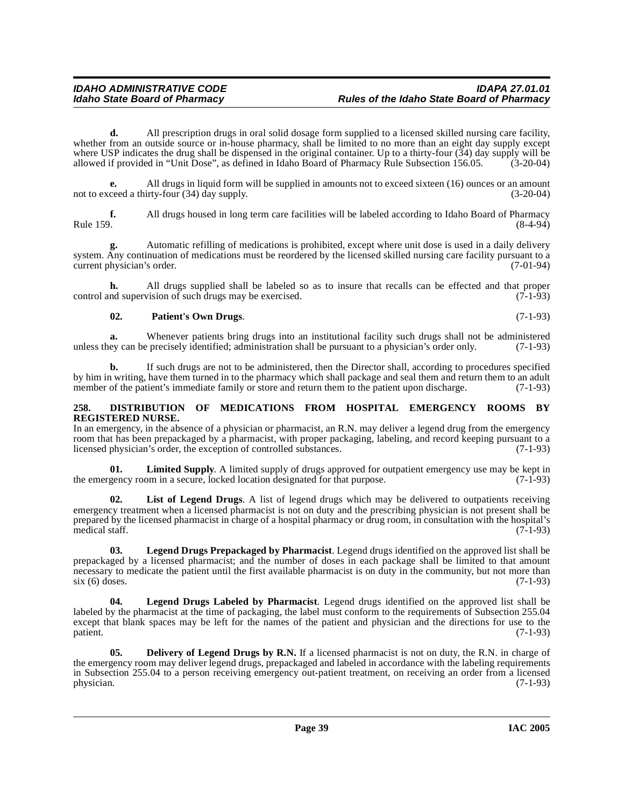**d.** All prescription drugs in oral solid dosage form supplied to a licensed skilled nursing care facility, whether from an outside source or in-house pharmacy, shall be limited to no more than an eight day supply except where USP indicates the drug shall be dispensed in the original container. Up to a thirty-four (34) day supply will be allowed if provided in "Unit Dose", as defined in Idaho Board of Pharmacy Rule Subsection 156.05. (3-20-04)

**e.** All drugs in liquid form will be supplied in amounts not to exceed sixteen (16) ounces or an amount ceed a thirty-four (34) day supply. (3-20-04) not to exceed a thirty-four  $(34)$  day supply.

**f.** All drugs housed in long term care facilities will be labeled according to Idaho Board of Pharmacy Rule 159. (8-4-94) Rule 159. (8-4-94)

**g.** Automatic refilling of medications is prohibited, except where unit dose is used in a daily delivery system. Any continuation of medications must be reordered by the licensed skilled nursing care facility pursuant to a current physician's order. (7-01-94)

**h.** All drugs supplied shall be labeled so as to insure that recalls can be effected and that proper nd supervision of such drugs may be exercised. (7-1-93) control and supervision of such drugs may be exercised.

#### **02. Patient's Own Drugs**. (7-1-93)

**a.** Whenever patients bring drugs into an institutional facility such drugs shall not be administered ey can be precisely identified; administration shall be pursuant to a physician's order only. (7-1-93) unless they can be precisely identified; administration shall be pursuant to a physician's order only.

**b.** If such drugs are not to be administered, then the Director shall, according to procedures specified by him in writing, have them turned in to the pharmacy which shall package and seal them and return them to an adult member of the patient's immediate family or store and return them to the patient upon discharge. (7-1-93) member of the patient's immediate family or store and return them to the patient upon discharge.

#### <span id="page-38-1"></span>**258. DISTRIBUTION OF MEDICATIONS FROM HOSPITAL EMERGENCY ROOMS BY REGISTERED NURSE.**

In an emergency, in the absence of a physician or pharmacist, an R.N. may deliver a legend drug from the emergency room that has been prepackaged by a pharmacist, with proper packaging, labeling, and record keeping pursuant to a licensed physician's order, the exception of controlled substances. (7-1-93) licensed physician's order, the exception of controlled substances.

**01.** Limited Supply. A limited supply of drugs approved for outpatient emergency use may be kept in gency room in a secure, locked location designated for that purpose. (7-1-93) the emergency room in a secure, locked location designated for that purpose.

**02. List of Legend Drugs**. A list of legend drugs which may be delivered to outpatients receiving emergency treatment when a licensed pharmacist is not on duty and the prescribing physician is not present shall be prepared by the licensed pharmacist in charge of a hospital pharmacy or drug room, in consultation with the hospital's medical staff. (7-1-93)

**03. Legend Drugs Prepackaged by Pharmacist**. Legend drugs identified on the approved list shall be prepackaged by a licensed pharmacist; and the number of doses in each package shall be limited to that amount necessary to medicate the patient until the first available pharmacist is on duty in the community, but not more than  $\frac{\sin(6)}{7-1-93}$  $six (6)$  doses.

**04. Legend Drugs Labeled by Pharmacist**. Legend drugs identified on the approved list shall be labeled by the pharmacist at the time of packaging, the label must conform to the requirements of Subsection 255.04 except that blank spaces may be left for the names of the patient and physician and the directions for use to the patient. (7-1-93) patient. (7-1-93)

<span id="page-38-0"></span>**05.** Delivery of Legend Drugs by R.N. If a licensed pharmacist is not on duty, the R.N. in charge of the emergency room may deliver legend drugs, prepackaged and labeled in accordance with the labeling requirements in Subsection 255.04 to a person receiving emergency out-patient treatment, on receiving an order from a licensed<br>physician. (7-1-93) physician. (7-1-93)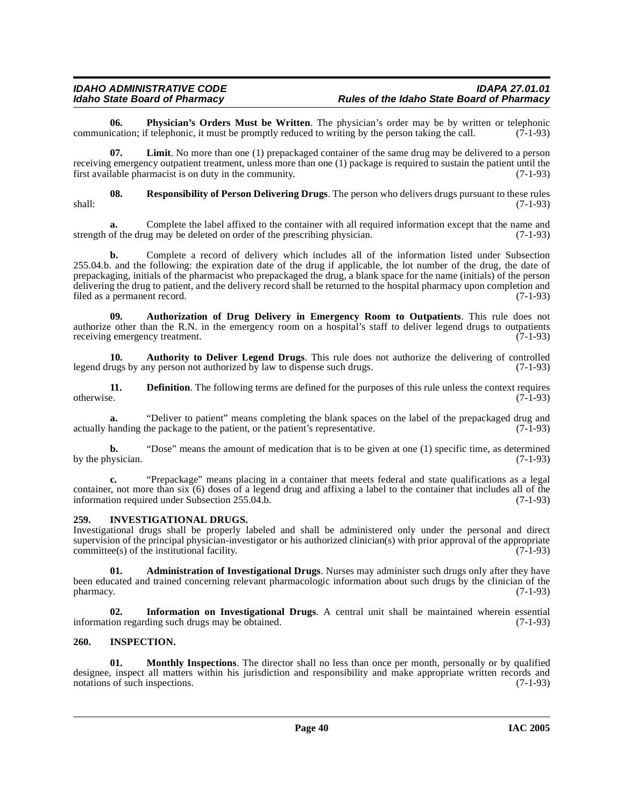### IDAHO ADMINISTRATIVE CODE<br>Idaho State Board of Pharmacy **Integrative State Board of Pharmacy** Rules of the Idaho State Board of Pharmacy **Idaho State Board of Pharmacy Rules of the Idaho State Board of Pharmacy**

**06. Physician's Orders Must be Written**. The physician's order may be by written or telephonic it must be promptly reduced to writing by the person taking the call. (7-1-93) communication; if telephonic, it must be promptly reduced to writing by the person taking the call.

**07. Limit**. No more than one (1) prepackaged container of the same drug may be delivered to a person receiving emergency outpatient treatment, unless more than one (1) package is required to sustain the patient until the first available pharmacist is on duty in the community. (7-1-93)

**08. Responsibility of Person Delivering Drugs**. The person who delivers drugs pursuant to these rules shall: (7-1-93)

**a.** Complete the label affixed to the container with all required information except that the name and of the drug may be deleted on order of the prescribing physician. (7-1-93) strength of the drug may be deleted on order of the prescribing physician.

**b.** Complete a record of delivery which includes all of the information listed under Subsection 255.04.b. and the following: the expiration date of the drug if applicable, the lot number of the drug, the date of prepackaging, initials of the pharmacist who prepackaged the drug, a blank space for the name (initials) of the person delivering the drug to patient, and the delivery record shall be returned to the hospital pharmacy upon completion and filed as a permanent record. (7-1-93) filed as a permanent record.

<span id="page-39-2"></span>**09. Authorization of Drug Delivery in Emergency Room to Outpatients**. This rule does not authorize other than the R.N. in the emergency room on a hospital's staff to deliver legend drugs to outpatients receiving emergency treatment. (7-1-93) receiving emergency treatment.

<span id="page-39-1"></span>**10. Authority to Deliver Legend Drugs**. This rule does not authorize the delivering of controlled legend drugs by any person not authorized by law to dispense such drugs. (7-1-93)

**11. 11. Definition**. The following terms are defined for the purposes of this rule unless the context requires otherwise. (7-1-93) otherwise. (7-1-93)

**a.** "Deliver to patient" means completing the blank spaces on the label of the prepackaged drug and handing the package to the patient, or the patient's representative. (7-1-93) actually handing the package to the patient, or the patient's representative.

**b.** "Dose" means the amount of medication that is to be given at one (1) specific time, as determined by the physician.  $(7-1-93)$ 

**c.** "Prepackage" means placing in a container that meets federal and state qualifications as a legal container, not more than six (6) doses of a legend drug and affixing a label to the container that includes all of the information required under Subsection 255.04.b. (7-1-93)

#### **259. INVESTIGATIONAL DRUGS.**

Investigational drugs shall be properly labeled and shall be administered only under the personal and direct supervision of the principal physician-investigator or his authorized clinician(s) with prior approval of the appropriate  $committee(s)$  of the institutional facility. (7-1-93)

<span id="page-39-0"></span>**01. Administration of Investigational Drugs**. Nurses may administer such drugs only after they have been educated and trained concerning relevant pharmacologic information about such drugs by the clinician of the  $p$ harmacy.  $(7-1-93)$ 

**02.** Information on Investigational Drugs. A central unit shall be maintained wherein essential ion regarding such drugs may be obtained. (7-1-93) information regarding such drugs may be obtained.

#### **260. INSPECTION.**

**01. Monthly Inspections**. The director shall no less than once per month, personally or by qualified designee, inspect all matters within his jurisdiction and responsibility and make appropriate written records and notations of such inspections. (7-1-93) notations of such inspections.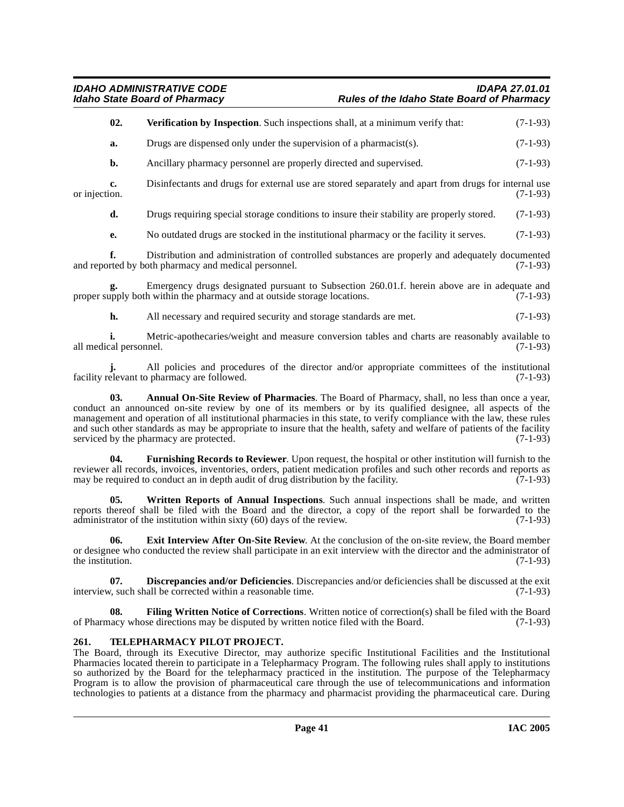| 02. | <b>Verification by Inspection.</b> Such inspections shall, at a minimum verify that: |  |  | $(7-1-93)$ |
|-----|--------------------------------------------------------------------------------------|--|--|------------|
|-----|--------------------------------------------------------------------------------------|--|--|------------|

**a.** Drugs are dispensed only under the supervision of a pharmacist(s). (7-1-93)

**b.** Ancillary pharmacy personnel are properly directed and supervised. (7-1-93)

**c.** Disinfectants and drugs for external use are stored separately and apart from drugs for internal use or injection. (7-1-93) or injection. (7-1-93)

**d.** Drugs requiring special storage conditions to insure their stability are properly stored. (7-1-93)

**e.** No outdated drugs are stocked in the institutional pharmacy or the facility it serves. (7-1-93)

**f.** Distribution and administration of controlled substances are properly and adequately documented and reported by both pharmacy and medical personnel. (7-1-93)

**g.** Emergency drugs designated pursuant to Subsection 260.01.f. herein above are in adequate and upply both within the pharmacy and at outside storage locations. (7-1-93) proper supply both within the pharmacy and at outside storage locations.

**h.** All necessary and required security and storage standards are met. (7-1-93)

**i.** Metric-apothecaries/weight and measure conversion tables and charts are reasonably available to cal personnel. (7-1-93) all medical personnel.

All policies and procedures of the director and/or appropriate committees of the institutional pharmacy are followed. (7-1-93) facility relevant to pharmacy are followed.

<span id="page-40-0"></span>**03. Annual On-Site Review of Pharmacies**. The Board of Pharmacy, shall, no less than once a year, conduct an announced on-site review by one of its members or by its qualified designee, all aspects of the management and operation of all institutional pharmacies in this state, to verify compliance with the law, these rules and such other standards as may be appropriate to insure that the health, safety and welfare of patients of the facility serviced by the pharmacy are protected. (7-1-93)

**04. Furnishing Records to Reviewer**. Upon request, the hospital or other institution will furnish to the reviewer all records, invoices, inventories, orders, patient medication profiles and such other records and reports as may be required to conduct an in depth audit of drug distribution by the facility. (7-1-93) may be required to conduct an in depth audit of drug distribution by the facility.

**05. Written Reports of Annual Inspections**. Such annual inspections shall be made, and written reports thereof shall be filed with the Board and the director, a copy of the report shall be forwarded to the administrator of the institution within sixty (60) days of the review. (7-1-93) administrator of the institution within sixty  $(60)$  days of the review.

<span id="page-40-2"></span>**06. Exit Interview After On-Site Review**. At the conclusion of the on-site review, the Board member or designee who conducted the review shall participate in an exit interview with the director and the administrator of the institution. (7-1-93) the institution.

<span id="page-40-1"></span>**07. Discrepancies and/or Deficiencies**. Discrepancies and/or deficiencies shall be discussed at the exit interview, such shall be corrected within a reasonable time. (7-1-93)

**08. Filing Written Notice of Corrections**. Written notice of correction(s) shall be filed with the Board nacy whose directions may be disputed by written notice filed with the Board. (7-1-93) of Pharmacy whose directions may be disputed by written notice filed with the Board.

#### **261. TELEPHARMACY PILOT PROJECT.**

The Board, through its Executive Director, may authorize specific Institutional Facilities and the Institutional Pharmacies located therein to participate in a Telepharmacy Program. The following rules shall apply to institutions so authorized by the Board for the telepharmacy practiced in the institution. The purpose of the Telepharmacy Program is to allow the provision of pharmaceutical care through the use of telecommunications and information technologies to patients at a distance from the pharmacy and pharmacist providing the pharmaceutical care. During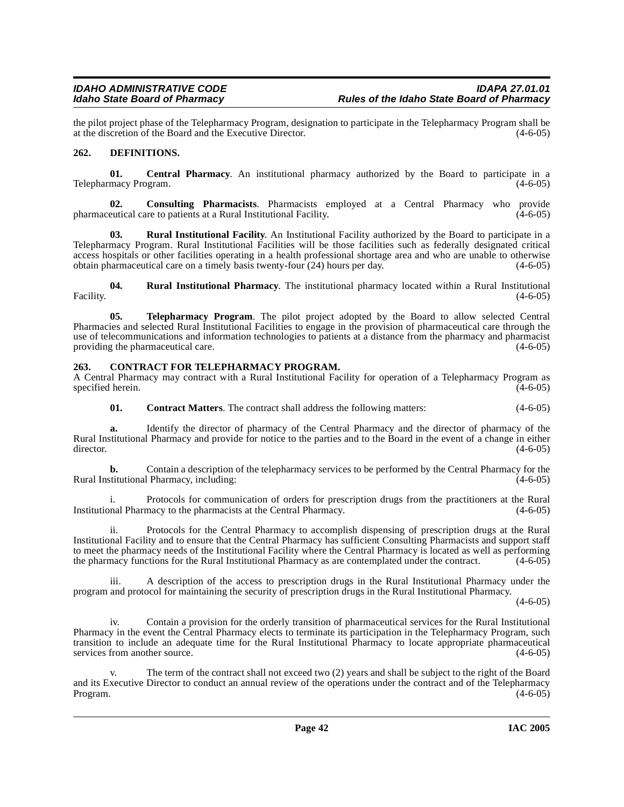the pilot project phase of the Telepharmacy Program, designation to participate in the Telepharmacy Program shall be at the discretion of the Board and the Executive Director. (4-6-05) at the discretion of the Board and the Executive Director.

### <span id="page-41-4"></span>**262. DEFINITIONS.**

<span id="page-41-0"></span>**01. Central Pharmacy**. An institutional pharmacy authorized by the Board to participate in a Telepharmacy Program.

<span id="page-41-1"></span>**02. Consulting Pharmacists**. Pharmacists employed at a Central Pharmacy who provide pharmaceutical care to patients at a Rural Institutional Facility. (4-6-05)

**03. Rural Institutional Facility**. An Institutional Facility authorized by the Board to participate in a Telepharmacy Program. Rural Institutional Facilities will be those facilities such as federally designated critical access hospitals or other facilities operating in a health professional shortage area and who are unable to otherwise obtain pharmaceutical care on a timely basis twenty-four (24) hours per day. (4-6-05)

**04.** Rural Institutional Pharmacy. The institutional pharmacy located within a Rural Institutional (4-6-05) Facility.  $(4-6-05)$ 

**05. Telepharmacy Program**. The pilot project adopted by the Board to allow selected Central Pharmacies and selected Rural Institutional Facilities to engage in the provision of pharmaceutical care through the use of telecommunications and information technologies to patients at a distance from the pharmacy and pharmacist providing the pharmaceutical care. (4-6-05) providing the pharmaceutical care.

### <span id="page-41-2"></span>**263. CONTRACT FOR TELEPHARMACY PROGRAM.**

A Central Pharmacy may contract with a Rural Institutional Facility for operation of a Telepharmacy Program as specified herein.

<span id="page-41-3"></span>**01. Contract Matters**. The contract shall address the following matters: (4-6-05)

**a.** Identify the director of pharmacy of the Central Pharmacy and the director of pharmacy of the Rural Institutional Pharmacy and provide for notice to the parties and to the Board in the event of a change in either director. (4-6-05)  $\frac{4-6-05}{2}$ 

**b.** Contain a description of the telepharmacy services to be performed by the Central Pharmacy for the stitutional Pharmacy, including: (4-6-05) Rural Institutional Pharmacy, including:

i. Protocols for communication of orders for prescription drugs from the practitioners at the Rural Institutional Pharmacy to the pharmacists at the Central Pharmacy. (4-6-05)

ii. Protocols for the Central Pharmacy to accomplish dispensing of prescription drugs at the Rural Institutional Facility and to ensure that the Central Pharmacy has sufficient Consulting Pharmacists and support staff to meet the pharmacy needs of the Institutional Facility where the Central Pharmacy is located as well as performing the pharmacy functions for the Rural Institutional Pharmacy as are contemplated under the contract. (4-6-05)

iii. A description of the access to prescription drugs in the Rural Institutional Pharmacy under the program and protocol for maintaining the security of prescription drugs in the Rural Institutional Pharmacy.

 $(4-6-05)$ 

iv. Contain a provision for the orderly transition of pharmaceutical services for the Rural Institutional Pharmacy in the event the Central Pharmacy elects to terminate its participation in the Telepharmacy Program, such transition to include an adequate time for the Rural Institutional Pharmacy to locate appropriate pharmaceutical services from another source. (4-6-05)

v. The term of the contract shall not exceed two (2) years and shall be subject to the right of the Board and its Executive Director to conduct an annual review of the operations under the contract and of the Telepharmacy<br>(4-6-05) Program. (4-6-05)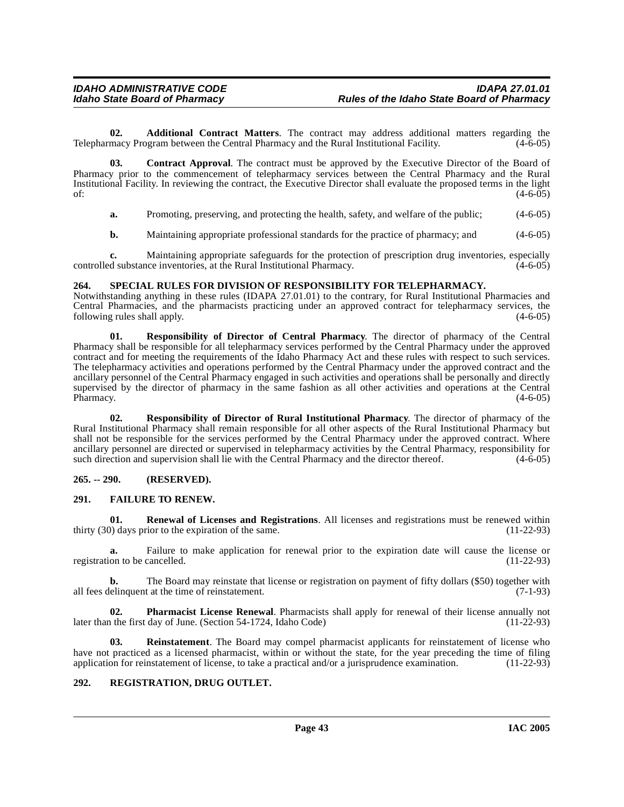<span id="page-42-0"></span>**02. Additional Contract Matters**. The contract may address additional matters regarding the macy Program between the Central Pharmacy and the Rural Institutional Facility. (4-6-05) Telepharmacy Program between the Central Pharmacy and the Rural Institutional Facility.

**03. Contract Approval**. The contract must be approved by the Executive Director of the Board of Pharmacy prior to the commencement of telepharmacy services between the Central Pharmacy and the Rural Institutional Facility. In reviewing the contract, the Executive Director shall evaluate the proposed terms in the light of:  $(4-6-05)$ 

<span id="page-42-1"></span>**a.** Promoting, preserving, and protecting the health, safety, and welfare of the public; (4-6-05)

**b.** Maintaining appropriate professional standards for the practice of pharmacy; and  $(4-6-05)$ 

**c.** Maintaining appropriate safeguards for the protection of prescription drug inventories, especially controlled substance inventories, at the Rural Institutional Pharmacy. (4-6-05)

#### **264. SPECIAL RULES FOR DIVISION OF RESPONSIBILITY FOR TELEPHARMACY.**

Notwithstanding anything in these rules (IDAPA 27.01.01) to the contrary, for Rural Institutional Pharmacies and Central Pharmacies, and the pharmacists practicing under an approved contract for telepharmacy services, the following rules shall apply.  $(4-6-05)$ 

**01. Responsibility of Director of Central Pharmacy**. The director of pharmacy of the Central Pharmacy shall be responsible for all telepharmacy services performed by the Central Pharmacy under the approved contract and for meeting the requirements of the Idaho Pharmacy Act and these rules with respect to such services. The telepharmacy activities and operations performed by the Central Pharmacy under the approved contract and the ancillary personnel of the Central Pharmacy engaged in such activities and operations shall be personally and directly supervised by the director of pharmacy in the same fashion as all other activities and operations at the Central Pharmacy. (4-6-05) Pharmacy. (4-6-05)

**02. Responsibility of Director of Rural Institutional Pharmacy**. The director of pharmacy of the Rural Institutional Pharmacy shall remain responsible for all other aspects of the Rural Institutional Pharmacy but shall not be responsible for the services performed by the Central Pharmacy under the approved contract. Where ancillary personnel are directed or supervised in telepharmacy activities by the Central Pharmacy, responsibility for such direction and supervision shall lie with the Central Pharmacy and the director thereof.  $(4-6-05)$ 

#### **265. -- 290. (RESERVED).**

#### <span id="page-42-2"></span>**291. FAILURE TO RENEW.**

**01. Renewal of Licenses and Registrations**. All licenses and registrations must be renewed within thirty (30) days prior to the expiration of the same. (11-22-93)

**a.** Failure to make application for renewal prior to the expiration date will cause the license or on to be cancelled. (11-22-93) registration to be cancelled.

**b.** The Board may reinstate that license or registration on payment of fifty dollars (\$50) together with all fees delinquent at the time of reinstatement. (7-1-93)

**02. Pharmacist License Renewal**. Pharmacists shall apply for renewal of their license annually not it the first day of June. (Section 54-1724, Idaho Code) (11-22-93) later than the first day of June. (Section 54-1724, Idaho Code)

**Reinstatement**. The Board may compel pharmacist applicants for reinstatement of license who have not practiced as a licensed pharmacist, within or without the state, for the year preceding the time of filing application for reinstatement of license, to take a practical and/or a jurisprudence examination. (11-22-93)

#### **292. REGISTRATION, DRUG OUTLET.**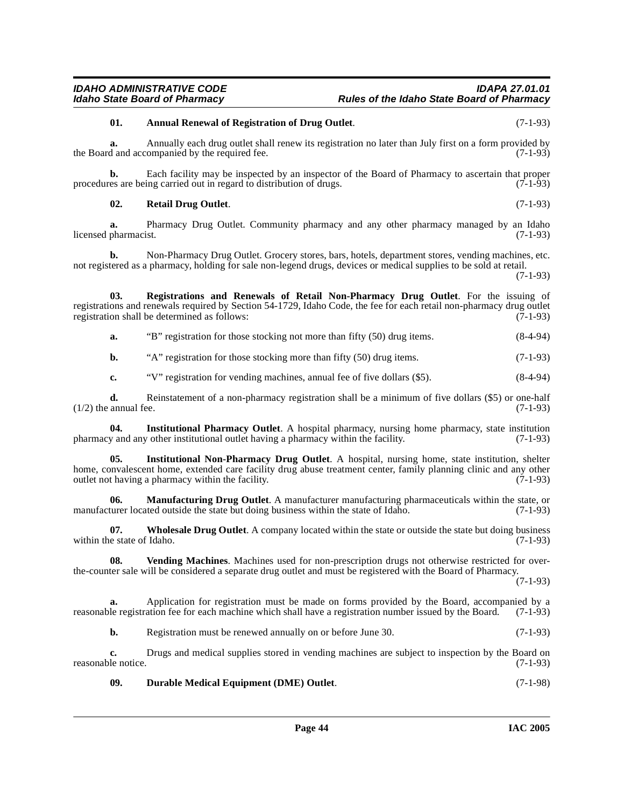procedures are being carried out in regard to distribution of drugs.

**a.** Pharmacy Drug Outlet. Community pharmacy and any other pharmacy managed by an Idaho pharmacist. (7-1-93) licensed pharmacist.

the Board and accompanied by the required fee. (7-1-93)

**a.** Annually each drug outlet shall renew its registration no later than July first on a form provided by

**b.** Each facility may be inspected by an inspector of the Board of Pharmacy to ascertain that proper es are being carried out in regard to distribution of drugs. (7-1-93)

**b.** Non-Pharmacy Drug Outlet. Grocery stores, bars, hotels, department stores, vending machines, etc. not registered as a pharmacy, holding for sale non-legend drugs, devices or medical supplies to be sold at retail.

(7-1-93)

**03. Registrations and Renewals of Retail Non-Pharmacy Drug Outlet**. For the issuing of registrations and renewals required by Section 54-1729, Idaho Code, the fee for each retail non-pharmacy drug outlet registration shall be determined as follows: (7-1-93)

**a.** "B" registration for those stocking not more than fifty (50) drug items. (8-4-94)

**b.** "A" registration for those stocking more than fifty (50) drug items. (7-1-93)

**c.** "V" registration for vending machines, annual fee of five dollars (\$5). (8-4-94)

**d.** Reinstatement of a non-pharmacy registration shall be a minimum of five dollars (\$5) or one-half  $(1/2)$  the annual fee.  $(7-1-93)$ 

**04. Institutional Pharmacy Outlet**. A hospital pharmacy, nursing home pharmacy, state institution pharmacy and any other institutional outlet having a pharmacy within the facility. (7-1-93)

**05. Institutional Non-Pharmacy Drug Outlet**. A hospital, nursing home, state institution, shelter home, convalescent home, extended care facility drug abuse treatment center, family planning clinic and any other outlet not having a pharmacy within the facility. (7-1-93) outlet not having a pharmacy within the facility.

**06. Manufacturing Drug Outlet**. A manufacturer manufacturing pharmaceuticals within the state, or manufacturer located outside the state but doing business within the state of Idaho. (7-1-93)

**07.** Wholesale Drug Outlet. A company located within the state or outside the state but doing business e state of Idaho. (7-1-93) within the state of Idaho.

**08. Vending Machines**. Machines used for non-prescription drugs not otherwise restricted for overthe-counter sale will be considered a separate drug outlet and must be registered with the Board of Pharmacy.

(7-1-93)

**a.** Application for registration must be made on forms provided by the Board, accompanied by a reasonable registration fee for each machine which shall have a registration number issued by the Board. (7-1-93)

**b.** Registration must be renewed annually on or before June 30. (7-1-93)

**c.** Drugs and medical supplies stored in vending machines are subject to inspection by the Board on reasonable notice. (7-1-93)

<span id="page-43-1"></span>**09. Durable Medical Equipment (DME) Outlet**. (7-1-98)

#### IDAHO ADMINISTRATIVE CODE<br>Idaho State Board of Pharmacy **Integrative State Board of Pharmacy** Rules of the Idaho State Board of Pharmacy **Idaho State Board of Pharmacy Rules of the Idaho State Board of Pharmacy**

<span id="page-43-0"></span>**01. Annual Renewal of Registration of Drug Outlet**. (7-1-93)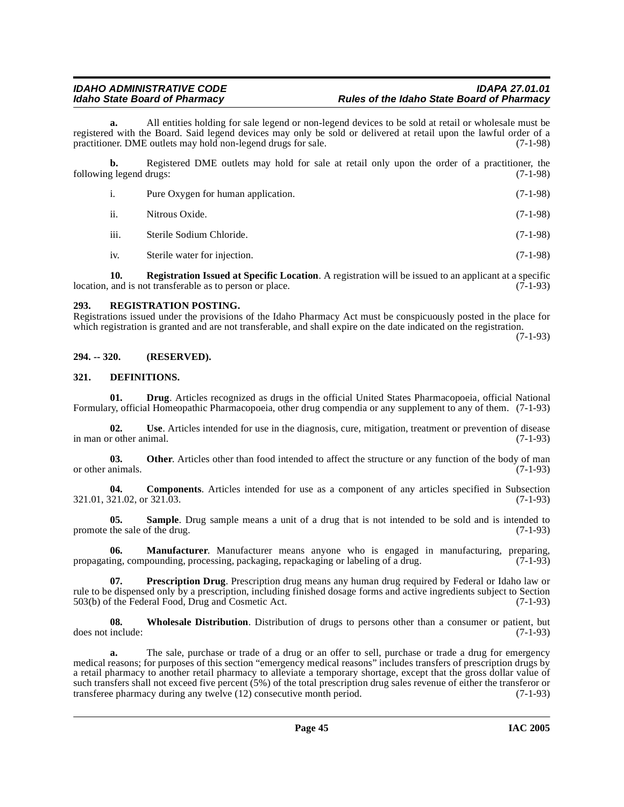**a.** All entities holding for sale legend or non-legend devices to be sold at retail or wholesale must be registered with the Board. Said legend devices may only be sold or delivered at retail upon the lawful order of a practitioner. DME outlets may hold non-legend drugs for sale. (7-1-98) practitioner. DME outlets may hold non-legend drugs for sale.

**b.** Registered DME outlets may hold for sale at retail only upon the order of a practitioner, the following legend drugs: (7-1-98)

| i.   | Pure Oxygen for human application. | $(7-1-98)$ |
|------|------------------------------------|------------|
| ii.  | Nitrous Oxide.                     | $(7-1-98)$ |
| iii. | Sterile Sodium Chloride.           | $(7-1-98)$ |
| 1V.  | Sterile water for injection.       | $(7-1-98)$ |

**10. Registration Issued at Specific Location**. A registration will be issued to an applicant at a specific and is not transferable as to person or place. location, and is not transferable as to person or place.

#### **293. REGISTRATION POSTING.**

Registrations issued under the provisions of the Idaho Pharmacy Act must be conspicuously posted in the place for which registration is granted and are not transferable, and shall expire on the date indicated on the registration.

(7-1-93)

#### **294. -- 320. (RESERVED).**

#### <span id="page-44-1"></span>**321. DEFINITIONS.**

**01. Drug**. Articles recognized as drugs in the official United States Pharmacopoeia, official National Formulary, official Homeopathic Pharmacopoeia, other drug compendia or any supplement to any of them. (7-1-93)

**02. Use**. Articles intended for use in the diagnosis, cure, mitigation, treatment or prevention of disease in man or other animal. (7-1-93)

**03.** Other. Articles other than food intended to affect the structure or any function of the body of man animals. (7-1-93) or other animals.

<span id="page-44-0"></span>**04. Components**. Articles intended for use as a component of any articles specified in Subsection 321.01, 321.02, or 321.03. (7-1-93)

**05. Sample**. Drug sample means a unit of a drug that is not intended to be sold and is intended to promote the sale of the drug.  $(7-1-93)$ 

**06. Manufacturer**. Manufacturer means anyone who is engaged in manufacturing, preparing, ing, compounding, processing, packaging, repackaging or labeling of a drug. (7-1-93) propagating, compounding, processing, packaging, repackaging or labeling of a drug.

**07. Prescription Drug**. Prescription drug means any human drug required by Federal or Idaho law or rule to be dispensed only by a prescription, including finished dosage forms and active ingredients subject to Section 503(b) of the Federal Food, Drug and Cosmetic Act. (7-1-93)

**08.** Wholesale Distribution. Distribution of drugs to persons other than a consumer or patient, but include: (7-1-93) does not include:

**a.** The sale, purchase or trade of a drug or an offer to sell, purchase or trade a drug for emergency medical reasons; for purposes of this section "emergency medical reasons" includes transfers of prescription drugs by a retail pharmacy to another retail pharmacy to alleviate a temporary shortage, except that the gross dollar value of such transfers shall not exceed five percent (5%) of the total prescription drug sales revenue of either the transferor or transferee pharmacy during any twelve (12) consecutive month period. (7-1-93) transferee pharmacy during any twelve  $(12)$  consecutive month period.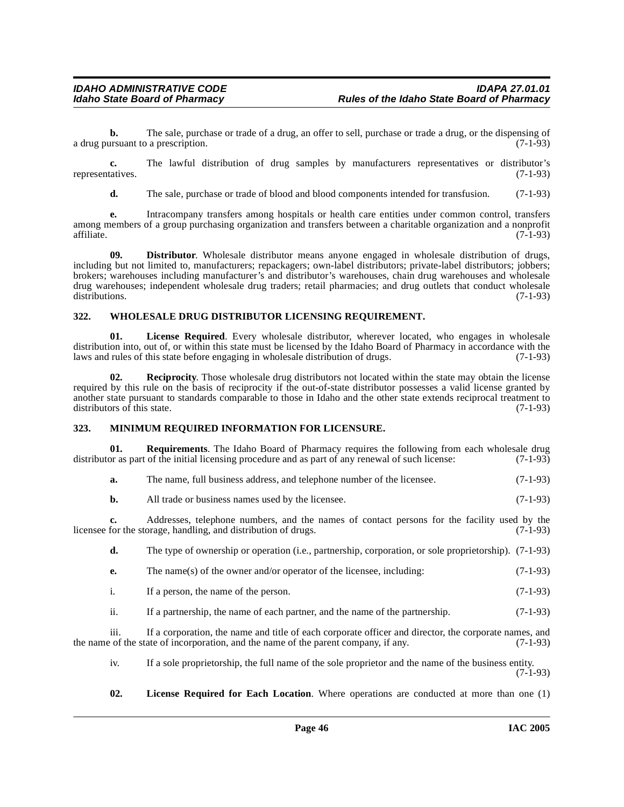**b.** The sale, purchase or trade of a drug, an offer to sell, purchase or trade a drug, or the dispensing of ursuant to a prescription. (7-1-93) a drug pursuant to a prescription.

**c.** The lawful distribution of drug samples by manufacturers representatives or distributor's representatives. (7-1-93)

<span id="page-45-0"></span>**d.** The sale, purchase or trade of blood and blood components intended for transfusion. (7-1-93)

**e.** Intracompany transfers among hospitals or health care entities under common control, transfers among members of a group purchasing organization and transfers between a charitable organization and a nonprofit  $\text{affiliate.}$  (7-1-93)

**09. Distributor**. Wholesale distributor means anyone engaged in wholesale distribution of drugs, including but not limited to, manufacturers; repackagers; own-label distributors; private-label distributors; jobbers; brokers; warehouses including manufacturer's and distributor's warehouses, chain drug warehouses and wholesale drug warehouses; independent wholesale drug traders; retail pharmacies; and drug outlets that conduct wholesale distributions. (7-1-93) distributions. (7-1-93)

#### **322. WHOLESALE DRUG DISTRIBUTOR LICENSING REQUIREMENT.**

**01. License Required**. Every wholesale distributor, wherever located, who engages in wholesale distribution into, out of, or within this state must be licensed by the Idaho Board of Pharmacy in accordance with the laws and rules of this state before engaging in wholesale distribution of drugs. (7-1-93) laws and rules of this state before engaging in wholesale distribution of drugs.

**02. Reciprocity**. Those wholesale drug distributors not located within the state may obtain the license required by this rule on the basis of reciprocity if the out-of-state distributor possesses a valid license granted by another state pursuant to standards comparable to those in Idaho and the other state extends reciprocal treatment to distributors of this state. (7-1-93)

#### **323. MINIMUM REQUIRED INFORMATION FOR LICENSURE.**

**01. Requirements**. The Idaho Board of Pharmacy requires the following from each wholesale drug distributor as part of the initial licensing procedure and as part of any renewal of such license: (7-1-93)

| а. | The name, full business address, and telephone number of the licensee. | $(7-1-93)$ |
|----|------------------------------------------------------------------------|------------|
|----|------------------------------------------------------------------------|------------|

**b.** All trade or business names used by the licensee. (7-1-93)

**c.** Addresses, telephone numbers, and the names of contact persons for the facility used by the for the storage, handling, and distribution of drugs. (7-1-93) licensee for the storage, handling, and distribution of drugs.

**d.** The type of ownership or operation (i.e., partnership, corporation, or sole proprietorship). (7-1-93)

- **e.** The name(s) of the owner and/or operator of the licensee, including: (7-1-93)
- i. If a person, the name of the person. (7-1-93)
- ii. If a partnership, the name of each partner, and the name of the partnership. (7-1-93)

iii. If a corporation, the name and title of each corporate officer and director, the corporate names, and the name of the state of incorporation, and the name of the parent company, if any. (7-1-93)

iv. If a sole proprietorship, the full name of the sole proprietor and the name of the business entity. (7-1-93)

**02. License Required for Each Location**. Where operations are conducted at more than one (1)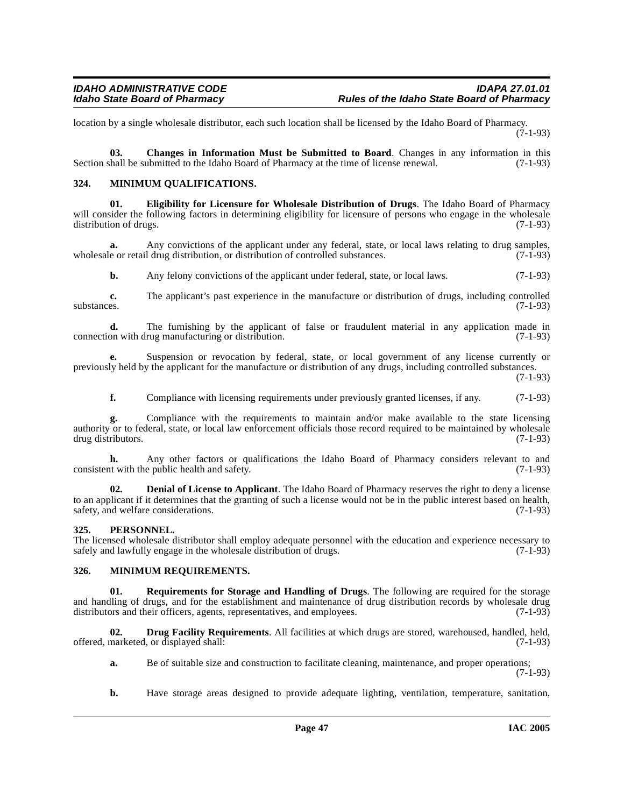location by a single wholesale distributor, each such location shall be licensed by the Idaho Board of Pharmacy.  $(7-1-93)$ 

<span id="page-46-0"></span>**03. Changes in Information Must be Submitted to Board**. Changes in any information in this Section shall be submitted to the Idaho Board of Pharmacy at the time of license renewal. (7-1-93)

#### **324. MINIMUM QUALIFICATIONS.**

<span id="page-46-3"></span>**01. Eligibility for Licensure for Wholesale Distribution of Drugs**. The Idaho Board of Pharmacy will consider the following factors in determining eligibility for licensure of persons who engage in the wholesale distribution of drugs. (7-1-93) distribution of drugs.

**a.** Any convictions of the applicant under any federal, state, or local laws relating to drug samples, wholesale or retail drug distribution, or distribution of controlled substances. (7-1-93)

**b.** Any felony convictions of the applicant under federal, state, or local laws. (7-1-93)

**c.** The applicant's past experience in the manufacture or distribution of drugs, including controlled substances.  $(7-1-93)$ 

**d.** The furnishing by the applicant of false or fraudulent material in any application made in on with drug manufacturing or distribution. (7-1-93) connection with drug manufacturing or distribution.

**e.** Suspension or revocation by federal, state, or local government of any license currently or previously held by the applicant for the manufacture or distribution of any drugs, including controlled substances.

(7-1-93)

**f.** Compliance with licensing requirements under previously granted licenses, if any. (7-1-93)

**g.** Compliance with the requirements to maintain and/or make available to the state licensing authority or to federal, state, or local law enforcement officials those record required to be maintained by wholesale drug distributors. (7-1-93)

**h.** Any other factors or qualifications the Idaho Board of Pharmacy considers relevant to and at with the public health and safety. (7-1-93) consistent with the public health and safety.

<span id="page-46-1"></span>**02. Denial of License to Applicant**. The Idaho Board of Pharmacy reserves the right to deny a license to an applicant if it determines that the granting of such a license would not be in the public interest based on health, safety, and welfare considerations. (7-1-93)

#### **325. PERSONNEL.**

The licensed wholesale distributor shall employ adequate personnel with the education and experience necessary to safely and lawfully engage in the wholesale distribution of drugs. (7-1-93)

#### **326. MINIMUM REQUIREMENTS.**

**01. Requirements for Storage and Handling of Drugs**. The following are required for the storage and handling of drugs, and for the establishment and maintenance of drug distribution records by wholesale drug distributors and their officers, agents, representatives, and employees. (7-1-93) distributors and their officers, agents, representatives, and employees.

**02. Drug Facility Requirements**. All facilities at which drugs are stored, warehoused, handled, held, offered, marketed, or displayed shall: (7-1-93)

<span id="page-46-2"></span>**a.** Be of suitable size and construction to facilitate cleaning, maintenance, and proper operations; (7-1-93)

**b.** Have storage areas designed to provide adequate lighting, ventilation, temperature, sanitation,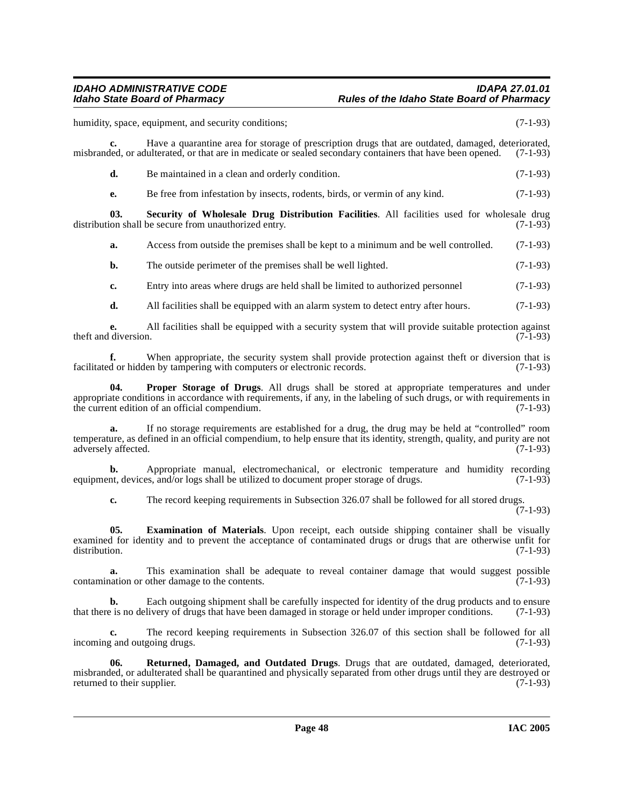### IDAHO ADMINISTRATIVE CODE<br>Idaho State Board of Pharmacy **Integrative State Board of Pharmacy** Rules of the Idaho State Board of Pharmacy **Idaho State Board of Pharmacy Rules of the Idaho State Board of Pharmacy**

humidity, space, equipment, and security conditions; (7-1-93)

**c.** Have a quarantine area for storage of prescription drugs that are outdated, damaged, deteriorated, misbranded, or adulterated, or that are in medicate or sealed secondary containers that have been opened. (7-1-93)

**d.** Be maintained in a clean and orderly condition. (7-1-93)

**e.** Be free from infestation by insects, rodents, birds, or vermin of any kind.  $(7-1-93)$ 

**03.** Security of Wholesale Drug Distribution Facilities. All facilities used for wholesale drug ion shall be secure from unauthorized entry. (7-1-93) distribution shall be secure from unauthorized entry.

**a.** Access from outside the premises shall be kept to a minimum and be well controlled. (7-1-93)

**b.** The outside perimeter of the premises shall be well lighted. (7-1-93)

**c.** Entry into areas where drugs are held shall be limited to authorized personnel (7-1-93)

**d.** All facilities shall be equipped with an alarm system to detect entry after hours. (7-1-93)

**e.** All facilities shall be equipped with a security system that will provide suitable protection against diversion. (7-1-93) theft and diversion.

**f.** When appropriate, the security system shall provide protection against theft or diversion that is facilitated or hidden by tampering with computers or electronic records. (7-1-93)

**04. Proper Storage of Drugs**. All drugs shall be stored at appropriate temperatures and under appropriate conditions in accordance with requirements, if any, in the labeling of such drugs, or with requirements in the current edition of an official compendium. (7-1-93)

**a.** If no storage requirements are established for a drug, the drug may be held at "controlled" room temperature, as defined in an official compendium, to help ensure that its identity, strength, quality, and purity are not adversely affected. (7-1-93) adversely affected.

**b.** Appropriate manual, electromechanical, or electronic temperature and humidity recording nt, devices, and/or logs shall be utilized to document proper storage of drugs. (7-1-93) equipment, devices, and/or logs shall be utilized to document proper storage of drugs.

<span id="page-47-0"></span>**c.** The record keeping requirements in Subsection 326.07 shall be followed for all stored drugs.

 $(7-1-93)$ 

**05. Examination of Materials**. Upon receipt, each outside shipping container shall be visually examined for identity and to prevent the acceptance of contaminated drugs or drugs that are otherwise unfit for distribution. (7-1-93)

**a.** This examination shall be adequate to reveal container damage that would suggest possible nation or other damage to the contents. (7-1-93) contamination or other damage to the contents.

**b.** Each outgoing shipment shall be carefully inspected for identity of the drug products and to ensure that there is no delivery of drugs that have been damaged in storage or held under improper conditions. (7-1-93)

**c.** The record keeping requirements in Subsection 326.07 of this section shall be followed for all incoming and outgoing drugs. (7-1-93)

**06. Returned, Damaged, and Outdated Drugs**. Drugs that are outdated, damaged, deteriorated, misbranded, or adulterated shall be quarantined and physically separated from other drugs until they are destroyed or returned to their supplier. (7-1-93) returned to their supplier.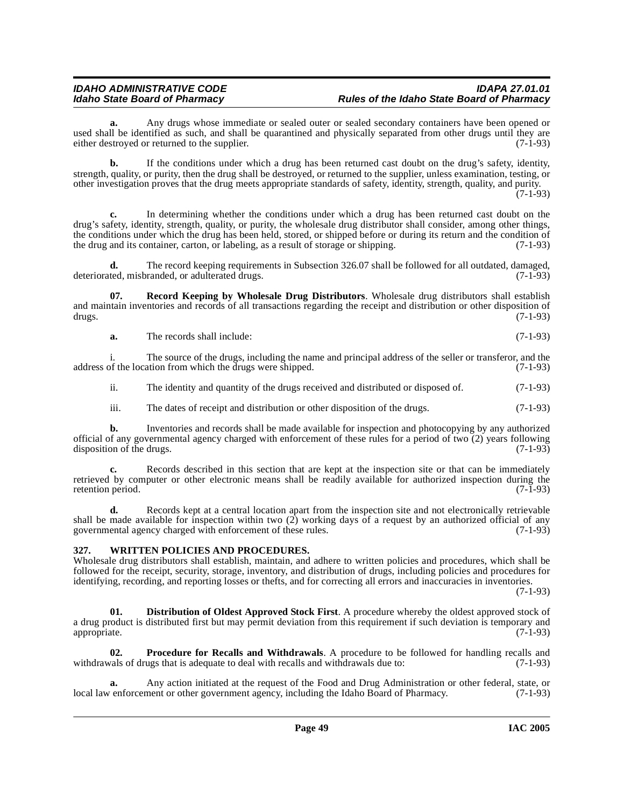**a.** Any drugs whose immediate or sealed outer or sealed secondary containers have been opened or used shall be identified as such, and shall be quarantined and physically separated from other drugs until they are either destroved or returned to the supplier. (7-1-93) either destroyed or returned to the supplier.

**b.** If the conditions under which a drug has been returned cast doubt on the drug's safety, identity, strength, quality, or purity, then the drug shall be destroyed, or returned to the supplier, unless examination, testing, or other investigation proves that the drug meets appropriate standards of safety, identity, strength, quality, and purity. (7-1-93)

**c.** In determining whether the conditions under which a drug has been returned cast doubt on the drug's safety, identity, strength, quality, or purity, the wholesale drug distributor shall consider, among other things, the conditions under which the drug has been held, stored, or shipped before or during its return and the condition of<br>the drug and its container, carton, or labeling, as a result of storage or shipping. (7-1-93) the drug and its container, carton, or labeling, as a result of storage or shipping.

**d.** The record keeping requirements in Subsection 326.07 shall be followed for all outdated, damaged, ted, misbranded, or adulterated drugs. deteriorated, misbranded, or adulterated drugs.

**07. Record Keeping by Wholesale Drug Distributors**. Wholesale drug distributors shall establish and maintain inventories and records of all transactions regarding the receipt and distribution or other disposition of drugs. (7-1-93)

**a.** The records shall include: (7-1-93)

i. The source of the drugs, including the name and principal address of the seller or transferor, and the address of the location from which the drugs were shipped. (7-1-93)

ii. The identity and quantity of the drugs received and distributed or disposed of. (7-1-93)

iii. The dates of receipt and distribution or other disposition of the drugs. (7-1-93)

**b.** Inventories and records shall be made available for inspection and photocopying by any authorized official of any governmental agency charged with enforcement of these rules for a period of two  $\overline{(2)}$  years following disposition of the drugs. (7-1-93) disposition of the drugs.

**c.** Records described in this section that are kept at the inspection site or that can be immediately retrieved by computer or other electronic means shall be readily available for authorized inspection during the retention period. (7-1-93) retention period.

**d.** Records kept at a central location apart from the inspection site and not electronically retrievable shall be made available for inspection within two  $(2)$  working days of a request by an authorized official of any governmental agency charged with enforcement of these rules. (7-1-93)

#### **327. WRITTEN POLICIES AND PROCEDURES.**

Wholesale drug distributors shall establish, maintain, and adhere to written policies and procedures, which shall be followed for the receipt, security, storage, inventory, and distribution of drugs, including policies and procedures for identifying, recording, and reporting losses or thefts, and for correcting all errors and inaccuracies in inventories.

(7-1-93)

<span id="page-48-0"></span>**01. Distribution of Oldest Approved Stock First**. A procedure whereby the oldest approved stock of a drug product is distributed first but may permit deviation from this requirement if such deviation is temporary and appropriate. (7-1-93) appropriate. (7-1-93)

**02. Procedure for Recalls and Withdrawals**. A procedure to be followed for handling recalls and with recalls and withdrawals due to: (7-1-93) withdrawals of drugs that is adequate to deal with recalls and withdrawals due to:

**a.** Any action initiated at the request of the Food and Drug Administration or other federal, state, or enforcement or other government agency, including the Idaho Board of Pharmacy. (7-1-93) local law enforcement or other government agency, including the Idaho Board of Pharmacy.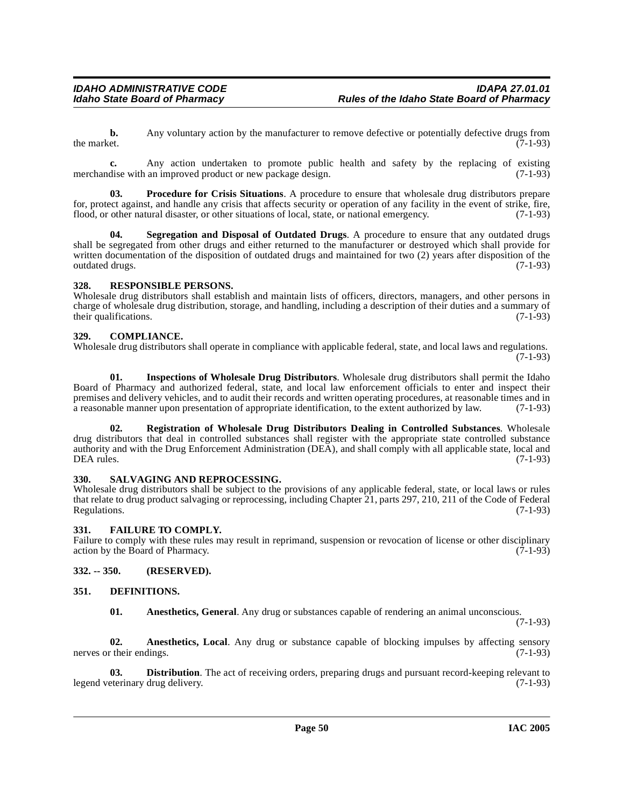**b.** Any voluntary action by the manufacturer to remove defective or potentially defective drugs from the market. (7-1-93) the market.  $(7-1-93)$ 

**c.** Any action undertaken to promote public health and safety by the replacing of existing dise with an improved product or new package design. (7-1-93) merchandise with an improved product or new package design.

**03. Procedure for Crisis Situations**. A procedure to ensure that wholesale drug distributors prepare for, protect against, and handle any crisis that affects security or operation of any facility in the event of strike, fire, flood, or other natural disaster, or other situations of local, state, or national emergency. (7-1-93)

**04. Segregation and Disposal of Outdated Drugs**. A procedure to ensure that any outdated drugs shall be segregated from other drugs and either returned to the manufacturer or destroyed which shall provide for written documentation of the disposition of outdated drugs and maintained for two (2) years after disposition of the outdated drugs. (7-1-93)

#### **328. RESPONSIBLE PERSONS.**

Wholesale drug distributors shall establish and maintain lists of officers, directors, managers, and other persons in charge of wholesale drug distribution, storage, and handling, including a description of their duties and a summary of their qualifications.  $(7-1-93)$ 

#### <span id="page-49-2"></span>**329. COMPLIANCE.**

Wholesale drug distributors shall operate in compliance with applicable federal, state, and local laws and regulations. (7-1-93)

**01. Inspections of Wholesale Drug Distributors**. Wholesale drug distributors shall permit the Idaho Board of Pharmacy and authorized federal, state, and local law enforcement officials to enter and inspect their premises and delivery vehicles, and to audit their records and written operating procedures, at reasonable times and in a reasonable manner upon presentation of appropriate identification, to the extent authorized by law. (7-1-93)

**02. Registration of Wholesale Drug Distributors Dealing in Controlled Substances**. Wholesale drug distributors that deal in controlled substances shall register with the appropriate state controlled substance authority and with the Drug Enforcement Administration (DEA), and shall comply with all applicable state, local and  $DEA$  rules.  $(7-1-93)$ 

#### **330. SALVAGING AND REPROCESSING.**

Wholesale drug distributors shall be subject to the provisions of any applicable federal, state, or local laws or rules that relate to drug product salvaging or reprocessing, including Chapter 21, parts 297, 210, 211 of the Code of Federal Regulations. (7-1-93)

#### <span id="page-49-4"></span>**331. FAILURE TO COMPLY.**

Failure to comply with these rules may result in reprimand, suspension or revocation of license or other disciplinary action by the Board of Pharmacy. (7-1-93)

**332. -- 350. (RESERVED).**

#### **351. DEFINITIONS.**

<span id="page-49-3"></span><span id="page-49-1"></span><span id="page-49-0"></span>**01. Anesthetics, General**. Any drug or substances capable of rendering an animal unconscious.

(7-1-93)

**02. Anesthetics, Local**. Any drug or substance capable of blocking impulses by affecting sensory r their endings. (7-1-93) nerves or their endings.

**03. Distribution**. The act of receiving orders, preparing drugs and pursuant record-keeping relevant to eterinary drug delivery. (7-1-93) legend veterinary drug delivery.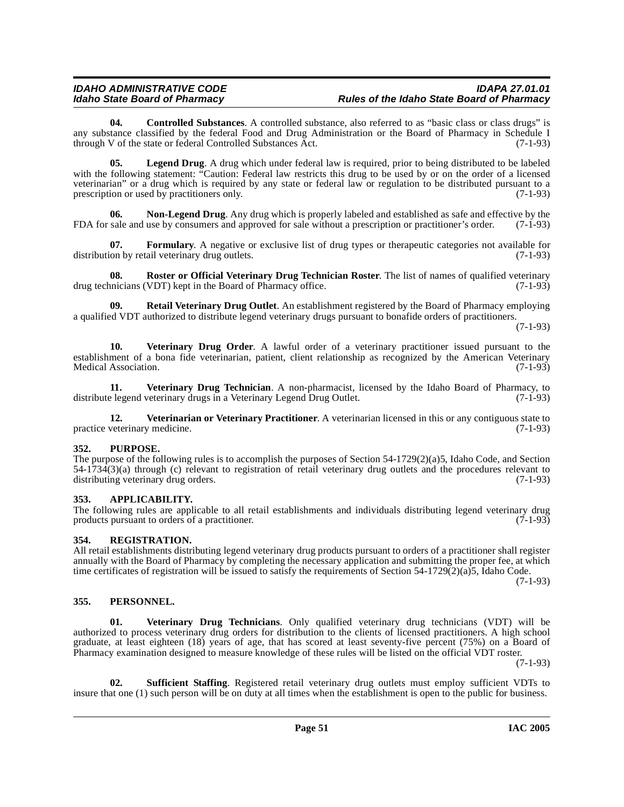# IDAHO ADMINISTRATIVE CODE<br>Idaho State Board of Pharmacy **Integrative State Board of Pharmacy** Rules of the Idaho State Board of Pharmacy

<span id="page-50-1"></span>**04. Controlled Substances**. A controlled substance, also referred to as "basic class or class drugs" is any substance classified by the federal Food and Drug Administration or the Board of Pharmacy in Schedule I through V of the state or federal Controlled Substances Act. (7-1-93)

**05.** Legend Drug. A drug which under federal law is required, prior to being distributed to be labeled with the following statement: "Caution: Federal law restricts this drug to be used by or on the order of a licensed veterinarian" or a drug which is required by any state or federal law or regulation to be distributed pursuant to a prescription or used by practitioners only. (7-1-93)

**06. Non-Legend Drug**. Any drug which is properly labeled and established as safe and effective by the FDA for sale and use by consumers and approved for sale without a prescription or practitioner's order. (7-1-93)

**07. Formulary**. A negative or exclusive list of drug types or therapeutic categories not available for distribution by retail veterinary drug outlets. (7-1-93)

**08. Roster or Official Veterinary Drug Technician Roster**. The list of names of qualified veterinary unicians (VDT) kept in the Board of Pharmacy office. drug technicians (VDT) kept in the Board of Pharmacy office.

**09. Retail Veterinary Drug Outlet**. An establishment registered by the Board of Pharmacy employing a qualified VDT authorized to distribute legend veterinary drugs pursuant to bonafide orders of practitioners.

(7-1-93)

**10. Veterinary Drug Order**. A lawful order of a veterinary practitioner issued pursuant to the establishment of a bona fide veterinarian, patient, client relationship as recognized by the American Veterinary Medical Association. (7-1-93)

**11. Veterinary Drug Technician**. A non-pharmacist, licensed by the Idaho Board of Pharmacy, to e legend veterinary drugs in a Veterinary Legend Drug Outlet. (7-1-93) distribute legend veterinary drugs in a Veterinary Legend Drug Outlet.

**12. Veterinarian or Veterinary Practitioner**. A veterinarian licensed in this or any contiguous state to veterinary medicine. (7-1-93) practice veterinary medicine.

#### **352. PURPOSE.**

The purpose of the following rules is to accomplish the purposes of Section 54-1729(2)(a)5, Idaho Code, and Section  $54-1734(3)(a)$  through (c) relevant to registration of retail veterinary drug outlets and the procedures relevant to distributing veterinary drug orders. (7-1-93) distributing veterinary drug orders.

#### <span id="page-50-0"></span>**353. APPLICABILITY.**

The following rules are applicable to all retail establishments and individuals distributing legend veterinary drug products pursuant to orders of a practitioner. (7-1-93) products pursuant to orders of a practitioner.

#### **354. REGISTRATION.**

All retail establishments distributing legend veterinary drug products pursuant to orders of a practitioner shall register annually with the Board of Pharmacy by completing the necessary application and submitting the proper fee, at which time certificates of registration will be issued to satisfy the requirements of Section 54-1729(2)(a)5, Idaho Code.

(7-1-93)

#### **355. PERSONNEL.**

**01. Veterinary Drug Technicians**. Only qualified veterinary drug technicians (VDT) will be authorized to process veterinary drug orders for distribution to the clients of licensed practitioners. A high school graduate, at least eighteen (18) years of age, that has scored at least seventy-five percent (75%) on a Board of Pharmacy examination designed to measure knowledge of these rules will be listed on the official VDT roster.

(7-1-93)

**02. Sufficient Staffing**. Registered retail veterinary drug outlets must employ sufficient VDTs to insure that one (1) such person will be on duty at all times when the establishment is open to the public for business.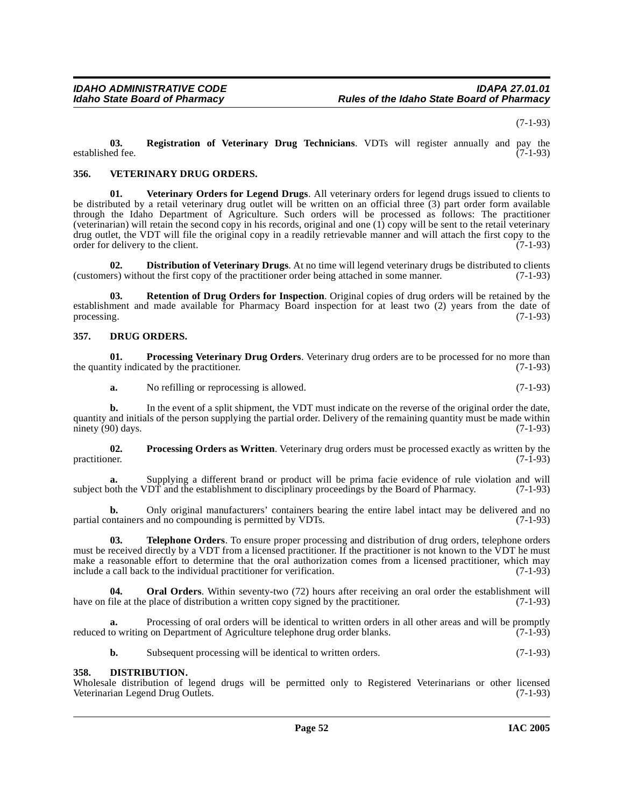(7-1-93)

**03. Registration of Veterinary Drug Technicians**. VDTs will register annually and pay the established fee.

#### **356. VETERINARY DRUG ORDERS.**

**01. Veterinary Orders for Legend Drugs**. All veterinary orders for legend drugs issued to clients to be distributed by a retail veterinary drug outlet will be written on an official three (3) part order form available through the Idaho Department of Agriculture. Such orders will be processed as follows: The practitioner (veterinarian) will retain the second copy in his records, original and one  $(1)$  copy will be sent to the retail veterinary drug outlet, the VDT will file the original copy in a readily retrievable manner and will attach the first copy to the order for delivery to the client. order for delivery to the client.

<span id="page-51-0"></span>**02. Distribution of Veterinary Drugs**. At no time will legend veterinary drugs be distributed to clients rs) without the first copy of the practitioner order being attached in some manner. (7-1-93) (customers) without the first copy of the practitioner order being attached in some manner.

**03. Retention of Drug Orders for Inspection**. Original copies of drug orders will be retained by the establishment and made available for Pharmacy Board inspection for at least two (2) years from the date of processing. (7-1-93)

#### <span id="page-51-2"></span>**357. DRUG ORDERS.**

**01. Processing Veterinary Drug Orders**. Veterinary drug orders are to be processed for no more than the quantity indicated by the practitioner.  $(7-1-93)$ 

**a.** No refilling or reprocessing is allowed. (7-1-93)

**b.** In the event of a split shipment, the VDT must indicate on the reverse of the original order the date, quantity and initials of the person supplying the partial order. Delivery of the remaining quantity must be made within ninety (90) days. (7-1-93) ninety  $(90)$  days.

**02.** Processing Orders as Written. Veterinary drug orders must be processed exactly as written by the practitioner. (7-1-93) practitioner. (7-1-93)

**a.** Supplying a different brand or product will be prima facie evidence of rule violation and will oth the VDT and the establishment to disciplinary proceedings by the Board of Pharmacy. (7-1-93) subject both the VDT and the establishment to disciplinary proceedings by the Board of Pharmacy.

Only original manufacturers' containers bearing the entire label intact may be delivered and no and no compounding is permitted by VDTs.  $(7-1-93)$ partial containers and no compounding is permitted by VDTs.

**03. Telephone Orders**. To ensure proper processing and distribution of drug orders, telephone orders must be received directly by a VDT from a licensed practitioner. If the practitioner is not known to the VDT he must make a reasonable effort to determine that the oral authorization comes from a licensed practitioner, which may include a call back to the individual practitioner for verification. (7-1-93)

**04. Oral Orders**. Within seventy-two (72) hours after receiving an oral order the establishment will have on file at the place of distribution a written copy signed by the practitioner. (7-1-93)

**a.** Processing of oral orders will be identical to written orders in all other areas and will be promptly to writting on Department of Agriculture telephone drug order blanks. (7-1-93) reduced to writing on Department of Agriculture telephone drug order blanks.

<span id="page-51-1"></span>**b.** Subsequent processing will be identical to written orders. (7-1-93)

#### **358. DISTRIBUTION.**

Wholesale distribution of legend drugs will be permitted only to Registered Veterinarians or other licensed Veterinarian Legend Drug Outlets. (7-1-93) Veterinarian Legend Drug Outlets.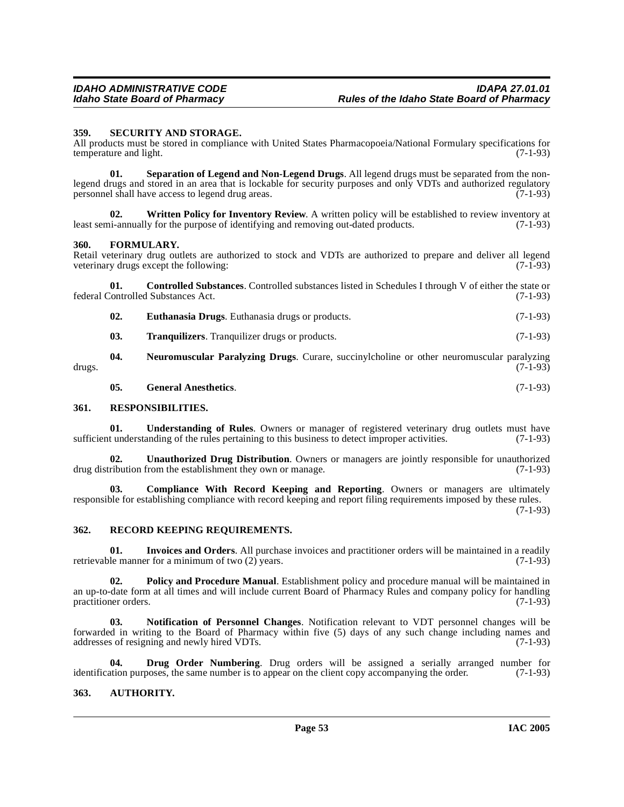#### **359. SECURITY AND STORAGE.**

All products must be stored in compliance with United States Pharmacopoeia/National Formulary specifications for temperature and light. (7-1-93)

**01. Separation of Legend and Non-Legend Drugs**. All legend drugs must be separated from the nonlegend drugs and stored in an area that is lockable for security purposes and only VDTs and authorized regulatory personnel shall have access to legend drug areas. (7-1-93)

**02. Written Policy for Inventory Review**. A written policy will be established to review inventory at least semi-annually for the purpose of identifying and removing out-dated products. (7-1-93)

#### **360. FORMULARY.**

Retail veterinary drug outlets are authorized to stock and VDTs are authorized to prepare and deliver all legend veterinary drugs except the following: (7-1-93)

**01. Controlled Substances**. Controlled substances listed in Schedules I through V of either the state or (7-1-93) federal Controlled Substances Act.

<span id="page-52-3"></span><span id="page-52-1"></span>

| 02. |  | <b>Euthanasia Drugs.</b> Euthanasia drugs or products. | $(7-1-93)$ |
|-----|--|--------------------------------------------------------|------------|
|-----|--|--------------------------------------------------------|------------|

**03. Tranquilizers**. Tranquilizer drugs or products. (7-1-93)

**04. Neuromuscular Paralyzing Drugs**. Curare, succinylcholine or other neuromuscular paralyzing drugs. (7-1-93)

**05. General Anesthetics**. (7-1-93)

#### **361. RESPONSIBILITIES.**

**01. Understanding of Rules**. Owners or manager of registered veterinary drug outlets must have sufficient understanding of the rules pertaining to this business to detect improper activities. (7-1-93)

**02.** Unauthorized Drug Distribution. Owners or managers are jointly responsible for unauthorized ribution from the establishment they own or manage. (7-1-93) drug distribution from the establishment they own or manage.

<span id="page-52-0"></span>**Compliance With Record Keeping and Reporting.** Owners or managers are ultimately responsible for establishing compliance with record keeping and report filing requirements imposed by these rules.

(7-1-93)

#### **362. RECORD KEEPING REQUIREMENTS.**

**01.** Invoices and Orders. All purchase invoices and practitioner orders will be maintained in a readily le manner for a minimum of two (2) years. retrievable manner for a minimum of two  $(2)$  years.

**02. Policy and Procedure Manual**. Establishment policy and procedure manual will be maintained in an up-to-date form at all times and will include current Board of Pharmacy Rules and company policy for handling practitioner orders. (7-1-93)

**03. Notification of Personnel Changes**. Notification relevant to VDT personnel changes will be forwarded in writing to the Board of Pharmacy within five (5) days of any such change including names and addresses of resigning and newly hired VDTs. (7-1-93)

<span id="page-52-2"></span>**04. Drug Order Numbering**. Drug orders will be assigned a serially arranged number for ation purposes, the same number is to appear on the client copy accompanying the order. (7-1-93) identification purposes, the same number is to appear on the client copy accompanying the order.

#### **363. AUTHORITY.**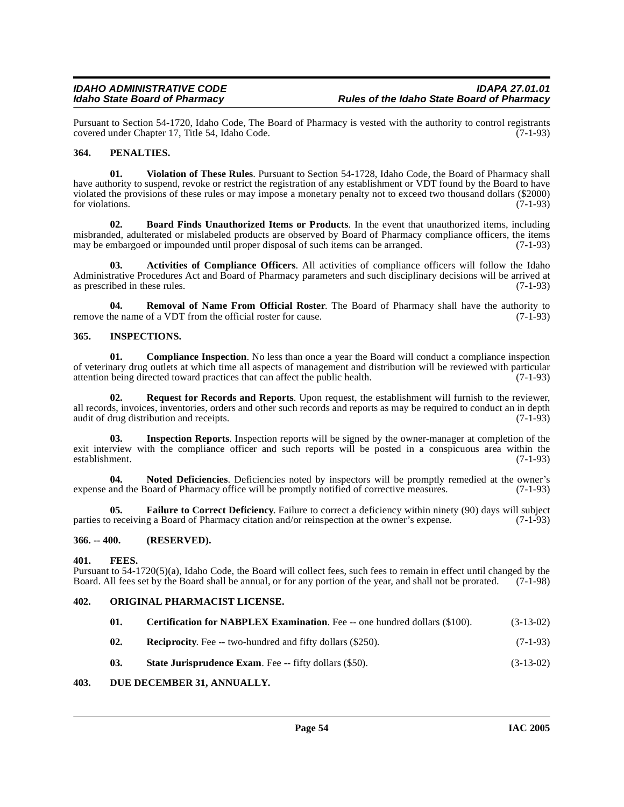Pursuant to Section 54-1720, Idaho Code, The Board of Pharmacy is vested with the authority to control registrants covered under Chapter 17, Title 54, Idaho Code.

### **364. PENALTIES.**

**01. Violation of These Rules**. Pursuant to Section 54-1728, Idaho Code, the Board of Pharmacy shall have authority to suspend, revoke or restrict the registration of any establishment or VDT found by the Board to have violated the provisions of these rules or may impose a monetary penalty not to exceed two thousand dollars (\$2000) for violations. (7-1-93) for violations.  $(7-1-93)$ 

<span id="page-53-1"></span>**02. Board Finds Unauthorized Items or Products**. In the event that unauthorized items, including misbranded, adulterated or mislabeled products are observed by Board of Pharmacy compliance officers, the items<br>may be embargoed or impounded until proper disposal of such items can be arranged. (7-1-93) may be embargoed or impounded until proper disposal of such items can be arranged.

<span id="page-53-0"></span>**03. Activities of Compliance Officers**. All activities of compliance officers will follow the Idaho Administrative Procedures Act and Board of Pharmacy parameters and such disciplinary decisions will be arrived at as prescribed in these rules. (7-1-93) as prescribed in these rules.

**04. Removal of Name From Official Roster**. The Board of Pharmacy shall have the authority to remove the name of a VDT from the official roster for cause. (7-1-93)

#### **365. INSPECTIONS.**

<span id="page-53-3"></span>**01.** Compliance Inspection. No less than once a year the Board will conduct a compliance inspection of veterinary drug outlets at which time all aspects of management and distribution will be reviewed with particular attention being directed toward practices that can affect the public health. (7-1-93) attention being directed toward practices that can affect the public health.

**02. Request for Records and Reports**. Upon request, the establishment will furnish to the reviewer, all records, invoices, inventories, orders and other such records and reports as may be required to conduct an in depth audit of drug distribution and receipts. (7-1-93) audit of drug distribution and receipts.

**03. Inspection Reports**. Inspection reports will be signed by the owner-manager at completion of the exit interview with the compliance officer and such reports will be posted in a conspicuous area within the establishment. (7-1-93)

**04.** Noted Deficiencies. Deficiencies noted by inspectors will be promptly remedied at the owner's and the Board of Pharmacy office will be promptly notified of corrective measures. (7-1-93) expense and the Board of Pharmacy office will be promptly notified of corrective measures.

**05. Failure to Correct Deficiency**. Failure to correct a deficiency within ninety (90) days will subject or receiving a Board of Pharmacy citation and/or reinspection at the owner's expense. (7-1-93) parties to receiving a Board of Pharmacy citation and/or reinspection at the owner's expense.

#### **366. -- 400. (RESERVED).**

#### **401. FEES.**

Pursuant to 54-1720(5)(a), Idaho Code, the Board will collect fees, such fees to remain in effect until changed by the Board shall be annual, or for any portion of the year, and shall not be prorated. (7-1-98) Board. All fees set by the Board shall be annual, or for any portion of the year, and shall not be prorated.

#### **402. ORIGINAL PHARMACIST LICENSE.**

<span id="page-53-2"></span>

| 01. | <b>Certification for NABPLEX Examination.</b> Fee -- one hundred dollars (\$100). | $(3-13-02)$ |
|-----|-----------------------------------------------------------------------------------|-------------|
|-----|-----------------------------------------------------------------------------------|-------------|

- **02. Reciprocity**. Fee -- two-hundred and fifty dollars (\$250). (7-1-93)
- <span id="page-53-4"></span>**03.** State Jurisprudence Exam. Fee -- fifty dollars (\$50). (3-13-02)

#### **403. DUE DECEMBER 31, ANNUALLY.**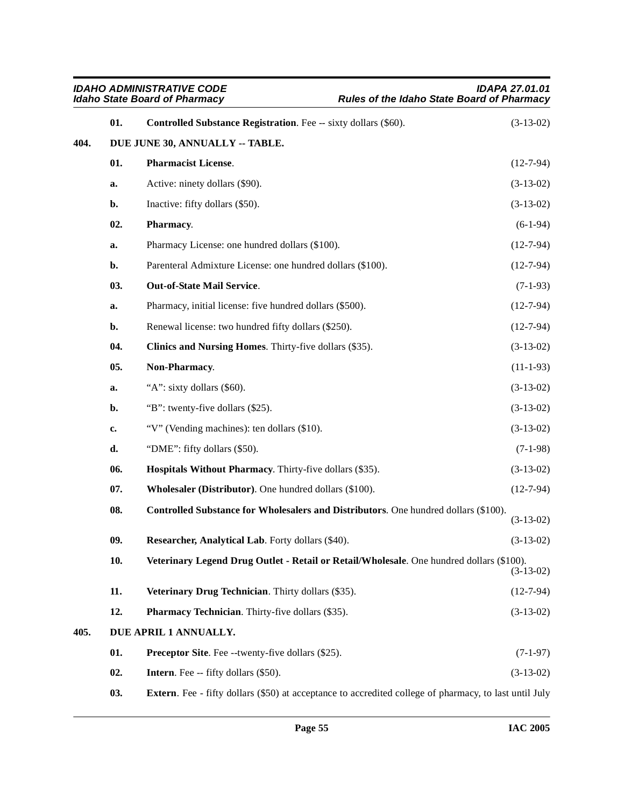<span id="page-54-3"></span><span id="page-54-2"></span><span id="page-54-1"></span><span id="page-54-0"></span>

| <b>IDAHO ADMINISTRATIVE CODE</b><br><b>Idaho State Board of Pharmacy</b> |     |                                                                                                                | <b>IDAPA 27.01.01</b><br>Rules of the Idaho State Board of Pharmacy |
|--------------------------------------------------------------------------|-----|----------------------------------------------------------------------------------------------------------------|---------------------------------------------------------------------|
|                                                                          | 01. | <b>Controlled Substance Registration.</b> Fee -- sixty dollars (\$60).                                         | $(3-13-02)$                                                         |
| 404.                                                                     |     | DUE JUNE 30, ANNUALLY -- TABLE.                                                                                |                                                                     |
|                                                                          | 01. | <b>Pharmacist License.</b>                                                                                     | $(12-7-94)$                                                         |
|                                                                          | a.  | Active: ninety dollars (\$90).                                                                                 | $(3-13-02)$                                                         |
|                                                                          | b.  | Inactive: fifty dollars (\$50).                                                                                | $(3-13-02)$                                                         |
|                                                                          | 02. | Pharmacy.                                                                                                      | $(6-1-94)$                                                          |
|                                                                          | a.  | Pharmacy License: one hundred dollars (\$100).                                                                 | $(12-7-94)$                                                         |
|                                                                          | b.  | Parenteral Admixture License: one hundred dollars (\$100).                                                     | $(12-7-94)$                                                         |
|                                                                          | 03. | <b>Out-of-State Mail Service.</b>                                                                              | $(7-1-93)$                                                          |
|                                                                          | a.  | Pharmacy, initial license: five hundred dollars (\$500).                                                       | $(12-7-94)$                                                         |
|                                                                          | b.  | Renewal license: two hundred fifty dollars (\$250).                                                            | $(12 - 7 - 94)$                                                     |
|                                                                          | 04. | Clinics and Nursing Homes. Thirty-five dollars (\$35).                                                         | $(3-13-02)$                                                         |
|                                                                          | 05. | Non-Pharmacy.                                                                                                  | $(11-1-93)$                                                         |
|                                                                          | a.  | "A": sixty dollars (\$60).                                                                                     | $(3-13-02)$                                                         |
|                                                                          | b.  | "B": twenty-five dollars (\$25).                                                                               | $(3-13-02)$                                                         |
|                                                                          | c.  | "V" (Vending machines): ten dollars (\$10).                                                                    | $(3-13-02)$                                                         |
|                                                                          | d.  | "DME": fifty dollars (\$50).                                                                                   | $(7-1-98)$                                                          |
|                                                                          | 06. | Hospitals Without Pharmacy. Thirty-five dollars (\$35).                                                        | $(3-13-02)$                                                         |
|                                                                          | 07. | Wholesaler (Distributor). One hundred dollars (\$100).                                                         | $(12-7-94)$                                                         |
|                                                                          | 08. | Controlled Substance for Wholesalers and Distributors. One hundred dollars (\$100).                            | $(3-13-02)$                                                         |
|                                                                          | 09. | Researcher, Analytical Lab. Forty dollars (\$40).                                                              | $(3-13-02)$                                                         |
|                                                                          | 10. | Veterinary Legend Drug Outlet - Retail or Retail/Wholesale. One hundred dollars (\$100).                       | $(3-13-02)$                                                         |
|                                                                          | 11. | Veterinary Drug Technician. Thirty dollars (\$35).                                                             | $(12-7-94)$                                                         |
|                                                                          | 12. | <b>Pharmacy Technician.</b> Thirty-five dollars (\$35).                                                        | $(3-13-02)$                                                         |
| 405.                                                                     |     | DUE APRIL 1 ANNUALLY.                                                                                          |                                                                     |
|                                                                          | 01. | <b>Preceptor Site.</b> Fee --twenty-five dollars (\$25).                                                       | $(7-1-97)$                                                          |
|                                                                          | 02. | <b>Intern.</b> Fee -- fifty dollars (\$50).                                                                    | $(3-13-02)$                                                         |
|                                                                          | 03. | <b>Extern</b> . Fee - fifty dollars (\$50) at acceptance to accredited college of pharmacy, to last until July |                                                                     |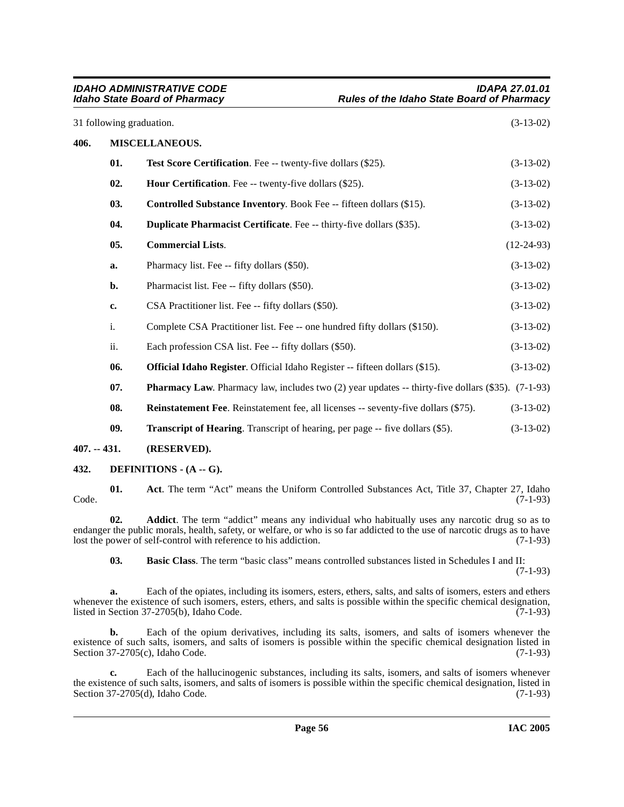|               | <b>IDAHO ADMINISTRATIVE CODE</b><br><b>IDAPA 27.01.01</b><br><b>Idaho State Board of Pharmacy</b><br>Rules of the Idaho State Board of Pharmacy |                                                                                                          |              |  |  |
|---------------|-------------------------------------------------------------------------------------------------------------------------------------------------|----------------------------------------------------------------------------------------------------------|--------------|--|--|
|               |                                                                                                                                                 | 31 following graduation.                                                                                 | $(3-13-02)$  |  |  |
| 406.          |                                                                                                                                                 | MISCELLANEOUS.                                                                                           |              |  |  |
|               | 01.                                                                                                                                             | Test Score Certification. Fee -- twenty-five dollars (\$25).                                             | $(3-13-02)$  |  |  |
|               | 02.                                                                                                                                             | <b>Hour Certification.</b> Fee -- twenty-five dollars (\$25).                                            | $(3-13-02)$  |  |  |
|               | 03.                                                                                                                                             | <b>Controlled Substance Inventory.</b> Book Fee -- fifteen dollars (\$15).                               | $(3-13-02)$  |  |  |
|               | 04.                                                                                                                                             | Duplicate Pharmacist Certificate. Fee -- thirty-five dollars (\$35).                                     | $(3-13-02)$  |  |  |
|               | 05.                                                                                                                                             | <b>Commercial Lists.</b>                                                                                 | $(12-24-93)$ |  |  |
|               | a.                                                                                                                                              | Pharmacy list. Fee -- fifty dollars (\$50).                                                              | $(3-13-02)$  |  |  |
|               | b.                                                                                                                                              | Pharmacist list. Fee -- fifty dollars (\$50).                                                            | $(3-13-02)$  |  |  |
|               | c.                                                                                                                                              | CSA Practitioner list. Fee -- fifty dollars (\$50).                                                      | $(3-13-02)$  |  |  |
|               | i.                                                                                                                                              | Complete CSA Practitioner list. Fee -- one hundred fifty dollars (\$150).                                | $(3-13-02)$  |  |  |
|               | ii.                                                                                                                                             | Each profession CSA list. Fee -- fifty dollars (\$50).                                                   | $(3-13-02)$  |  |  |
|               | 06.                                                                                                                                             | Official Idaho Register. Official Idaho Register -- fifteen dollars (\$15).                              | $(3-13-02)$  |  |  |
|               | 07.                                                                                                                                             | <b>Pharmacy Law.</b> Pharmacy law, includes two (2) year updates -- thirty-five dollars (\$35). (7-1-93) |              |  |  |
|               | 08.                                                                                                                                             | <b>Reinstatement Fee.</b> Reinstatement fee, all licenses -- seventy-five dollars (\$75).                | $(3-13-02)$  |  |  |
|               | 09.                                                                                                                                             | <b>Transcript of Hearing.</b> Transcript of hearing, per page -- five dollars (\$5).                     | $(3-13-02)$  |  |  |
| $407. - 431.$ |                                                                                                                                                 | (RESERVED).                                                                                              |              |  |  |

#### <span id="page-55-3"></span>**432. DEFINITIONS - (A -- G).**

<span id="page-55-0"></span>**01.** Act. The term "Act" means the Uniform Controlled Substances Act, Title 37, Chapter 27, Idaho (7-1-93)  $\text{Code.}$  (7-1-93)

**02. Addict**. The term "addict" means any individual who habitually uses any narcotic drug so as to endanger the public morals, health, safety, or welfare, or who is so far addicted to the use of narcotic drugs as to have<br>lost the power of self-control with reference to his addiction. (7-1-93) lost the power of self-control with reference to his addiction.

<span id="page-55-2"></span><span id="page-55-1"></span>**03. Basic Class**. The term "basic class" means controlled substances listed in Schedules I and II: (7-1-93)

**a.** Each of the opiates, including its isomers, esters, ethers, salts, and salts of isomers, esters and ethers whenever the existence of such isomers, esters, ethers, and salts is possible within the specific chemical designation, listed in Section 37-2705(b), Idaho Code. (7-1-93) listed in Section  $37-2705(b)$ , Idaho Code.

**b.** Each of the opium derivatives, including its salts, isomers, and salts of isomers whenever the existence of such salts, isomers, and salts of isomers is possible within the specific chemical designation listed in Section 37-2705(c), Idaho Code. (7-1-93)

**c.** Each of the hallucinogenic substances, including its salts, isomers, and salts of isomers whenever the existence of such salts, isomers, and salts of isomers is possible within the specific chemical designation, listed in Section 37-2705(d), Idaho Code. (7-1-93) Section  $37-2705(d)$ , Idaho Code.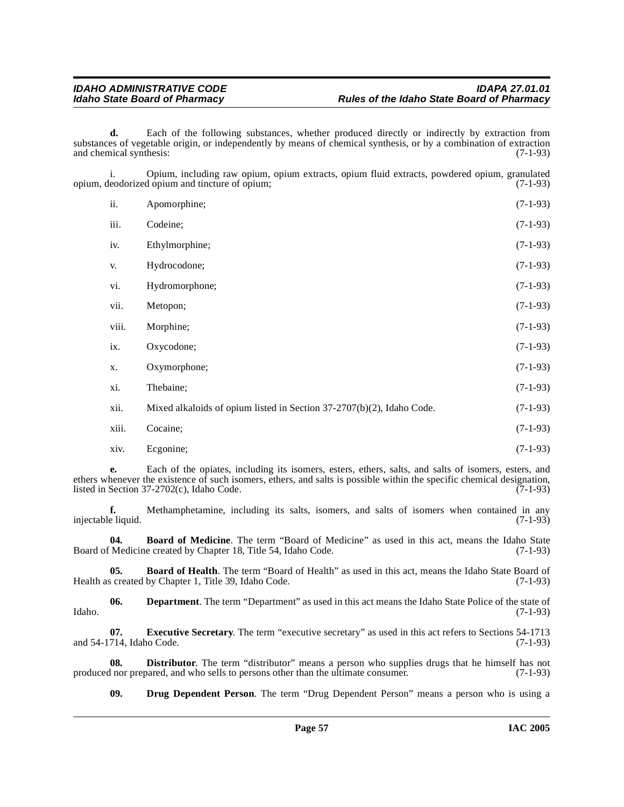**d.** Each of the following substances, whether produced directly or indirectly by extraction from substances of vegetable origin, or independently by means of chemical synthesis, or by a combination of extraction and chemical synthesis: (7-1-93) and chemical synthesis:

i. Opium, including raw opium, opium extracts, opium fluid extracts, powdered opium, granulated opium, deodorized opium and tincture of opium;

| ii.   | Apomorphine;                                                          | $(7-1-93)$ |
|-------|-----------------------------------------------------------------------|------------|
| iii.  | Codeine;                                                              | $(7-1-93)$ |
| iv.   | Ethylmorphine;                                                        | $(7-1-93)$ |
| V.    | Hydrocodone;                                                          | $(7-1-93)$ |
| vi.   | Hydromorphone;                                                        | $(7-1-93)$ |
| vii.  | Metopon;                                                              | $(7-1-93)$ |
| viii. | Morphine;                                                             | $(7-1-93)$ |
| ix.   | Oxycodone;                                                            | $(7-1-93)$ |
| X.    | Oxymorphone;                                                          | $(7-1-93)$ |
| xi.   | Thebaine;                                                             | $(7-1-93)$ |
| xii.  | Mixed alkaloids of opium listed in Section 37-2707(b)(2), Idaho Code. | $(7-1-93)$ |
| xiii. | Cocaine;                                                              | $(7-1-93)$ |
| xiv.  | Ecgonine;                                                             | $(7-1-93)$ |

**e.** Each of the opiates, including its isomers, esters, ethers, salts, and salts of isomers, esters, and ethers whenever the existence of such isomers, ethers, and salts is possible within the specific chemical designation, listed in Section  $37-2702(c)$ . Idaho Code. (7-1-93) listed in Section  $37-2702(c)$ , Idaho Code.

**f.** Methamphetamine, including its salts, isomers, and salts of isomers when contained in any eliquid. (7-1-93) injectable liquid.

<span id="page-56-1"></span>**04. Board of Medicine**. The term "Board of Medicine" as used in this act, means the Idaho State Board of Medicine created by Chapter 18, Title 54, Idaho Code. (7-1-93)

<span id="page-56-0"></span>**05. Board of Health**. The term "Board of Health" as used in this act, means the Idaho State Board of screated by Chapter 1, Title 39, Idaho Code. (7-1-93) Health as created by Chapter 1, Title 39, Idaho Code.

**06. Department**. The term "Department" as used in this act means the Idaho State Police of the state of (7-1-93) Idaho. (7-1-93)

<span id="page-56-4"></span>**07. Executive Secretary**. The term "executive secretary" as used in this act refers to Sections 54-1713 and 54-1714, Idaho Code. (7-1-93)

**08. Distributor**. The term "distributor" means a person who supplies drugs that he himself has not if nor prepared, and who sells to persons other than the ultimate consumer. (7-1-93) produced nor prepared, and who sells to persons other than the ultimate consumer.

<span id="page-56-3"></span><span id="page-56-2"></span>**09. Drug Dependent Person**. The term "Drug Dependent Person" means a person who is using a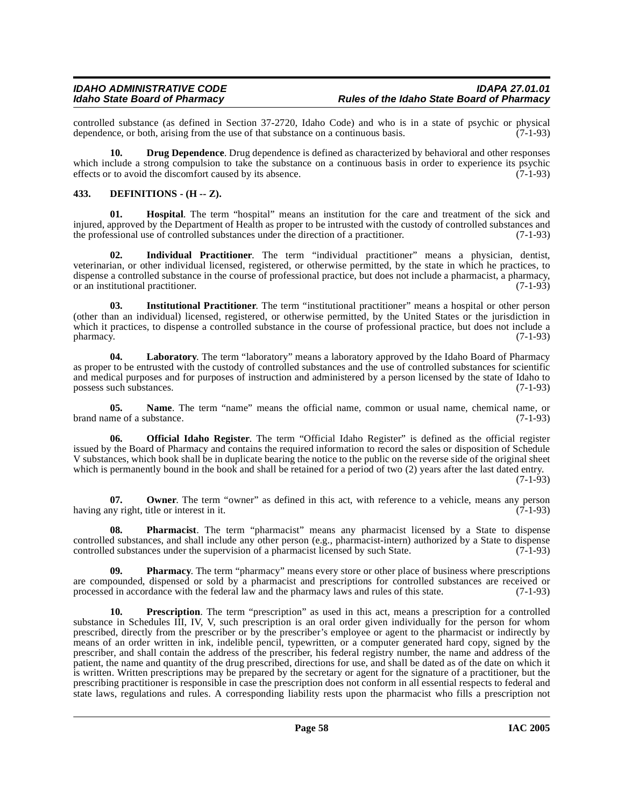controlled substance (as defined in Section 37-2720, Idaho Code) and who is in a state of psychic or physical dependence, or both, arising from the use of that substance on a continuous basis. (7-1-93) dependence, or both, arising from the use of that substance on a continuous basis.

<span id="page-57-1"></span>**10. Drug Dependence**. Drug dependence is defined as characterized by behavioral and other responses which include a strong compulsion to take the substance on a continuous basis in order to experience its psychic effects or to avoid the discomfort caused by its absence. (7-1-93) effects or to avoid the discomfort caused by its absence.

### <span id="page-57-0"></span>**433. DEFINITIONS - (H -- Z).**

**01. Hospital**. The term "hospital" means an institution for the care and treatment of the sick and injured, approved by the Department of Health as proper to be intrusted with the custody of controlled substances and the professional use of controlled substances under the direction of a practitioner. (7-1-93) the professional use of controlled substances under the direction of a practitioner.

**02. Individual Practitioner**. The term "individual practitioner" means a physician, dentist, veterinarian, or other individual licensed, registered, or otherwise permitted, by the state in which he practices, to dispense a controlled substance in the course of professional practice, but does not include a pharmacist, a pharmacy, or an institutional practitioner. or an institutional practitioner.

**03. Institutional Practitioner**. The term "institutional practitioner" means a hospital or other person (other than an individual) licensed, registered, or otherwise permitted, by the United States or the jurisdiction in which it practices, to dispense a controlled substance in the course of professional practice, but does not include a pharmacy. (7-1-93)  $p$ harmacy.  $(7-1-93)$ 

**04. Laboratory**. The term "laboratory" means a laboratory approved by the Idaho Board of Pharmacy as proper to be entrusted with the custody of controlled substances and the use of controlled substances for scientific and medical purposes and for purposes of instruction and administered by a person licensed by the state of Idaho to possess such substances. (7-1-93) possess such substances.

**05. Name**. The term "name" means the official name, common or usual name, chemical name, or brand name of a substance. (7-1-93)

**06. Official Idaho Register**. The term "Official Idaho Register" is defined as the official register issued by the Board of Pharmacy and contains the required information to record the sales or disposition of Schedule V substances, which book shall be in duplicate bearing the notice to the public on the reverse side of the original sheet which is permanently bound in the book and shall be retained for a period of two (2) years after the last dated entry. (7-1-93)

**07. Owner**. The term "owner" as defined in this act, with reference to a vehicle, means any person ny right, title or interest in it. having any right, title or interest in it.

**08. Pharmacist**. The term "pharmacist" means any pharmacist licensed by a State to dispense controlled substances, and shall include any other person (e.g., pharmacist-intern) authorized by a State to dispense controlled substances under the supervision of a pharmacist licensed by such State. (7-1-93)

**09. Pharmacy**. The term "pharmacy" means every store or other place of business where prescriptions are compounded, dispensed or sold by a pharmacist and prescriptions for controlled substances are received or processed in accordance with the federal law and the pharmacy laws and rules of this state. (7-1-93)

**10. Prescription**. The term "prescription" as used in this act, means a prescription for a controlled substance in Schedules III, IV, V, such prescription is an oral order given individually for the person for whom prescribed, directly from the prescriber or by the prescriber's employee or agent to the pharmacist or indirectly by means of an order written in ink, indelible pencil, typewritten, or a computer generated hard copy, signed by the prescriber, and shall contain the address of the prescriber, his federal registry number, the name and address of the patient, the name and quantity of the drug prescribed, directions for use, and shall be dated as of the date on which it is written. Written prescriptions may be prepared by the secretary or agent for the signature of a practitioner, but the prescribing practitioner is responsible in case the prescription does not conform in all essential respects to federal and state laws, regulations and rules. A corresponding liability rests upon the pharmacist who fills a prescription not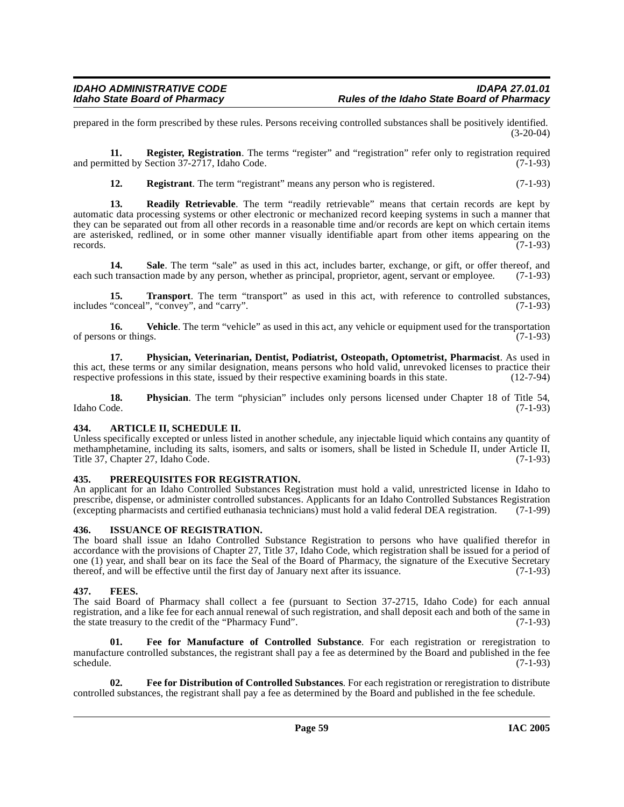prepared in the form prescribed by these rules. Persons receiving controlled substances shall be positively identified. (3-20-04)

**11. Register, Registration**. The terms "register" and "registration" refer only to registration required and permitted by Section 37-2717, Idaho Code. (7-1-93)

**12. Registrant**. The term "registrant" means any person who is registered. (7-1-93)

**13. Readily Retrievable**. The term "readily retrievable" means that certain records are kept by automatic data processing systems or other electronic or mechanized record keeping systems in such a manner that they can be separated out from all other records in a reasonable time and/or records are kept on which certain items are asterisked, redlined, or in some other manner visually identifiable apart from other items appearing on the records. (7-1-93) records.  $(7-1-93)$ 

**14.** Sale. The term "sale" as used in this act, includes barter, exchange, or gift, or offer thereof, and each such transaction made by any person, whether as principal, proprietor, agent, servant or employee. (7-1-93)

15. Transport. The term "transport" as used in this act, with reference to controlled substances, includes "conceal", "convey", and "carry". (7-1-93)

**16.** Vehicle. The term "vehicle" as used in this act, any vehicle or equipment used for the transportation is or things. (7-1-93) of persons or things.

**17. Physician, Veterinarian, Dentist, Podiatrist, Osteopath, Optometrist, Pharmacist**. As used in this act, these terms or any similar designation, means persons who hold valid, unrevoked licenses to practice their respective professions in this state, issued by their respective examining boards in this state. (12-7-94)

**18. Physician**. The term "physician" includes only persons licensed under Chapter 18 of Title 54, Idaho Code. (7-1-93) Idaho Code. (7-1-93)

#### <span id="page-58-0"></span>**434. ARTICLE II, SCHEDULE II.**

Unless specifically excepted or unless listed in another schedule, any injectable liquid which contains any quantity of methamphetamine, including its salts, isomers, and salts or isomers, shall be listed in Schedule II, under Article II, Title 37, Chapter 27, Idaho Čode.  $(7-1-93)$ 

#### **435. PREREQUISITES FOR REGISTRATION.**

An applicant for an Idaho Controlled Substances Registration must hold a valid, unrestricted license in Idaho to prescribe, dispense, or administer controlled substances. Applicants for an Idaho Controlled Substances Registration (excepting pharmacists and certified euthanasia technicians) must hold a valid federal DEA registration. (7-1-99)

#### **436. ISSUANCE OF REGISTRATION.**

The board shall issue an Idaho Controlled Substance Registration to persons who have qualified therefor in accordance with the provisions of Chapter 27, Title 37, Idaho Code, which registration shall be issued for a period of one (1) year, and shall bear on its face the Seal of the Board of Pharmacy, the signature of the Executive Secretary thereof, and will be effective until the first day of January next after its issuance. (7-1-93)

#### **437. FEES.**

The said Board of Pharmacy shall collect a fee (pursuant to Section 37-2715, Idaho Code) for each annual registration, and a like fee for each annual renewal of such registration, and shall deposit each and both of the same in the state treasury to the credit of the "Pharmacy Fund". (7-1-93) the state treasury to the credit of the "Pharmacy Fund".

**01. Fee for Manufacture of Controlled Substance**. For each registration or reregistration to manufacture controlled substances, the registrant shall pay a fee as determined by the Board and published in the fee schedule. (7-1-93)  $s$ chedule.  $(7-1-93)$ 

**02. Fee for Distribution of Controlled Substances**. For each registration or reregistration to distribute controlled substances, the registrant shall pay a fee as determined by the Board and published in the fee schedule.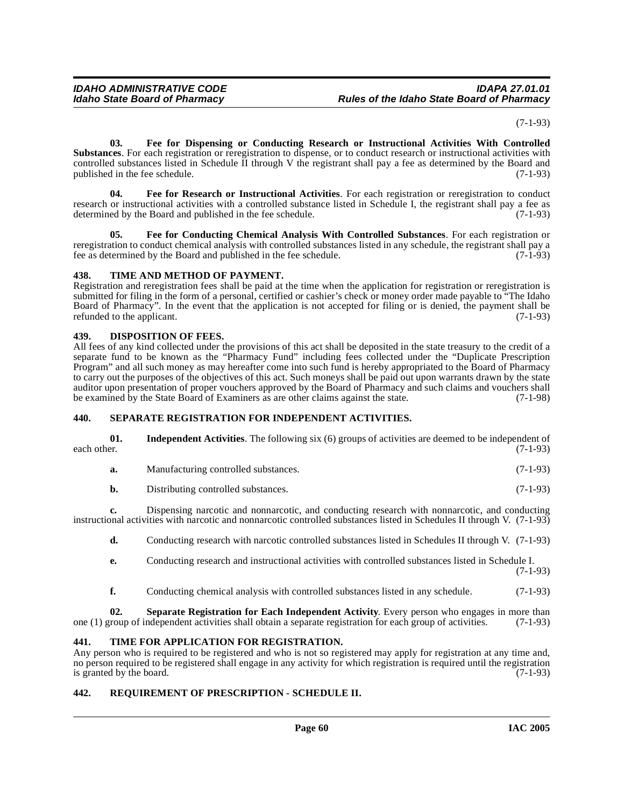(7-1-93)

**03. Fee for Dispensing or Conducting Research or Instructional Activities With Controlled Substances**. For each registration or reregistration to dispense, or to conduct research or instructional activities with controlled substances listed in Schedule II through V the registrant shall pay a fee as determined by the Board and published in the fee schedule. (7-1-93)

**04. Fee for Research or Instructional Activities**. For each registration or reregistration to conduct research or instructional activities with a controlled substance listed in Schedule I, the registrant shall pay a fee as determined by the Board and published in the fee schedule. (7-1-93)

**05. Fee for Conducting Chemical Analysis With Controlled Substances**. For each registration or reregistration to conduct chemical analysis with controlled substances listed in any schedule, the registrant shall pay a fee as determined by the Board and published in the fee schedule. (7-1-93)

#### **438. TIME AND METHOD OF PAYMENT.**

Registration and reregistration fees shall be paid at the time when the application for registration or reregistration is submitted for filing in the form of a personal, certified or cashier's check or money order made payable to "The Idaho Board of Pharmacy". In the event that the application is not accepted for filing or is denied, the payment shall be refunded to the applicant.  $(7-1-93)$ 

#### <span id="page-59-0"></span>**439. DISPOSITION OF FEES.**

All fees of any kind collected under the provisions of this act shall be deposited in the state treasury to the credit of a separate fund to be known as the "Pharmacy Fund" including fees collected under the "Duplicate Prescription Program" and all such money as may hereafter come into such fund is hereby appropriated to the Board of Pharmacy to carry out the purposes of the objectives of this act. Such moneys shall be paid out upon warrants drawn by the state auditor upon presentation of proper vouchers approved by the Board of Pharmacy and such claims and vouchers shall<br>be examined by the State Board of Examiners as are other claims against the state. (7-1-98) be examined by the State Board of Examiners as are other claims against the state.

#### **440. SEPARATE REGISTRATION FOR INDEPENDENT ACTIVITIES.**

|             | <b>Independent Activities.</b> The following six (6) groups of activities are deemed to be independent of |
|-------------|-----------------------------------------------------------------------------------------------------------|
| each other. | $(7-1-93)$                                                                                                |

- **a.** Manufacturing controlled substances. (7-1-93)
- **b.** Distributing controlled substances. (7-1-93)

**c.** Dispensing narcotic and nonnarcotic, and conducting research with nonnarcotic, and conducting instructional activities with narcotic and nonnarcotic controlled substances listed in Schedules II through V. (7-1-93)

**d.** Conducting research with narcotic controlled substances listed in Schedules II through V. (7-1-93)

- **e.** Conducting research and instructional activities with controlled substances listed in Schedule I. (7-1-93)
- **f.** Conducting chemical analysis with controlled substances listed in any schedule. (7-1-93)

**02. Separate Registration for Each Independent Activity**. Every person who engages in more than group of independent activities shall obtain a separate registration for each group of activities. (7-1-93) one (1) group of independent activities shall obtain a separate registration for each group of activities.

#### **441. TIME FOR APPLICATION FOR REGISTRATION.**

Any person who is required to be registered and who is not so registered may apply for registration at any time and, no person required to be registered shall engage in any activity for which registration is required until the registration is granted by the board. (7-1-93) is granted by the board.

#### **442. REQUIREMENT OF PRESCRIPTION - SCHEDULE II.**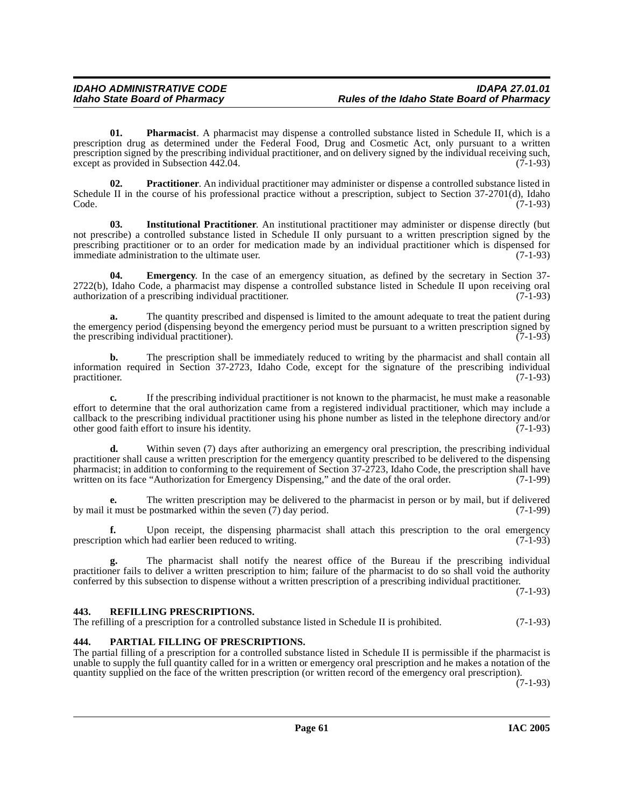**01. Pharmacist**. A pharmacist may dispense a controlled substance listed in Schedule II, which is a prescription drug as determined under the Federal Food, Drug and Cosmetic Act, only pursuant to a written prescription signed by the prescribing individual practitioner, and on delivery signed by the individual receiving such,  $\text{except as provided in Subsection 442.04.}$  (7-1-93)

**02. Practitioner**. An individual practitioner may administer or dispense a controlled substance listed in Schedule II in the course of his professional practice without a prescription, subject to Section 37-2701(d), Idaho Code. (7-1-93)  $\text{Code.}$  (7-1-93)

**03. Institutional Practitioner**. An institutional practitioner may administer or dispense directly (but not prescribe) a controlled substance listed in Schedule II only pursuant to a written prescription signed by the prescribing practitioner or to an order for medication made by an individual practitioner which is dispensed for immediate administration to the ultimate user. (7-1-93)

<span id="page-60-0"></span>**04. Emergency**. In the case of an emergency situation, as defined by the secretary in Section 37- 2722(b), Idaho Code, a pharmacist may dispense a controlled substance listed in Schedule II upon receiving oral authorization of a prescribing individual practitioner. (7-1-93) authorization of a prescribing individual practitioner.

**a.** The quantity prescribed and dispensed is limited to the amount adequate to treat the patient during the emergency period (dispensing beyond the emergency period must be pursuant to a written prescription signed by the prescription individual practitioner). the prescribing individual practitioner).

**b.** The prescription shall be immediately reduced to writing by the pharmacist and shall contain all information required in Section 37-2723, Idaho Code, except for the signature of the prescribing individual practitioner. (7-1-93)

**c.** If the prescribing individual practitioner is not known to the pharmacist, he must make a reasonable effort to determine that the oral authorization came from a registered individual practitioner, which may include a callback to the prescribing individual practitioner using his phone number as listed in the telephone directory and/or other good faith effort to insure his identity.

**d.** Within seven (7) days after authorizing an emergency oral prescription, the prescribing individual practitioner shall cause a written prescription for the emergency quantity prescribed to be delivered to the dispensing pharmacist; in addition to conforming to the requirement of Section 37-2723, Idaho Code, the prescription shall have written on its face "Authorization for Emergency Dispensing," and the date of the oral order. (7-1-99)

**e.** The written prescription may be delivered to the pharmacist in person or by mail, but if delivered by mail it must be postmarked within the seven (7) day period. (7-1-99)

**f.** Upon receipt, the dispensing pharmacist shall attach this prescription to the oral emergency ion which had earlier been reduced to writing. (7-1-93) prescription which had earlier been reduced to writing.

**g.** The pharmacist shall notify the nearest office of the Bureau if the prescribing individual practitioner fails to deliver a written prescription to him; failure of the pharmacist to do so shall void the authority conferred by this subsection to dispense without a written prescription of a prescribing individual practitioner.

(7-1-93)

#### **443. REFILLING PRESCRIPTIONS.**

The refilling of a prescription for a controlled substance listed in Schedule II is prohibited. (7-1-93)

#### **444. PARTIAL FILLING OF PRESCRIPTIONS.**

The partial filling of a prescription for a controlled substance listed in Schedule II is permissible if the pharmacist is unable to supply the full quantity called for in a written or emergency oral prescription and he makes a notation of the quantity supplied on the face of the written prescription (or written record of the emergency oral prescription).

 $(7-1-93)$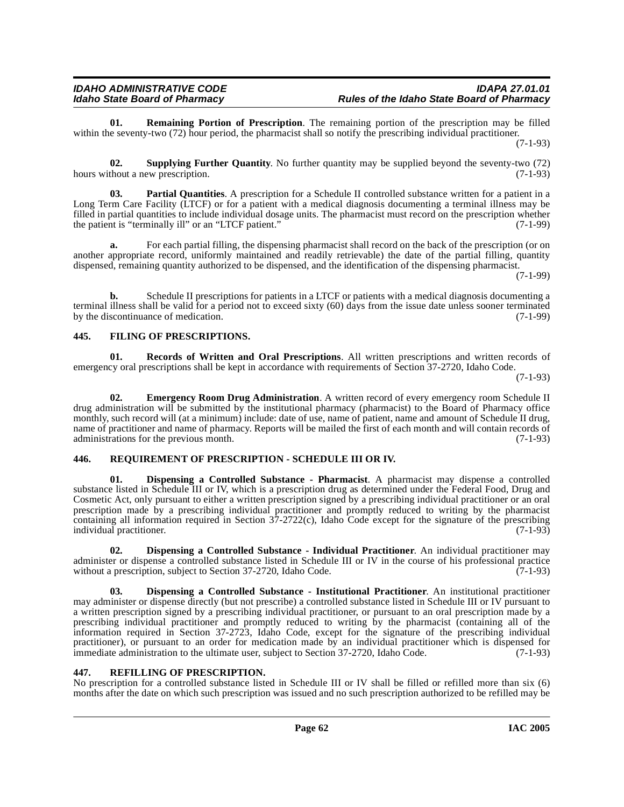**01. Remaining Portion of Prescription**. The remaining portion of the prescription may be filled within the seventy-two (72) hour period, the pharmacist shall so notify the prescribing individual practitioner.

(7-1-93)

**02. Supplying Further Quantity**. No further quantity may be supplied beyond the seventy-two (72) hours without a new prescription. (7-1-93)

**03. Partial Quantities**. A prescription for a Schedule II controlled substance written for a patient in a Long Term Care Facility (LTCF) or for a patient with a medical diagnosis documenting a terminal illness may be filled in partial quantities to include individual dosage units. The pharmacist must record on the prescription whether the patient is "terminally ill" or an "LTCF patient."

**a.** For each partial filling, the dispensing pharmacist shall record on the back of the prescription (or on another appropriate record, uniformly maintained and readily retrievable) the date of the partial filling, quantity dispensed, remaining quantity authorized to be dispensed, and the identification of the dispensing pharmacist.

(7-1-99)

**b.** Schedule II prescriptions for patients in a LTCF or patients with a medical diagnosis documenting a terminal illness shall be valid for a period not to exceed sixty (60) days from the issue date unless sooner terminated by the discontinuance of medication. (7-1-99)

### **445. FILING OF PRESCRIPTIONS.**

**01. Records of Written and Oral Prescriptions**. All written prescriptions and written records of emergency oral prescriptions shall be kept in accordance with requirements of Section 37-2720, Idaho Code.

(7-1-93)

<span id="page-61-3"></span>**02. Emergency Room Drug Administration**. A written record of every emergency room Schedule II drug administration will be submitted by the institutional pharmacy (pharmacist) to the Board of Pharmacy office monthly, such record will (at a minimum) include: date of use, name of patient, name and amount of Schedule II drug, name of practitioner and name of pharmacy. Reports will be mailed the first of each month and will contain records of administrations for the previous month. (7-1-93)

#### **446. REQUIREMENT OF PRESCRIPTION - SCHEDULE III OR IV.**

<span id="page-61-2"></span>**01. Dispensing a Controlled Substance - Pharmacist**. A pharmacist may dispense a controlled substance listed in Schedule III or IV, which is a prescription drug as determined under the Federal Food, Drug and Cosmetic Act, only pursuant to either a written prescription signed by a prescribing individual practitioner or an oral prescription made by a prescribing individual practitioner and promptly reduced to writing by the pharmacist containing all information required in Section 37-2722(c), Idaho Code except for the signature of the prescribing individual practitioner. (7-1-93)

<span id="page-61-0"></span>**02. Dispensing a Controlled Substance - Individual Practitioner**. An individual practitioner may administer or dispense a controlled substance listed in Schedule III or IV in the course of his professional practice without a prescription, subject to Section 37-2720, Idaho Code. (7-1-93) without a prescription, subject to Section 37-2720, Idaho Code.

<span id="page-61-1"></span>**03. Dispensing a Controlled Substance - Institutional Practitioner**. An institutional practitioner may administer or dispense directly (but not prescribe) a controlled substance listed in Schedule III or IV pursuant to a written prescription signed by a prescribing individual practitioner, or pursuant to an oral prescription made by a prescribing individual practitioner and promptly reduced to writing by the pharmacist (containing all of the information required in Section 37-2723, Idaho Code, except for the signature of the prescribing individual practitioner), or pursuant to an order for medication made by an individual practitioner which is dispensed for immediate administration to the ultimate user, subject to Section 37-2720, Idaho Code. (7-1-93)

### **447. REFILLING OF PRESCRIPTION.**

No prescription for a controlled substance listed in Schedule III or IV shall be filled or refilled more than six (6) months after the date on which such prescription was issued and no such prescription authorized to be refilled may be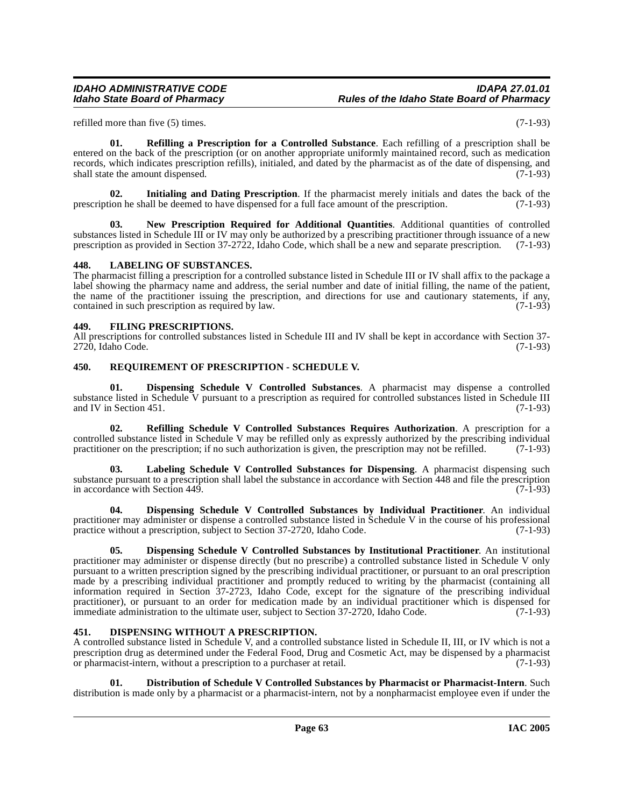### IDAHO ADMINISTRATIVE CODE<br>Idaho State Board of Pharmacy **Integrative State Board of Pharmacy** Rules of the Idaho State Board of Pharmacy **Idaho State Board of Pharmacy Rules of the Idaho State Board of Pharmacy**

refilled more than five (5) times. (7-1-93)

**01. Refilling a Prescription for a Controlled Substance**. Each refilling of a prescription shall be entered on the back of the prescription (or on another appropriate uniformly maintained record, such as medication records, which indicates prescription refills), initialed, and dated by the pharmacist as of the date of dispensing, and shall state the amount dispensed. (7-1-93)

**02. Initialing and Dating Prescription**. If the pharmacist merely initials and dates the back of the prescription he shall be deemed to have dispensed for a full face amount of the prescription. (7-1-93)

**03. New Prescription Required for Additional Quantities**. Additional quantities of controlled substances listed in Schedule III or IV may only be authorized by a prescribing practitioner through issuance of a new<br>prescription as provided in Section 37-2722. Idaho Code, which shall be a new and separate prescriptio prescription as provided in Section  $37-2722$ , Idaho Code, which shall be a new and separate prescription.

#### **448. LABELING OF SUBSTANCES.**

The pharmacist filling a prescription for a controlled substance listed in Schedule III or IV shall affix to the package a label showing the pharmacy name and address, the serial number and date of initial filling, the name of the patient, the name of the practitioner issuing the prescription, and directions for use and cautionary statements, if any, contained in such prescription as required by law. (7-1-93)

#### **449. FILING PRESCRIPTIONS.**

All prescriptions for controlled substances listed in Schedule III and IV shall be kept in accordance with Section 37-<br>(7-1-93)  $2720$ , Idaho Code.

#### **450. REQUIREMENT OF PRESCRIPTION - SCHEDULE V.**

<span id="page-62-0"></span>**01. Dispensing Schedule V Controlled Substances**. A pharmacist may dispense a controlled substance listed in Schedule V pursuant to a prescription as required for controlled substances listed in Schedule III and IV in Section 451.  $(7-1-93)$ 

**02. Refilling Schedule V Controlled Substances Requires Authorization**. A prescription for a controlled substance listed in Schedule V may be refilled only as expressly authorized by the prescribing individual practitioner on the prescription; if no such authorization is given, the prescription may not be refilled. (7-1-93)

**03. Labeling Schedule V Controlled Substances for Dispensing**. A pharmacist dispensing such substance pursuant to a prescription shall label the substance in accordance with Section 448 and file the prescription<br>in accordance with Section 449. (7-1-93) in accordance with Section 449.

<span id="page-62-1"></span>**04. Dispensing Schedule V Controlled Substances by Individual Practitioner**. An individual practitioner may administer or dispense a controlled substance listed in Schedule V in the course of his professional practice without a prescription, subject to Section 37-2720, Idaho Code. (7-1-93)

<span id="page-62-2"></span>**05. Dispensing Schedule V Controlled Substances by Institutional Practitioner**. An institutional practitioner may administer or dispense directly (but no prescribe) a controlled substance listed in Schedule V only pursuant to a written prescription signed by the prescribing individual practitioner, or pursuant to an oral prescription made by a prescribing individual practitioner and promptly reduced to writing by the pharmacist (containing all information required in Section 37-2723, Idaho Code, except for the signature of the prescribing individual practitioner), or pursuant to an order for medication made by an individual practitioner which is dispensed for immediate administration to the ultimate user, subject to Section 37-2720, Idaho Code. (7-1-93)

#### <span id="page-62-3"></span>**451. DISPENSING WITHOUT A PRESCRIPTION.**

A controlled substance listed in Schedule V, and a controlled substance listed in Schedule II, III, or IV which is not a prescription drug as determined under the Federal Food, Drug and Cosmetic Act, may be dispensed by a pharmacist or pharmacist-intern, without a prescription to a purchaser at retail. (7-1-93)

<span id="page-62-4"></span>**01. Distribution of Schedule V Controlled Substances by Pharmacist or Pharmacist-Intern**. Such distribution is made only by a pharmacist or a pharmacist-intern, not by a nonpharmacist employee even if under the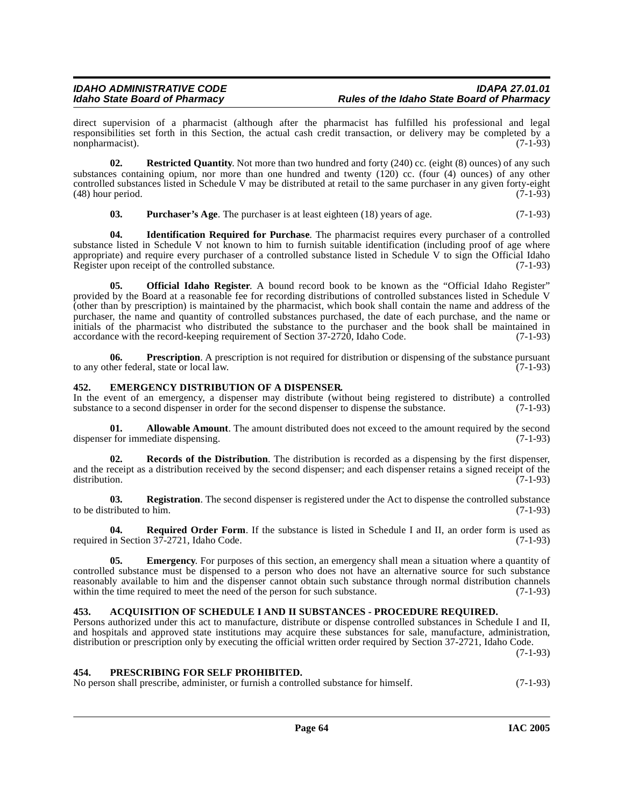direct supervision of a pharmacist (although after the pharmacist has fulfilled his professional and legal responsibilities set forth in this Section, the actual cash credit transaction, or delivery may be completed by a nonpharmacist). nonpharmacist).

**02. Restricted Quantity**. Not more than two hundred and forty (240) cc. (eight (8) ounces) of any such substances containing opium, nor more than one hundred and twenty (120) cc. (four (4) ounces) of any other controlled substances listed in Schedule V may be distributed at retail to the same purchaser in any given forty-eight (48) hour period. (7-1-93)  $(48)$  hour period.

**03.** Purchaser's Age. The purchaser is at least eighteen (18) years of age.  $(7-1-93)$ 

**04. Identification Required for Purchase**. The pharmacist requires every purchaser of a controlled substance listed in Schedule V not known to him to furnish suitable identification (including proof of age where appropriate) and require every purchaser of a controlled substance listed in Schedule V to sign the Official Idaho Register upon receipt of the controlled substance. (7-1-93)

**05. Official Idaho Register**. A bound record book to be known as the "Official Idaho Register" provided by the Board at a reasonable fee for recording distributions of controlled substances listed in Schedule V (other than by prescription) is maintained by the pharmacist, which book shall contain the name and address of the purchaser, the name and quantity of controlled substances purchased, the date of each purchase, and the name or initials of the pharmacist who distributed the substance to the purchaser and the book shall be maintained in accordance with the record-keeping requirement of Section 37-2720. Idaho Code. (7-1-93) accordance with the record-keeping requirement of Section 37-2720, Idaho Code.

**06. Prescription**. A prescription is not required for distribution or dispensing of the substance pursuant to any other federal, state or local law. (7-1-93)

#### <span id="page-63-2"></span>**452. EMERGENCY DISTRIBUTION OF A DISPENSER.**

In the event of an emergency, a dispenser may distribute (without being registered to distribute) a controlled substance to a second dispenser in order for the second dispenser to dispense the substance. (7-1-93)

<span id="page-63-1"></span>**01. Allowable Amount**. The amount distributed does not exceed to the amount required by the second dispenser for immediate dispensing. (7-1-93)

**02. Records of the Distribution**. The distribution is recorded as a dispensing by the first dispenser, and the receipt as a distribution received by the second dispenser; and each dispenser retains a signed receipt of the distribution. (7-1-93) distribution. (7-1-93)

**03.** Registration. The second dispenser is registered under the Act to dispense the controlled substance ributed to him. (7-1-93) to be distributed to him.

**04. Required Order Form**. If the substance is listed in Schedule I and II, an order form is used as in Section 37-2721, Idaho Code. (7-1-93) required in Section 37-2721, Idaho Code.

<span id="page-63-3"></span>**05.** Emergency. For purposes of this section, an emergency shall mean a situation where a quantity of controlled substance must be dispensed to a person who does not have an alternative source for such substance reasonably available to him and the dispenser cannot obtain such substance through normal distribution channels within the time required to meet the need of the person for such substance. (7-1-93)

#### <span id="page-63-0"></span>**453. ACQUISITION OF SCHEDULE I AND II SUBSTANCES - PROCEDURE REQUIRED.**

Persons authorized under this act to manufacture, distribute or dispense controlled substances in Schedule I and II, and hospitals and approved state institutions may acquire these substances for sale, manufacture, administration, distribution or prescription only by executing the official written order required by Section 37-2721, Idaho Code.

(7-1-93)

#### **454. PRESCRIBING FOR SELF PROHIBITED.**

No person shall prescribe, administer, or furnish a controlled substance for himself. (7-1-93)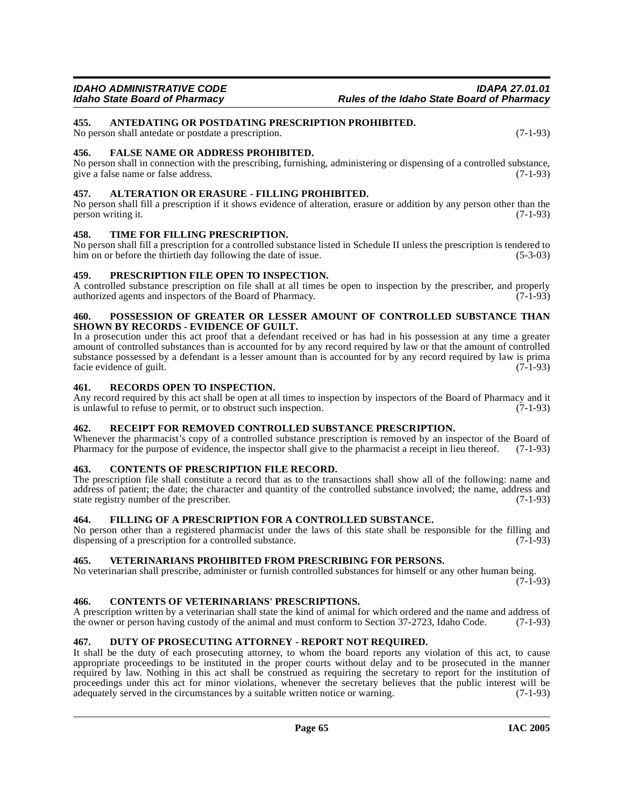### <span id="page-64-1"></span>**455. ANTEDATING OR POSTDATING PRESCRIPTION PROHIBITED.**

No person shall antedate or postdate a prescription. (7-1-93)

#### **456. FALSE NAME OR ADDRESS PROHIBITED.**

No person shall in connection with the prescribing, furnishing, administering or dispensing of a controlled substance, give a false name or false address. (7-1-93)

#### <span id="page-64-0"></span>**457. ALTERATION OR ERASURE - FILLING PROHIBITED.**

No person shall fill a prescription if it shows evidence of alteration, erasure or addition by any person other than the person writing it.  $(7-1-93)$ 

#### **458. TIME FOR FILLING PRESCRIPTION.**

No person shall fill a prescription for a controlled substance listed in Schedule II unless the prescription is tendered to him on or before the thirtieth day following the date of issue. (5-3-03)

#### **459. PRESCRIPTION FILE OPEN TO INSPECTION.**

A controlled substance prescription on file shall at all times be open to inspection by the prescriber, and properly authorized agents and inspectors of the Board of Pharmacy. (7-1-93) authorized agents and inspectors of the Board of Pharmacy.

#### **460. POSSESSION OF GREATER OR LESSER AMOUNT OF CONTROLLED SUBSTANCE THAN SHOWN BY RECORDS - EVIDENCE OF GUILT.**

In a prosecution under this act proof that a defendant received or has had in his possession at any time a greater amount of controlled substances than is accounted for by any record required by law or that the amount of controlled substance possessed by a defendant is a lesser amount than is accounted for by any record required by law is prima facie evidence of guilt. (7-1-93)

#### **461. RECORDS OPEN TO INSPECTION.**

Any record required by this act shall be open at all times to inspection by inspectors of the Board of Pharmacy and it is unlawful to refuse to permit, or to obstruct such inspection. (7-1-93) is unlawful to refuse to permit, or to obstruct such inspection.

#### **462. RECEIPT FOR REMOVED CONTROLLED SUBSTANCE PRESCRIPTION.**

Whenever the pharmacist's copy of a controlled substance prescription is removed by an inspector of the Board of Pharmacy for the purpose of evidence, the inspector shall give to the pharmacist a receipt in lieu thereof. ( Pharmacy for the purpose of evidence, the inspector shall give to the pharmacist a receipt in lieu thereof.

#### <span id="page-64-2"></span>**463. CONTENTS OF PRESCRIPTION FILE RECORD.**

The prescription file shall constitute a record that as to the transactions shall show all of the following: name and address of patient; the date; the character and quantity of the controlled substance involved; the name, address and state registry number of the prescriber. (7-1-93)

#### **464. FILLING OF A PRESCRIPTION FOR A CONTROLLED SUBSTANCE.**

No person other than a registered pharmacist under the laws of this state shall be responsible for the filling and dispensing of a prescription for a controlled substance. (7-1-93) dispensing of a prescription for a controlled substance.

#### **465. VETERINARIANS PROHIBITED FROM PRESCRIBING FOR PERSONS.**

No veterinarian shall prescribe, administer or furnish controlled substances for himself or any other human being.  $(7-1-93)$ 

## <span id="page-64-3"></span>**466. CONTENTS OF VETERINARIANS' PRESCRIPTIONS.**

A prescription written by a veterinarian shall state the kind of animal for which ordered and the name and address of the owner or person having custody of the animal and must conform to Section 37-2723. Idaho Code. (7-1-9 the owner or person having custody of the animal and must conform to Section 37-2723, Idaho Code.

#### <span id="page-64-4"></span>**467. DUTY OF PROSECUTING ATTORNEY - REPORT NOT REQUIRED.**

It shall be the duty of each prosecuting attorney, to whom the board reports any violation of this act, to cause appropriate proceedings to be instituted in the proper courts without delay and to be prosecuted in the manner required by law. Nothing in this act shall be construed as requiring the secretary to report for the institution of proceedings under this act for minor violations, whenever the secretary believes that the public interest will be adequately served in the circumstances by a suitable written notice or warning. (7-1-93) adequately served in the circumstances by a suitable written notice or warning.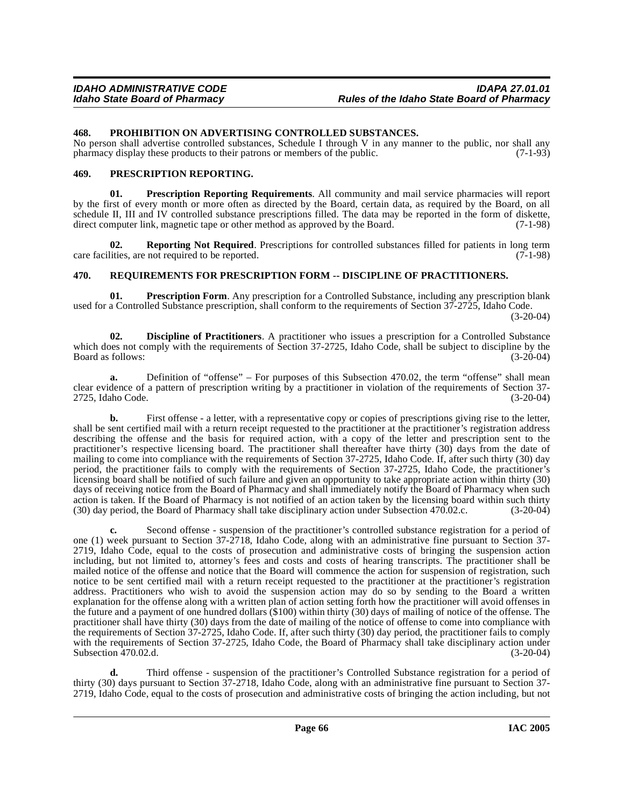#### **468. PROHIBITION ON ADVERTISING CONTROLLED SUBSTANCES.**

No person shall advertise controlled substances, Schedule I through V in any manner to the public, nor shall any pharmacy display these products to their patrons or members of the public. (7-1-93)

#### **469. PRESCRIPTION REPORTING.**

**01. Prescription Reporting Requirements**. All community and mail service pharmacies will report by the first of every month or more often as directed by the Board, certain data, as required by the Board, on all schedule II, III and IV controlled substance prescriptions filled. The data may be reported in the form of diskette, direct computer link, magnetic tape or other method as approved by the Board. (7-1-98)

**02. Reporting Not Required**. Prescriptions for controlled substances filled for patients in long term care facilities, are not required to be reported. (7-1-98)

#### **470. REQUIREMENTS FOR PRESCRIPTION FORM -- DISCIPLINE OF PRACTITIONERS.**

**01. Prescription Form**. Any prescription for a Controlled Substance, including any prescription blank used for a Controlled Substance prescription, shall conform to the requirements of Section 37-2725, Idaho Code.  $(3-20-04)$ 

<span id="page-65-0"></span>**02. Discipline of Practitioners**. A practitioner who issues a prescription for a Controlled Substance which does not comply with the requirements of Section 37-2725, Idaho Code, shall be subject to discipline by the Board as follows: (3-20-04) Board as follows:

**a.** Definition of "offense" – For purposes of this Subsection 470.02, the term "offense" shall mean clear evidence of a pattern of prescription writing by a practitioner in violation of the requirements of Section 37- 2725, Idaho Code.

**b.** First offense - a letter, with a representative copy or copies of prescriptions giving rise to the letter, shall be sent certified mail with a return receipt requested to the practitioner at the practitioner's registration address describing the offense and the basis for required action, with a copy of the letter and prescription sent to the practitioner's respective licensing board. The practitioner shall thereafter have thirty (30) days from the date of mailing to come into compliance with the requirements of Section 37-2725, Idaho Code. If, after such thirty (30) day period, the practitioner fails to comply with the requirements of Section 37-2725, Idaho Code, the practitioner's licensing board shall be notified of such failure and given an opportunity to take appropriate action within thirty (30) days of receiving notice from the Board of Pharmacy and shall immediately notify the Board of Pharmacy when such action is taken. If the Board of Pharmacy is not notified of an action taken by the licensing board within such thirty (30) day period, the Board of Pharmacy shall take disciplinary action under Subsection 470.02.c. (3-20-04)

**c.** Second offense - suspension of the practitioner's controlled substance registration for a period of one (1) week pursuant to Section 37-2718, Idaho Code, along with an administrative fine pursuant to Section 37- 2719, Idaho Code, equal to the costs of prosecution and administrative costs of bringing the suspension action including, but not limited to, attorney's fees and costs and costs of hearing transcripts. The practitioner shall be mailed notice of the offense and notice that the Board will commence the action for suspension of registration, such notice to be sent certified mail with a return receipt requested to the practitioner at the practitioner's registration address. Practitioners who wish to avoid the suspension action may do so by sending to the Board a written explanation for the offense along with a written plan of action setting forth how the practitioner will avoid offenses in the future and a payment of one hundred dollars (\$100) within thirty (30) days of mailing of notice of the offense. The practitioner shall have thirty (30) days from the date of mailing of the notice of offense to come into compliance with the requirements of Section 37-2725, Idaho Code. If, after such thirty (30) day period, the practitioner fails to comply with the requirements of Section 37-2725, Idaho Code, the Board of Pharmacy shall take disciplinary action under Subsection 470.02.d. (3-20-04)

**d.** Third offense - suspension of the practitioner's Controlled Substance registration for a period of thirty (30) days pursuant to Section 37-2718, Idaho Code, along with an administrative fine pursuant to Section 37- 2719, Idaho Code, equal to the costs of prosecution and administrative costs of bringing the action including, but not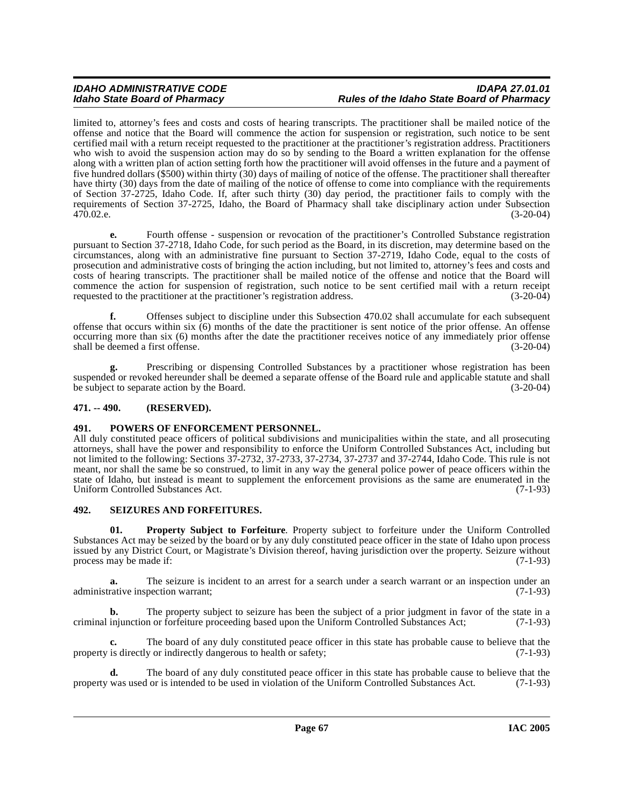### **IDAHO ADMINISTRATIVE CODE IDAPA 27.01.01 Idaho State Board of Pharmacy Rules of the Idaho State Board of Pharmacy**

limited to, attorney's fees and costs and costs of hearing transcripts. The practitioner shall be mailed notice of the offense and notice that the Board will commence the action for suspension or registration, such notice to be sent certified mail with a return receipt requested to the practitioner at the practitioner's registration address. Practitioners who wish to avoid the suspension action may do so by sending to the Board a written explanation for the offense along with a written plan of action setting forth how the practitioner will avoid offenses in the future and a payment of five hundred dollars (\$500) within thirty (30) days of mailing of notice of the offense. The practitioner shall thereafter have thirty (30) days from the date of mailing of the notice of offense to come into compliance with the requirements of Section 37-2725, Idaho Code. If, after such thirty (30) day period, the practitioner fails to comply with the requirements of Section 37-2725, Idaho, the Board of Pharmacy shall take disciplinary action under Subsection 470.02.e. (3-20-04)

**e.** Fourth offense - suspension or revocation of the practitioner's Controlled Substance registration pursuant to Section 37-2718, Idaho Code, for such period as the Board, in its discretion, may determine based on the circumstances, along with an administrative fine pursuant to Section 37-2719, Idaho Code, equal to the costs of prosecution and administrative costs of bringing the action including, but not limited to, attorney's fees and costs and costs of hearing transcripts. The practitioner shall be mailed notice of the offense and notice that the Board will commence the action for suspension of registration, such notice to be sent certified mail with a return receipt requested to the practitioner at the practitioner's registration address. (3-20-04) requested to the practitioner at the practitioner's registration address.

**f.** Offenses subject to discipline under this Subsection 470.02 shall accumulate for each subsequent offense that occurs within six  $(6)$  months of the date the practitioner is sent notice of the prior offense. An offense occurring more than six (6) months after the date the practitioner receives notice of any immediately prior offense<br>(3-20-04) (3-20-04) shall be deemed a first offense.

Prescribing or dispensing Controlled Substances by a practitioner whose registration has been suspended or revoked hereunder shall be deemed a separate offense of the Board rule and applicable statute and shall<br>be subject to separate action by the Board. (3-20-04) be subject to separate action by the Board.

#### **471. -- 490. (RESERVED).**

### **491. POWERS OF ENFORCEMENT PERSONNEL.**

All duly constituted peace officers of political subdivisions and municipalities within the state, and all prosecuting attorneys, shall have the power and responsibility to enforce the Uniform Controlled Substances Act, including but not limited to the following: Sections 37-2732, 37-2733, 37-2734, 37-2737 and 37-2744, Idaho Code. This rule is not meant, nor shall the same be so construed, to limit in any way the general police power of peace officers within the state of Idaho, but instead is meant to supplement the enforcement provisions as the same are enumerated in the Uniform Controlled Substances Act. (7-1-93)

#### **492. SEIZURES AND FORFEITURES.**

**01. Property Subject to Forfeiture**. Property subject to forfeiture under the Uniform Controlled Substances Act may be seized by the board or by any duly constituted peace officer in the state of Idaho upon process issued by any District Court, or Magistrate's Division thereof, having jurisdiction over the property. Seizure without process may be made if:

**a.** The seizure is incident to an arrest for a search under a search warrant or an inspection under an administrative inspection warrant; (7-1-93)

**b.** The property subject to seizure has been the subject of a prior judgment in favor of the state in a injunction or forfeiture proceeding based upon the Uniform Controlled Substances Act; (7-1-93) criminal injunction or forfeiture proceeding based upon the Uniform Controlled Substances Act;

**c.** The board of any duly constituted peace officer in this state has probable cause to believe that the property is directly or indirectly dangerous to health or safety; (7-1-93)

**d.** The board of any duly constituted peace officer in this state has probable cause to believe that the was used or is intended to be used in violation of the Uniform Controlled Substances Act. (7-1-93) property was used or is intended to be used in violation of the Uniform Controlled Substances Act.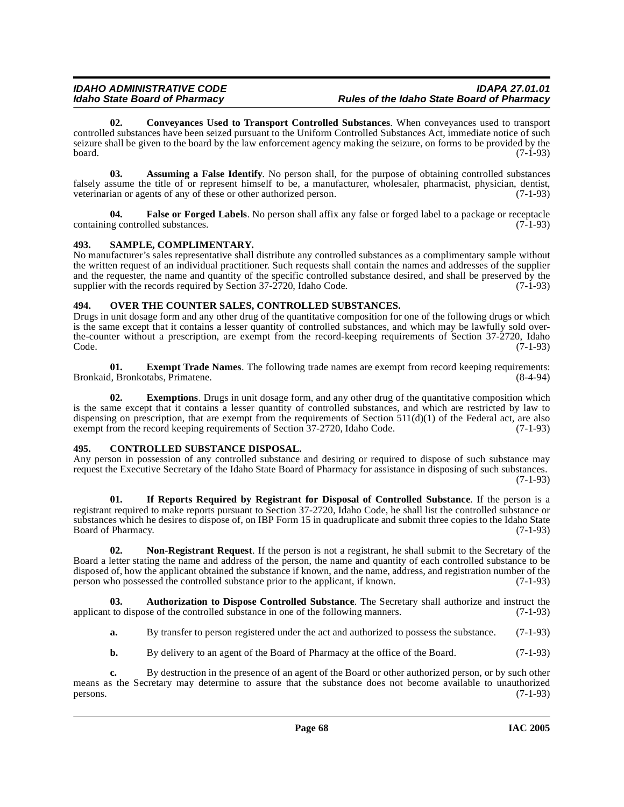### IDAHO ADMINISTRATIVE CODE<br>Idaho State Board of Pharmacy **Integrative State Board of Pharmacy** Rules of the Idaho State Board of Pharmacy **Idaho State Board of Pharmacy Rules of the Idaho State Board of Pharmacy**

<span id="page-67-3"></span>**02. Conveyances Used to Transport Controlled Substances**. When conveyances used to transport controlled substances have been seized pursuant to the Uniform Controlled Substances Act, immediate notice of such seizure shall be given to the board by the law enforcement agency making the seizure, on forms to be provided by the board. (7-1-93) board. (7-1-93)

<span id="page-67-0"></span>**03. Assuming a False Identify**. No person shall, for the purpose of obtaining controlled substances falsely assume the title of or represent himself to be, a manufacturer, wholesaler, pharmacist, physician, dentist, veterinarian or agents of any of these or other authorized person. (7-1-93)

**04. False or Forged Labels**. No person shall affix any false or forged label to a package or receptacle containing controlled substances. (7-1-93)

### **493. SAMPLE, COMPLIMENTARY.**

No manufacturer's sales representative shall distribute any controlled substances as a complimentary sample without the written request of an individual practitioner. Such requests shall contain the names and addresses of the supplier and the requester, the name and quantity of the specific controlled substance desired, and shall be preserved by the supplier with the records required by Section  $37-2720$ , Idaho Code.  $(7-1-93)$ supplier with the records required by Section  $37-2720$ , Idaho Code.

### **494. OVER THE COUNTER SALES, CONTROLLED SUBSTANCES.**

Drugs in unit dosage form and any other drug of the quantitative composition for one of the following drugs or which is the same except that it contains a lesser quantity of controlled substances, and which may be lawfully sold overthe-counter without a prescription, are exempt from the record-keeping requirements of Section 37-2720, Idaho<br>Code. (7-1-93)  $\text{Code.}$  (7-1-93)

<span id="page-67-4"></span>**01. Exempt Trade Names**. The following trade names are exempt from record keeping requirements: Bronkaid, Bronkotabs, Primatene.

**02.** Exemptions. Drugs in unit dosage form, and any other drug of the quantitative composition which is the same except that it contains a lesser quantity of controlled substances, and which are restricted by law to dispensing on prescription, that are exempt from the requirements of Section  $511(d)(1)$  of the Federal act, are also exempt from the record keeping requirements of Section 37-2720. Idaho Code. (7-1-93) exempt from the record keeping requirements of Section 37-2720, Idaho Code.

#### <span id="page-67-2"></span>**495. CONTROLLED SUBSTANCE DISPOSAL.**

Any person in possession of any controlled substance and desiring or required to dispose of such substance may request the Executive Secretary of the Idaho State Board of Pharmacy for assistance in disposing of such substances. (7-1-93)

**01. If Reports Required by Registrant for Disposal of Controlled Substance**. If the person is a registrant required to make reports pursuant to Section 37-2720, Idaho Code, he shall list the controlled substance or substances which he desires to dispose of, on IBP Form 15 in quadruplicate and submit three copies to the Idaho State Board of Pharmacy. (7-1-93)

**02. Non-Registrant Request**. If the person is not a registrant, he shall submit to the Secretary of the Board a letter stating the name and address of the person, the name and quantity of each controlled substance to be disposed of, how the applicant obtained the substance if known, and the name, address, and registration number of the person who possessed the controlled substance prior to the applicant, if known. (7-1-93) person who possessed the controlled substance prior to the applicant, if known.

**03. Authorization to Dispose Controlled Substance**. The Secretary shall authorize and instruct the applicant to dispose of the controlled substance in one of the following manners. (7-1-93)

- <span id="page-67-1"></span>**a.** By transfer to person registered under the act and authorized to possess the substance. (7-1-93)
- **b.** By delivery to an agent of the Board of Pharmacy at the office of the Board. (7-1-93)

**c.** By destruction in the presence of an agent of the Board or other authorized person, or by such other means as the Secretary may determine to assure that the substance does not become available to unauthorized persons. (7-1-93)  $p$ ersons. (7-1-93)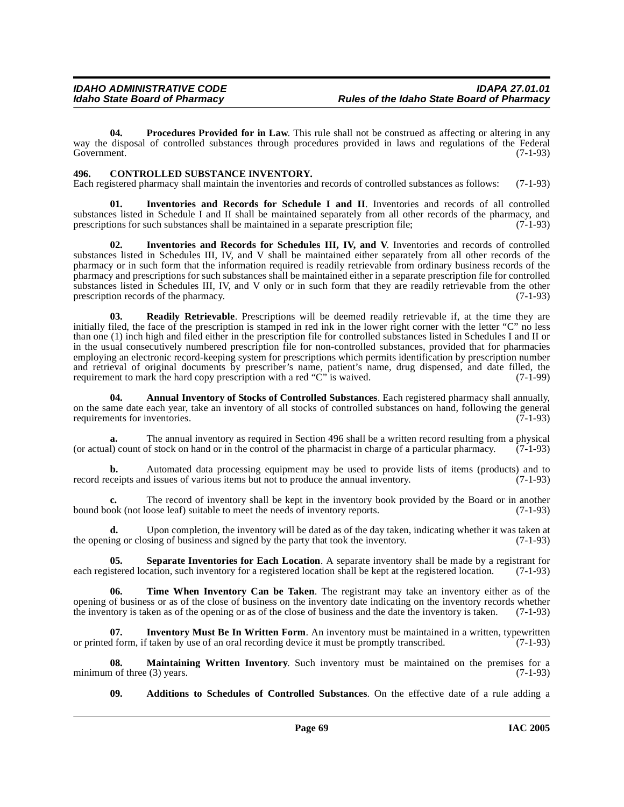**04.** Procedures Provided for in Law. This rule shall not be construed as affecting or altering in any way the disposal of controlled substances through procedures provided in laws and regulations of the Federal Government. (7-1-93) Government. (7-1-93)

#### <span id="page-68-2"></span>**496. CONTROLLED SUBSTANCE INVENTORY.**

Each registered pharmacy shall maintain the inventories and records of controlled substances as follows: (7-1-93)

**01. Inventories and Records for Schedule I and II**. Inventories and records of all controlled substances listed in Schedule I and II shall be maintained separately from all other records of the pharmacy, and prescriptions for such substances shall be maintained in a separate prescription file; (7-1-93) prescriptions for such substances shall be maintained in a separate prescription file;

**02. Inventories and Records for Schedules III, IV, and V**. Inventories and records of controlled substances listed in Schedules III, IV, and V shall be maintained either separately from all other records of the pharmacy or in such form that the information required is readily retrievable from ordinary business records of the pharmacy and prescriptions for such substances shall be maintained either in a separate prescription file for controlled substances listed in Schedules III, IV, and V only or in such form that they are readily retrievable from the other<br>prescription records of the pharmacy. (7-1-93) prescription records of the pharmacy.

**03. Readily Retrievable**. Prescriptions will be deemed readily retrievable if, at the time they are initially filed, the face of the prescription is stamped in red ink in the lower right corner with the letter "C" no less than one (1) inch high and filed either in the prescription file for controlled substances listed in Schedules I and II or in the usual consecutively numbered prescription file for non-controlled substances, provided that for pharmacies employing an electronic record-keeping system for prescriptions which permits identification by prescription number and retrieval of original documents by prescriber's name, patient's name, drug dispensed, and date filled, the requirement to mark the hard copy prescription with a red "C" is waived. (7-1-99)

<span id="page-68-1"></span>**04. Annual Inventory of Stocks of Controlled Substances**. Each registered pharmacy shall annually, on the same date each year, take an inventory of all stocks of controlled substances on hand, following the general requirements for inventories. (7-1-93) requirements for inventories.

**a.** The annual inventory as required in Section 496 shall be a written record resulting from a physical I) count of stock on hand or in the control of the pharmacist in charge of a particular pharmacy. (7-1-93) (or actual) count of stock on hand or in the control of the pharmacist in charge of a particular pharmacy.

**b.** Automated data processing equipment may be used to provide lists of items (products) and to cceipts and issues of various items but not to produce the annual inventory. (7-1-93) record receipts and issues of various items but not to produce the annual inventory.

**c.** The record of inventory shall be kept in the inventory book provided by the Board or in another bound book (not loose leaf) suitable to meet the needs of inventory reports. (7-1-93)

**d.** Upon completion, the inventory will be dated as of the day taken, indicating whether it was taken at ing or closing of business and signed by the party that took the inventory. (7-1-93) the opening or closing of business and signed by the party that took the inventory.

**05. Separate Inventories for Each Location**. A separate inventory shall be made by a registrant for istered location, such inventory for a registered location shall be kept at the registered location. (7-1-93) each registered location, such inventory for a registered location shall be kept at the registered location.

**06. Time When Inventory Can be Taken**. The registrant may take an inventory either as of the opening of business or as of the close of business on the inventory date indicating on the inventory records whether the inventory is taken as of the opening or as of the close of business and the date the inventory is taken. (7-1-93)

**07.** Inventory Must Be In Written Form. An inventory must be maintained in a written, typewritten or printed form, if taken by use of an oral recording device it must be promptly transcribed. (7-1-93)

**08. Maintaining Written Inventory**. Such inventory must be maintained on the premises for a n of three (3) years. (7-1-93) minimum of three  $(3)$  years.

<span id="page-68-0"></span>**09. Additions to Schedules of Controlled Substances**. On the effective date of a rule adding a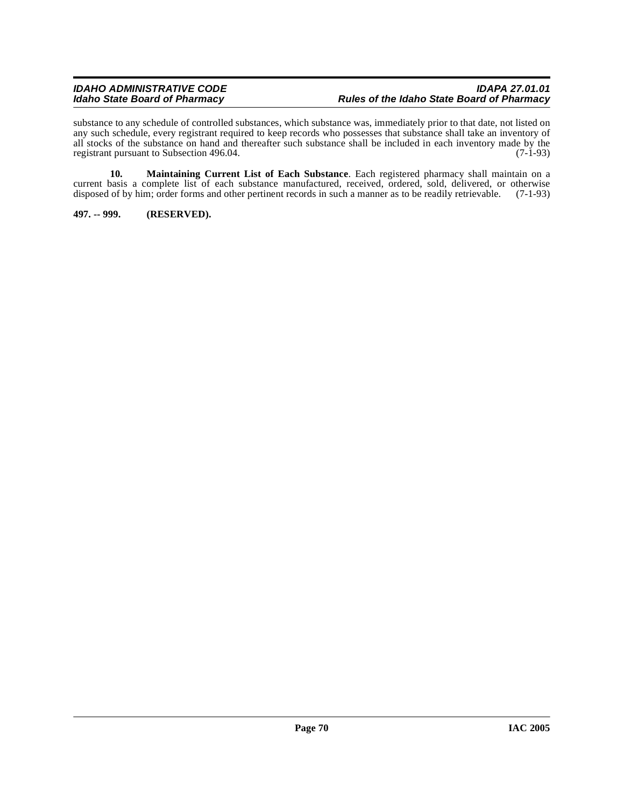substance to any schedule of controlled substances, which substance was, immediately prior to that date, not listed on any such schedule, every registrant required to keep records who possesses that substance shall take an inventory of all stocks of the substance on hand and thereafter such substance shall be included in each inventory made by the registrant pursuant to Subsection 496.04. (7-1-93) registrant pursuant to Subsection 496.04.

**10. Maintaining Current List of Each Substance**. Each registered pharmacy shall maintain on a current basis a complete list of each substance manufactured, received, ordered, sold, delivered, or otherwise disposed of by him; order forms and other pertinent records in such a manner as to be readily retrievable. (7-1 disposed of by him; order forms and other pertinent records in such a manner as to be readily retrievable.

**497. -- 999. (RESERVED).**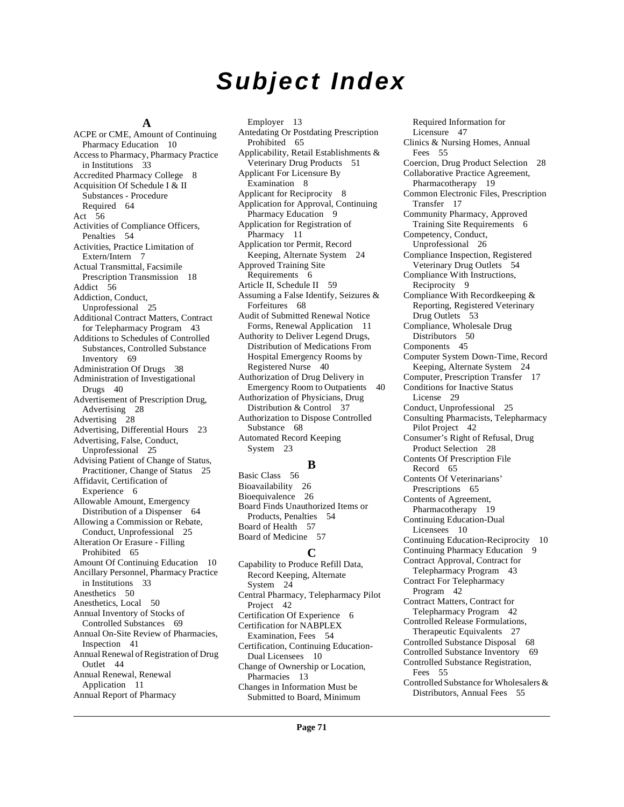# **Subject Index**

#### **A**

ACPE or CME, Amount of Continuing Pharmacy Education [10](#page-9-0) Access to Pharmacy, Pharmacy Practice in Institutions [33](#page-32-0) Accredited Pharmacy College [8](#page-7-0) Acquisition Of Schedule I & II Substances - Procedure Required [64](#page-63-0) Act [56](#page-55-0) Activities of Compliance Officers, Penalties [54](#page-53-0) Activities, Practice Limitation of Extern/Intern [7](#page-6-0) Actual Transmittal, Facsimile Prescription Transmission [18](#page-17-0) Addict [56](#page-55-1) Addiction, Conduct, Unprofessional [25](#page-24-0) Additional Contract Matters, Contract for Telepharmacy Program [43](#page-42-0) Additions to Schedules of Controlled Substances, Controlled Substance Inventory [69](#page-68-0) Administration Of Drugs [38](#page-37-0) Administration of Investigational Drugs [40](#page-39-0) Advertisement of Prescription Drug, Advertising [28](#page-27-0) Advertising [28](#page-27-1) Advertising, Differential Hours [23](#page-22-0) Advertising, False, Conduct, Unprofessional [25](#page-24-1) Advising Patient of Change of Status, Practitioner, Change of Status [25](#page-24-2) Affidavit, Certification of Experience [6](#page-5-0) Allowable Amount, Emergency Distribution of a Dispenser [64](#page-63-1) Allowing a Commission or Rebate, Conduct, Unprofessional [25](#page-24-3) Alteration Or Erasure - Filling Prohibited [65](#page-64-0) Amount Of Continuing Education [10](#page-9-1) Ancillary Personnel, Pharmacy Practice in Institutions [33](#page-32-1) Anesthetics [50](#page-49-0) Anesthetics, Local [50](#page-49-1) Annual Inventory of Stocks of Controlled Substances [69](#page-68-1) Annual On-Site Review of Pharmacies, Inspection [41](#page-40-0) Annual Renewal of Registration of Drug Outlet [44](#page-43-0) Annual Renewal, Renewal Application [11](#page-10-0) Annual Report of Pharmacy

Employer [13](#page-12-0) Antedating Or Postdating Prescription Prohibited [65](#page-64-1) Applicability, Retail Establishments & Veterinary Drug Products [51](#page-50-0) Applicant For Licensure By Examination [8](#page-7-1) Applicant for Reciprocity [8](#page-7-2) Application for Approval, Continuing Pharmacy Education [9](#page-8-0) Application for Registration of Pharmacy [11](#page-10-1) Application tor Permit, Record Keeping, Alternate System [24](#page-23-0) Approved Training Site Requirements [6](#page-5-1) Article II, Schedule II [59](#page-58-0) Assuming a False Identify, Seizures & Forfeitures [68](#page-67-0) Audit of Submitted Renewal Notice Forms, Renewal Application [11](#page-10-2) Authority to Deliver Legend Drugs, Distribution of Medications From Hospital Emergency Rooms by Registered Nurse [40](#page-39-1) Authorization of Drug Delivery in Emergency Room to Outpatients [40](#page-39-2) Authorization of Physicians, Drug Distribution & Control [37](#page-36-0) Authorization to Dispose Controlled Substance [68](#page-67-1) Automated Record Keeping System [23](#page-22-1)

#### **B**

Basic Class [56](#page-55-2) Bioavailability [26](#page-25-0) Bioequivalence [26](#page-25-1) Board Finds Unauthorized Items or Products, Penalties [54](#page-53-1) Board of Health [57](#page-56-0) Board of Medicine [57](#page-56-1)

### **C**

Capability to Produce Refill Data, Record Keeping, Alternate System [24](#page-23-1) Central Pharmacy, Telepharmacy Pilot Project [42](#page-41-0) Certification Of Experience [6](#page-5-2) Certification for NABPLEX Examination, Fees [54](#page-53-2) Certification, Continuing Education-Dual Licensees [10](#page-9-2) Change of Ownership or Location, Pharmacies [13](#page-12-1) Changes in Information Must be Submitted to Board, Minimum

Required Information for Licensure [47](#page-46-0) Clinics & Nursing Homes, Annual Fees [55](#page-54-0) Coercion, Drug Product Selection [28](#page-27-2) Collaborative Practice Agreement, Pharmacotherapy [19](#page-18-0) Common Electronic Files, Prescription Transfer [17](#page-16-0) Community Pharmacy, Approved Training Site Requirements [6](#page-5-3) Competency, Conduct, Unprofessional [26](#page-25-2) Compliance Inspection, Registered Veterinary Drug Outlets [54](#page-53-3) Compliance With Instructions, Reciprocity [9](#page-8-1) Compliance With Recordkeeping & Reporting, Registered Veterinary Drug Outlets [53](#page-52-0) Compliance, Wholesale Drug Distributors [50](#page-49-2) Components [45](#page-44-0) Computer System Down-Time, Record Keeping, Alternate System [24](#page-23-2) Computer, Prescription Transfer [17](#page-16-1) Conditions for Inactive Status License [29](#page-28-0) Conduct, Unprofessional [25](#page-24-4) Consulting Pharmacists, Telepharmacy Pilot Project [42](#page-41-1) Consumer's Right of Refusal, Drug Product Selection [28](#page-27-3) Contents Of Prescription File Record [65](#page-64-2) Contents Of Veterinarians' Prescriptions [65](#page-64-3) Contents of Agreement, Pharmacotherapy [19](#page-18-1) Continuing Education-Dual Licensees [10](#page-9-3) Continuing Education-Reciprocity [10](#page-9-4) Continuing Pharmacy Education [9](#page-8-2) Contract Approval, Contract for Telepharmacy Program [43](#page-42-1) Contract For Telepharmacy Program [42](#page-41-2) Contract Matters, Contract for Telepharmacy Program [42](#page-41-3) Controlled Release Formulations, Therapeutic Equivalents [27](#page-26-0) Controlled Substance Disposal [68](#page-67-2) Controlled Substance Inventory [69](#page-68-2) Controlled Substance Registration, Fees [55](#page-54-1) Controlled Substance for Wholesalers & Distributors, Annual Fees [55](#page-54-2)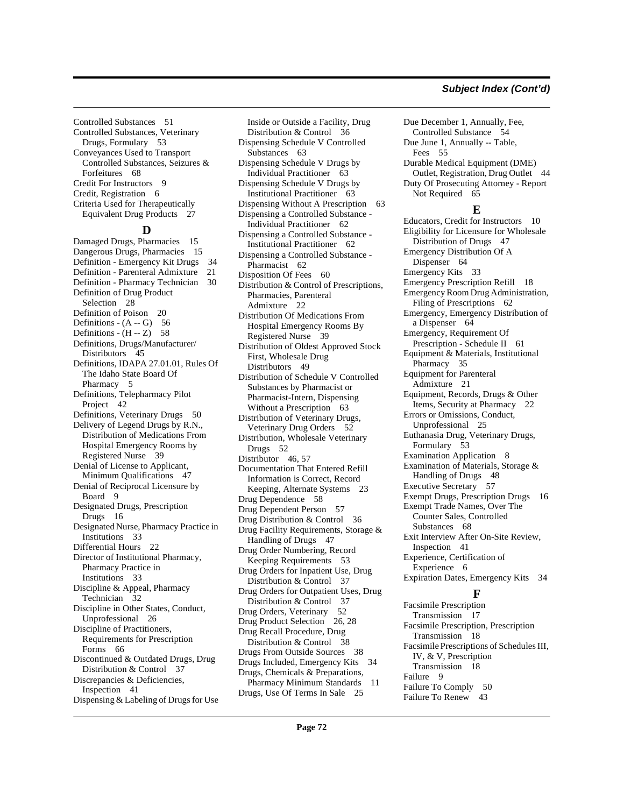#### **Subject Index (Cont'd)**

Controlled Substances [51](#page-50-1) Controlled Substances, Veterinary Drugs, Formulary [53](#page-52-1) Conveyances Used to Transport Controlled Substances, Seizures & Forfeitures [68](#page-67-3) Credit For Instructors [9](#page-8-3) Credit, Registration [6](#page-5-4) Criteria Used for Therapeutically Equivalent Drug Products [27](#page-26-1)

### **D**

Damaged Drugs, Pharmacies [15](#page-14-0) Dangerous Drugs, Pharmacies [15](#page-14-1) Definition - Emergency Kit Drugs [34](#page-33-0) Definition - Parenteral Admixture [21](#page-20-0) Definition - Pharmacy Technician [30](#page-29-0) Definition of Drug Product Selection [28](#page-27-4) Definition of Poison [20](#page-19-0) Definitions -  $(A - G)$  [56](#page-55-3) Definitions -  $(H - Z)$  [58](#page-57-0) Definitions, Drugs/Manufacturer/ Distributors [45](#page-44-1) Definitions, IDAPA 27.01.01, Rules Of The Idaho State Board Of Pharmacy [5](#page-4-0) Definitions, Telepharmacy Pilot Project [42](#page-41-4) Definitions, Veterinary Drugs [50](#page-49-3) Delivery of Legend Drugs by R.N., Distribution of Medications From Hospital Emergency Rooms by Registered Nurse [39](#page-38-0) Denial of License to Applicant, Minimum Qualifications [47](#page-46-1) Denial of Reciprocal Licensure by Board [9](#page-8-4) Designated Drugs, Prescription Drugs [16](#page-15-0) Designated Nurse, Pharmacy Practice in Institutions [33](#page-32-2) Differential Hours [22](#page-21-0) Director of Institutional Pharmacy, Pharmacy Practice in Institutions [33](#page-32-3) Discipline & Appeal, Pharmacy Technician [32](#page-31-0) Discipline in Other States, Conduct, Unprofessional [26](#page-25-3) Discipline of Practitioners, Requirements for Prescription Forms [66](#page-65-0) Discontinued & Outdated Drugs, Drug Distribution & Control [37](#page-36-1) Discrepancies & Deficiencies, Inspection [41](#page-40-1) Dispensing & Labeling of Drugs for Use

Inside or Outside a Facility, Drug Distribution & Control [36](#page-35-0) Dispensing Schedule V Controlled Substances [63](#page-62-0) Dispensing Schedule V Drugs by Individual Practitioner [63](#page-62-1) Dispensing Schedule V Drugs by Institutional Practitioner [63](#page-62-2) Dispensing Without A Prescription [63](#page-62-3) Dispensing a Controlled Substance - Individual Practitioner [62](#page-61-0) Dispensing a Controlled Substance - Institutional Practitioner [62](#page-61-1) Dispensing a Controlled Substance - Pharmacist [62](#page-61-2) Disposition Of Fees [60](#page-59-0) Distribution & Control of Prescriptions, Pharmacies, Parenteral Admixture [22](#page-21-1) Distribution Of Medications From Hospital Emergency Rooms By Registered Nurse [39](#page-38-1) Distribution of Oldest Approved Stock First, Wholesale Drug Distributors [49](#page-48-0) Distribution of Schedule V Controlled Substances by Pharmacist or Pharmacist-Intern, Dispensing Without a Prescription [63](#page-62-4) Distribution of Veterinary Drugs, Veterinary Drug Orders [52](#page-51-0) Distribution, Wholesale Veterinary Drugs [52](#page-51-1) Distributor [46](#page-45-0), [57](#page-56-2) Documentation That Entered Refill Information is Correct, Record Keeping, Alternate Systems [23](#page-22-2) Drug Dependence [58](#page-57-1) Drug Dependent Person [57](#page-56-3) Drug Distribution & Control [36](#page-35-1) Drug Facility Requirements, Storage & Handling of Drugs [47](#page-46-2) Drug Order Numbering, Record Keeping Requirements [53](#page-52-2) Drug Orders for Inpatient Use, Drug Distribution & Control [37](#page-36-2) Drug Orders for Outpatient Uses, Drug Distribution & Control [37](#page-36-3) Drug Orders, Veterinary [52](#page-51-2) Drug Product Selection [26](#page-25-4), [28](#page-27-5) Drug Recall Procedure, Drug Distribution & Control [38](#page-37-1) Drugs From Outside Sources [38](#page-37-2) Drugs Included, Emergency Kits [34](#page-33-1) Drugs, Chemicals & Preparations, Pharmacy Minimum Standards [11](#page-10-3) Drugs, Use Of Terms In Sale [25](#page-24-5)

Due December 1, Annually, Fee, Controlled Substance [54](#page-53-4) Due June 1, Annually -- Table, Fees [55](#page-54-3) Durable Medical Equipment (DME) Outlet, Registration, Drug Outlet [44](#page-43-1) Duty Of Prosecuting Attorney - Report Not Required [65](#page-64-4) **E** Educators, Credit for Instructors [10](#page-9-5) Eligibility for Licensure for Wholesale Distribution of Drugs [47](#page-46-3) Emergency Distribution Of A Dispenser [64](#page-63-2) Emergency Kits [33](#page-32-4) Emergency Prescription Refill [18](#page-17-1) Emergency Room Drug Administration, Filing of Prescriptions [62](#page-61-3) Emergency, Emergency Distribution of a Dispenser [64](#page-63-3) Emergency, Requirement Of Prescription - Schedule II [61](#page-60-0) Equipment & Materials, Institutional Pharmacy [35](#page-34-0) Equipment for Parenteral Admixture [21](#page-20-1) Equipment, Records, Drugs & Other Items, Security at Pharmacy [22](#page-21-2) Errors or Omissions, Conduct, Unprofessional [25](#page-24-6) Euthanasia Drug, Veterinary Drugs, Formulary [53](#page-52-3) Examination Application [8](#page-7-3) Examination of Materials, Storage & Handling of Drugs [48](#page-47-0) Executive Secretary [57](#page-56-4) Exempt Drugs, Prescription Drugs [16](#page-15-1) Exempt Trade Names, Over The Counter Sales, Controlled Substances [68](#page-67-4) Exit Interview After On-Site Review, Inspection [41](#page-40-2) Experience, Certification of Experience [6](#page-5-5) Expiration Dates, Emergency Kits [34](#page-33-2) **F** Facsimile Prescription Transmission [17](#page-16-2) Facsimile Prescription, Prescription Transmission [18](#page-17-2)

Facsimile Prescriptions of Schedules III,

IV, & V, Prescription Transmission [18](#page-17-3)

Failure To Comply [50](#page-49-4) Failure To Renew [43](#page-42-2)

Failure [9](#page-8-5)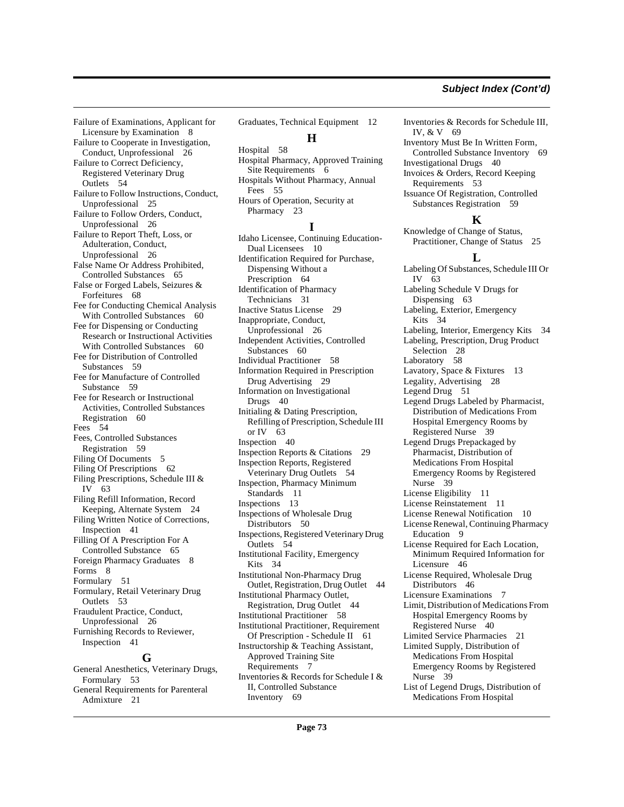Failure of Examinations, Applicant for Licensure by Examination [8](#page-7-0) Failure to Cooperate in Investigation, Conduct, Unprofessional [26](#page-25-0) Failure to Correct Deficiency, Registered Veterinary Drug Outlets [54](#page-53-0) Failure to Follow Instructions, Conduct, Unprofessional [25](#page-24-0) Failure to Follow Orders, Conduct, Unprofessional [26](#page-25-1) Failure to Report Theft, Loss, or Adulteration, Conduct, Unprofessional [26](#page-25-2) False Name Or Address Prohibited, Controlled Substances [65](#page-64-0) False or Forged Labels, Seizures & Forfeitures [68](#page-67-0) Fee for Conducting Chemical Analysis With Controlled Substances [60](#page-59-0) Fee for Dispensing or Conducting Research or Instructional Activities With Controlled Substances [60](#page-59-1) Fee for Distribution of Controlled Substances [59](#page-58-0) Fee for Manufacture of Controlled Substance [59](#page-58-1) Fee for Research or Instructional Activities, Controlled Substances Registration [60](#page-59-2) Fees [54](#page-53-1) Fees, Controlled Substances Registration [59](#page-58-2) Filing Of Documents [5](#page-4-0) Filing Of Prescriptions [62](#page-61-0) Filing Prescriptions, Schedule III & IV [63](#page-62-0) Filing Refill Information, Record Keeping, Alternate System [24](#page-23-0) Filing Written Notice of Corrections, Inspection [41](#page-40-0) Filling Of A Prescription For A Controlled Substance [65](#page-64-1) Foreign Pharmacy Graduates [8](#page-7-1) Forms [8](#page-7-2) Formulary [51](#page-50-0) Formulary, Retail Veterinary Drug Outlets [53](#page-52-0) Fraudulent Practice, Conduct, Unprofessional [26](#page-25-3) Furnishing Records to Reviewer, Inspection [41](#page-40-1)

#### **G**

General Anesthetics, Veterinary Drugs, Formulary [53](#page-52-1) General Requirements for Parenteral Admixture [21](#page-20-0)

Graduates, Technical Equipment [12](#page-11-0) **H** Hospital [58](#page-57-0) Hospital Pharmacy, Approved Training Site Requirements [6](#page-5-0) Hospitals Without Pharmacy, Annual Fees [55](#page-54-0)

Hours of Operation, Security at Pharmacy [23](#page-22-0)

## **I**

Idaho Licensee, Continuing Education-Dual Licensees [10](#page-9-0) Identification Required for Purchase, Dispensing Without a Prescription [64](#page-63-0) Identification of Pharmacy Technicians [31](#page-30-0) Inactive Status License [29](#page-28-0) Inappropriate, Conduct, Unprofessional [26](#page-25-4) Independent Activities, Controlled Substances [60](#page-59-3) Individual Practitioner [58](#page-57-1) Information Required in Prescription Drug Advertising [29](#page-28-1) Information on Investigational Drugs [40](#page-39-0) Initialing & Dating Prescription, Refilling of Prescription, Schedule III or IV [63](#page-62-1) Inspection [40](#page-39-1) Inspection Reports & Citations [29](#page-28-2) Inspection Reports, Registered Veterinary Drug Outlets [54](#page-53-2) Inspection, Pharmacy Minimum Standards [11](#page-10-0) Inspections [13](#page-12-0) Inspections of Wholesale Drug Distributors [50](#page-49-0) Inspections, Registered Veterinary Drug Outlets [54](#page-53-3) Institutional Facility, Emergency Kits [34](#page-33-0) Institutional Non-Pharmacy Drug Outlet, Registration, Drug Outlet [44](#page-43-0) Institutional Pharmacy Outlet, Registration, Drug Outlet [44](#page-43-1) Institutional Practitioner [58](#page-57-2) Institutional Practitioner, Requirement Of Prescription - Schedule II [61](#page-60-0) Instructorship & Teaching Assistant, Approved Training Site Requirements [7](#page-6-0) Inventories & Records for Schedule I & II, Controlled Substance Inventory [69](#page-68-0)

Inventories & Records for Schedule III, IV, & V [69](#page-68-1)

Inventory Must Be In Written Form, Controlled Substance Inventory [69](#page-68-2)

Investigational Drugs [40](#page-39-2) Invoices & Orders, Record Keeping

Requirements [53](#page-52-2) Issuance Of Registration, Controlled Substances Registration [59](#page-58-3)

#### **K**

Knowledge of Change of Status, Practitioner, Change of Status [25](#page-24-1)

#### **L**

Labeling Of Substances, Schedule III Or IV [63](#page-62-2) Labeling Schedule V Drugs for Dispensing [63](#page-62-3) Labeling, Exterior, Emergency Kits [34](#page-33-1) Labeling, Interior, Emergency Kits [34](#page-33-2) Labeling, Prescription, Drug Product Selection [28](#page-27-0) Laboratory [58](#page-57-3) Lavatory, Space & Fixtures [13](#page-12-1) Legality, Advertising [28](#page-27-1) Legend Drug [51](#page-50-1) Legend Drugs Labeled by Pharmacist, Distribution of Medications From Hospital Emergency Rooms by Registered Nurse [39](#page-38-0) Legend Drugs Prepackaged by Pharmacist, Distribution of Medications From Hospital Emergency Rooms by Registered Nurse [39](#page-38-1) License Eligibility [11](#page-10-1) License Reinstatement [11](#page-10-2) License Renewal Notification [10](#page-9-1) License Renewal, Continuing Pharmacy Education [9](#page-8-0) License Required for Each Location, Minimum Required Information for Licensure [46](#page-45-0) License Required, Wholesale Drug Distributors [46](#page-45-1) Licensure Examinations [7](#page-6-1) Limit, Distribution of Medications From Hospital Emergency Rooms by Registered Nurse [40](#page-39-3) Limited Service Pharmacies [21](#page-20-1) Limited Supply, Distribution of Medications From Hospital Emergency Rooms by Registered Nurse [39](#page-38-2) List of Legend Drugs, Distribution of Medications From Hospital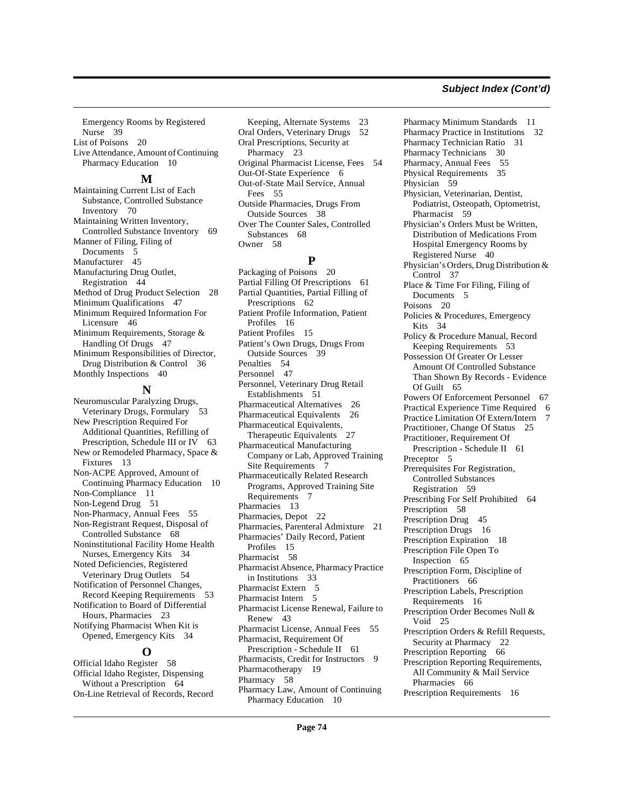Emergency Rooms by Registered Nurse [39](#page-38-3) List of Poisons [20](#page-19-0) Live Attendance, Amount of Continuing Pharmacy Education [10](#page-9-2)

#### **M**

Maintaining Current List of Each Substance, Controlled Substance Inventory [70](#page-69-0) Maintaining Written Inventory, Controlled Substance Inventory [69](#page-68-3) Manner of Filing, Filing of Documents [5](#page-4-1) Manufacturer [45](#page-44-0) Manufacturing Drug Outlet, Registration [44](#page-43-2) Method of Drug Product Selection [28](#page-27-2) Minimum Qualifications [47](#page-46-0) Minimum Required Information For Licensure [46](#page-45-2) Minimum Requirements, Storage & Handling Of Drugs [47](#page-46-1) Minimum Responsibilities of Director, Drug Distribution & Control [36](#page-35-0) Monthly Inspections [40](#page-39-4)

## **N**

Neuromuscular Paralyzing Drugs, Veterinary Drugs, Formulary [53](#page-52-3) New Prescription Required For Additional Quantities, Refilling of Prescription, Schedule III or IV [63](#page-62-4) New or Remodeled Pharmacy, Space & Fixtures [13](#page-12-2) Non-ACPE Approved, Amount of Continuing Pharmacy Education [10](#page-9-3) Non-Compliance [11](#page-10-3) Non-Legend Drug [51](#page-50-2) Non-Pharmacy, Annual Fees [55](#page-54-1) Non-Registrant Request, Disposal of Controlled Substance [68](#page-67-1) Noninstitutional Facility Home Health Nurses, Emergency Kits [34](#page-33-3) Noted Deficiencies, Registered Veterinary Drug Outlets [54](#page-53-4) Notification of Personnel Changes, Record Keeping Requirements [53](#page-52-4) Notification to Board of Differential Hours, Pharmacies [23](#page-22-1) Notifying Pharmacist When Kit is Opened, Emergency Kits [34](#page-33-4)

# **O**

Official Idaho Register [58](#page-57-4) Official Idaho Register, Dispensing Without a Prescription [64](#page-63-1) On-Line Retrieval of Records, Record

Keeping, Alternate Systems [23](#page-22-2) Oral Orders, Veterinary Drugs [52](#page-51-0) Oral Prescriptions, Security at Pharmacy [23](#page-22-3) Original Pharmacist License, Fees [54](#page-53-5) Out-Of-State Experience [6](#page-5-1) Out-of-State Mail Service, Annual Fees [55](#page-54-2) Outside Pharmacies, Drugs From Outside Sources [38](#page-37-0) Over The Counter Sales, Controlled Substances [68](#page-67-2) Owner [58](#page-57-5)

## **P**

Packaging of Poisons [20](#page-19-1) Partial Filling Of Prescriptions [61](#page-60-1) Partial Quantities, Partial Filling of Prescriptions [62](#page-61-1) Patient Profile Information, Patient Profiles [16](#page-15-0) Patient Profiles [15](#page-14-0) Patient's Own Drugs, Drugs From Outside Sources [39](#page-38-4) Penalties [54](#page-53-6) Personnel [47](#page-46-2) Personnel, Veterinary Drug Retail Establishments [51](#page-50-3) Pharmaceutical Alternatives [26](#page-25-5) Pharmaceutical Equivalents [26](#page-25-6) Pharmaceutical Equivalents, Therapeutic Equivalents [27](#page-26-0) Pharmaceutical Manufacturing Company or Lab, Approved Training Site Requirements [7](#page-6-2) Pharmaceutically Related Research Programs, Approved Training Site Requirements [7](#page-6-3) Pharmacies [13](#page-12-3) Pharmacies, Depot [22](#page-21-0) Pharmacies, Parenteral Admixture [21](#page-20-2) Pharmacies' Daily Record, Patient Profiles [15](#page-14-1) Pharmacist [58](#page-57-6) Pharmacist Absence, Pharmacy Practice in Institutions [33](#page-32-0) Pharmacist Extern [5](#page-4-2) Pharmacist Intern [5](#page-4-3) Pharmacist License Renewal, Failure to Renew [43](#page-42-0) Pharmacist License, Annual Fees [55](#page-54-3) Pharmacist, Requirement Of Prescription - Schedule II [61](#page-60-2) Pharmacists, Credit for Instructors [9](#page-8-1) Pharmacotherapy [19](#page-18-0) Pharmacy [58](#page-57-7) Pharmacy Law, Amount of Continuing Pharmacy Education [10](#page-9-4)

Pharmacy Minimum Standards [11](#page-10-4) Pharmacy Practice in Institutions [32](#page-31-0) Pharmacy Technician Ratio [31](#page-30-1) Pharmacy Technicians [30](#page-29-0) Pharmacy, Annual Fees [55](#page-54-4) Physical Requirements [35](#page-34-0) Physician [59](#page-58-4) Physician, Veterinarian, Dentist, Podiatrist, Osteopath, Optometrist, Pharmacist [59](#page-58-5) Physician's Orders Must be Written, Distribution of Medications From Hospital Emergency Rooms by Registered Nurse [40](#page-39-5) Physician's Orders, Drug Distribution & Control [37](#page-36-0) Place & Time For Filing, Filing of Documents [5](#page-4-4) Poisons [20](#page-19-2) Policies & Procedures, Emergency Kits [34](#page-33-5) Policy & Procedure Manual, Record Keeping Requirements [53](#page-52-5) Possession Of Greater Or Lesser Amount Of Controlled Substance Than Shown By Records - Evidence Of Guilt [65](#page-64-2) Powers Of Enforcement Personnel [67](#page-66-0) Practical Experience Time Required [6](#page-5-2) Practice Limitation Of Extern/Intern [7](#page-6-4) Practitioner, Change Of Status [25](#page-24-2) Practitioner, Requirement Of Prescription - Schedule II [61](#page-60-3) Preceptor [5](#page-4-5) Prerequisites For Registration, Controlled Substances Registration [59](#page-58-6) Prescribing For Self Prohibited [64](#page-63-2) Prescription [58](#page-57-8) Prescription Drug [45](#page-44-1) Prescription Drugs [16](#page-15-1) Prescription Expiration [18](#page-17-0) Prescription File Open To Inspection [65](#page-64-3) Prescription Form, Discipline of Practitioners [66](#page-65-0) Prescription Labels, Prescription Requirements [16](#page-15-2) Prescription Order Becomes Null & Void [25](#page-24-3) Prescription Orders & Refill Requests, Security at Pharmacy [22](#page-21-1) Prescription Reporting [66](#page-65-1) Prescription Reporting Requirements, All Community & Mail Service Pharmacies [66](#page-65-2) Prescription Requirements [16](#page-15-3)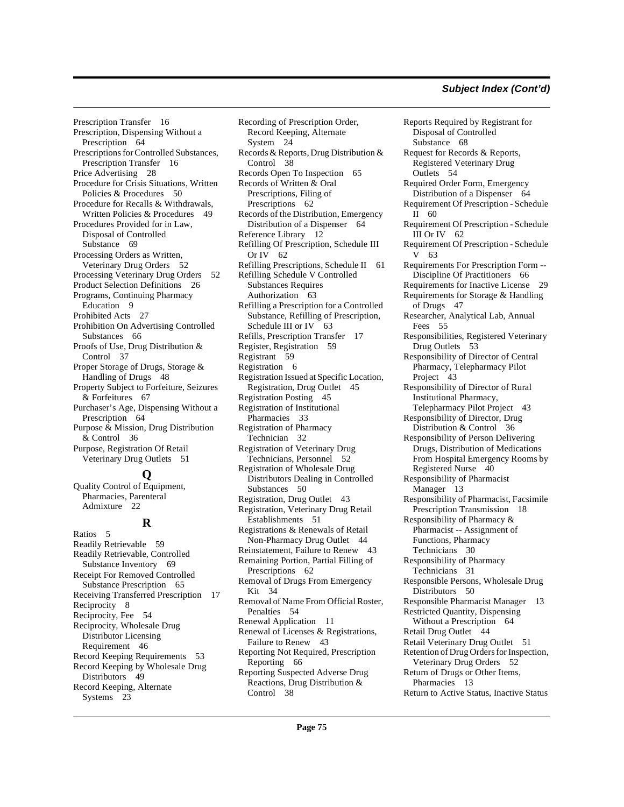Prescription Transfer [16](#page-15-4) Prescription, Dispensing Without a Prescription [64](#page-63-3) Prescriptions for Controlled Substances, Prescription Transfer [16](#page-15-5) Price Advertising [28](#page-27-3) Procedure for Crisis Situations, Written Policies & Procedures [50](#page-49-1) Procedure for Recalls & Withdrawals, Written Policies & Procedures [49](#page-48-0) Procedures Provided for in Law, Disposal of Controlled Substance [69](#page-68-4) Processing Orders as Written, Veterinary Drug Orders [52](#page-51-1) Processing Veterinary Drug Orders [52](#page-51-2) Product Selection Definitions [26](#page-25-7) Programs, Continuing Pharmacy Education [9](#page-8-2) Prohibited Acts [27](#page-26-1) Prohibition On Advertising Controlled Substances [66](#page-65-3) Proofs of Use, Drug Distribution & Control [37](#page-36-1) Proper Storage of Drugs, Storage & Handling of Drugs [48](#page-47-0) Property Subject to Forfeiture, Seizures & Forfeitures [67](#page-66-1) Purchaser's Age, Dispensing Without a Prescription [64](#page-63-4) Purpose & Mission, Drug Distribution & Control [36](#page-35-1) Purpose, Registration Of Retail Veterinary Drug Outlets [51](#page-50-4) **Q**

Quality Control of Equipment, Pharmacies, Parenteral Admixture [22](#page-21-2)

# **R**

Ratios [5](#page-4-6) Readily Retrievable [59](#page-58-7) Readily Retrievable, Controlled Substance Inventory [69](#page-68-5) Receipt For Removed Controlled Substance Prescription [65](#page-64-4) Receiving Transferred Prescription [17](#page-16-0) Reciprocity [8](#page-7-3) Reciprocity, Fee [54](#page-53-7) Reciprocity, Wholesale Drug Distributor Licensing Requirement [46](#page-45-3) Record Keeping Requirements [53](#page-52-6) Record Keeping by Wholesale Drug Distributors [49](#page-48-1) Record Keeping, Alternate Systems [23](#page-22-4)

Recording of Prescription Order, Record Keeping, Alternate System [24](#page-23-1) Records & Reports, Drug Distribution & Control [38](#page-37-1) Records Open To Inspection [65](#page-64-5) Records of Written & Oral Prescriptions, Filing of Prescriptions [62](#page-61-2) Records of the Distribution, Emergency Distribution of a Dispenser [64](#page-63-5) Reference Library [12](#page-11-1) Refilling Of Prescription, Schedule III Or IV [62](#page-61-3) Refilling Prescriptions, Schedule II [61](#page-60-4) Refilling Schedule V Controlled Substances Requires Authorization [63](#page-62-5) Refilling a Prescription for a Controlled Substance, Refilling of Prescription, Schedule III or IV [63](#page-62-6) Refills, Prescription Transfer [17](#page-16-1) Register, Registration [59](#page-58-8) Registrant [59](#page-58-9) Registration [6](#page-5-3) Registration Issued at Specific Location, Registration, Drug Outlet [45](#page-44-2) Registration Posting [45](#page-44-3) Registration of Institutional Pharmacies [33](#page-32-1) Registration of Pharmacy Technician [32](#page-31-1) Registration of Veterinary Drug Technicians, Personnel [52](#page-51-3) Registration of Wholesale Drug Distributors Dealing in Controlled Substances [50](#page-49-2) Registration, Drug Outlet [43](#page-42-1) Registration, Veterinary Drug Retail Establishments [51](#page-50-5) Registrations & Renewals of Retail Non-Pharmacy Drug Outlet [44](#page-43-3) Reinstatement, Failure to Renew [43](#page-42-2) Remaining Portion, Partial Filling of Prescriptions [62](#page-61-4) Removal of Drugs From Emergency Kit [34](#page-33-6) Removal of Name From Official Roster, Penalties [54](#page-53-8) Renewal Application [11](#page-10-5) Renewal of Licenses & Registrations, Failure to Renew [43](#page-42-3) Reporting Not Required, Prescription Reporting [66](#page-65-4) Reporting Suspected Adverse Drug Reactions, Drug Distribution & Control [38](#page-37-2)

Reports Required by Registrant for Disposal of Controlled Substance [68](#page-67-3) Request for Records & Reports, Registered Veterinary Drug Outlets [54](#page-53-9) Required Order Form, Emergency Distribution of a Dispenser [64](#page-63-6) Requirement Of Prescription - Schedule II [60](#page-59-4) Requirement Of Prescription - Schedule III Or IV [62](#page-61-5) Requirement Of Prescription - Schedule V [63](#page-62-7) Requirements For Prescription Form -- Discipline Of Practitioners [66](#page-65-5) Requirements for Inactive License [29](#page-28-3) Requirements for Storage & Handling of Drugs [47](#page-46-3) Researcher, Analytical Lab, Annual Fees [55](#page-54-5) Responsibilities, Registered Veterinary Drug Outlets [53](#page-52-7) Responsibility of Director of Central Pharmacy, Telepharmacy Pilot Project [43](#page-42-4) Responsibility of Director of Rural Institutional Pharmacy, Telepharmacy Pilot Project [43](#page-42-5) Responsibility of Director, Drug Distribution & Control [36](#page-35-2) Responsibility of Person Delivering Drugs, Distribution of Medications From Hospital Emergency Rooms by Registered Nurse [40](#page-39-6) Responsibility of Pharmacist Manager [13](#page-12-4) Responsibility of Pharmacist, Facsimile Prescription Transmission [18](#page-17-1) Responsibility of Pharmacy & Pharmacist -- Assignment of Functions, Pharmacy Technicians [30](#page-29-1) Responsibility of Pharmacy Technicians [31](#page-30-2) Responsible Persons, Wholesale Drug Distributors [50](#page-49-3) Responsible Pharmacist Manager [13](#page-12-5) Restricted Quantity, Dispensing Without a Prescription [64](#page-63-7) Retail Drug Outlet [44](#page-43-4) Retail Veterinary Drug Outlet [51](#page-50-6) Retention of Drug Orders for Inspection, Veterinary Drug Orders [52](#page-51-4) Return of Drugs or Other Items, Pharmacies [13](#page-12-6) Return to Active Status, Inactive Status